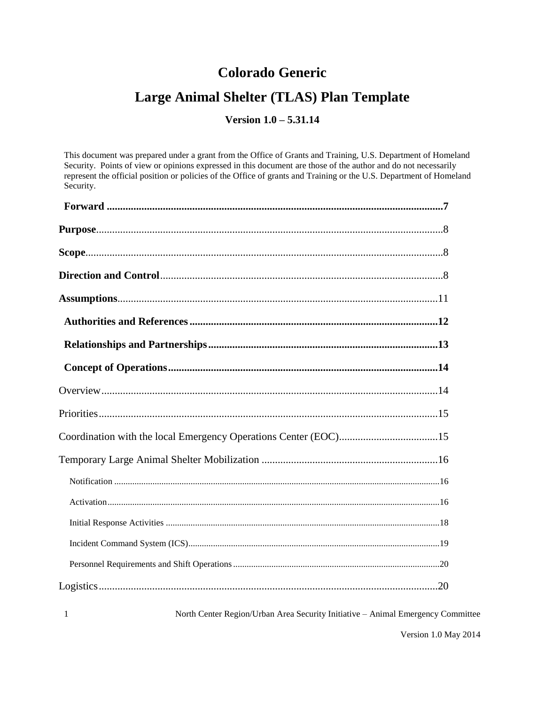# **Colorado Generic**

# Large Animal Shelter (TLAS) Plan Template

### Version  $1.0 - 5.31.14$

This document was prepared under a grant from the Office of Grants and Training, U.S. Department of Homeland Security. Points of view or opinions expressed in this document are those of the author and do not necessarily represent the official position or policies of the Office of grants and Training or the U.S. Department of Homeland Security.

 $\mathbf{1}$ 

North Center Region/Urban Area Security Initiative - Animal Emergency Committee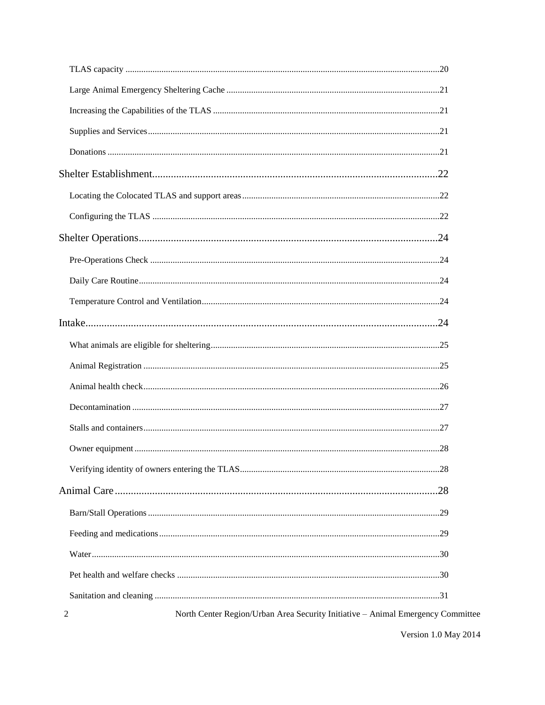| North Center Region/Urban Area Security Initiative - Animal Emergency Committee<br>2 |  |
|--------------------------------------------------------------------------------------|--|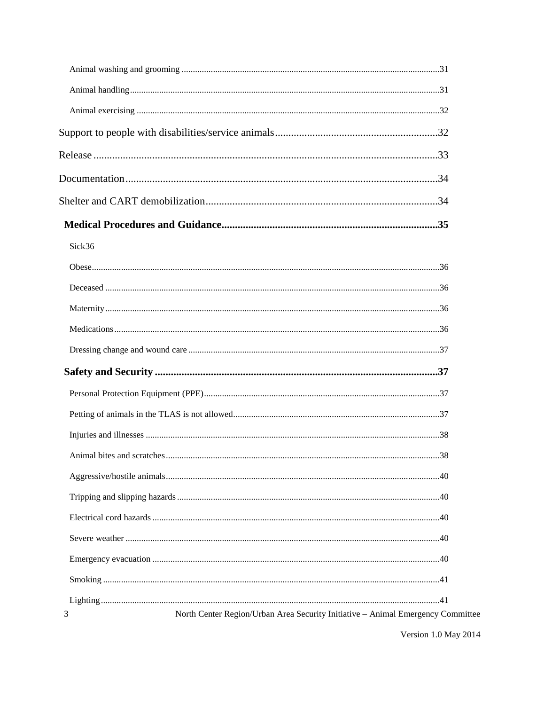| Sick36 |  |
|--------|--|
|        |  |
|        |  |
|        |  |
|        |  |
|        |  |
|        |  |
|        |  |
|        |  |
|        |  |
|        |  |
|        |  |
|        |  |
|        |  |
|        |  |
|        |  |
|        |  |
|        |  |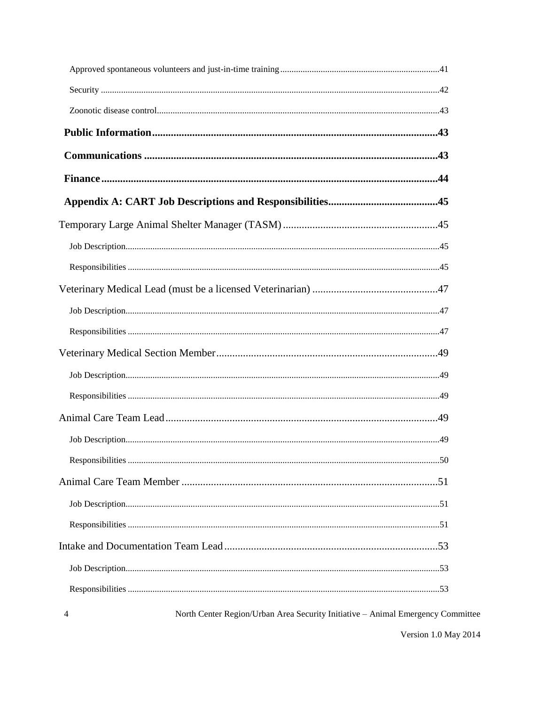$\overline{4}$ 

North Center Region/Urban Area Security Initiative - Animal Emergency Committee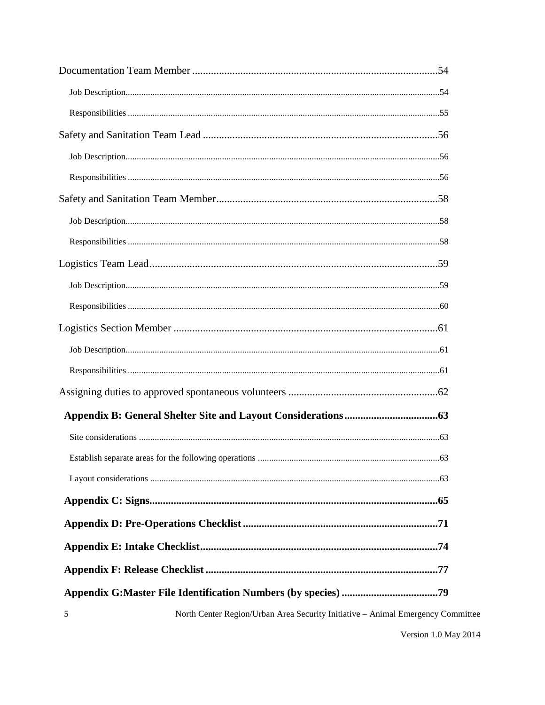| North Center Region/Urban Area Security Initiative - Animal Emergency Committee<br>5 |  |
|--------------------------------------------------------------------------------------|--|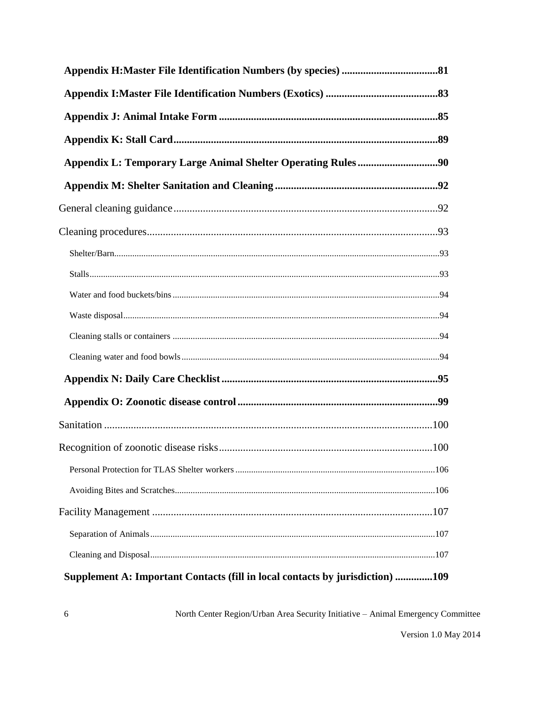| Supplement A: Important Contacts (fill in local contacts by jurisdiction) 109 |  |
|-------------------------------------------------------------------------------|--|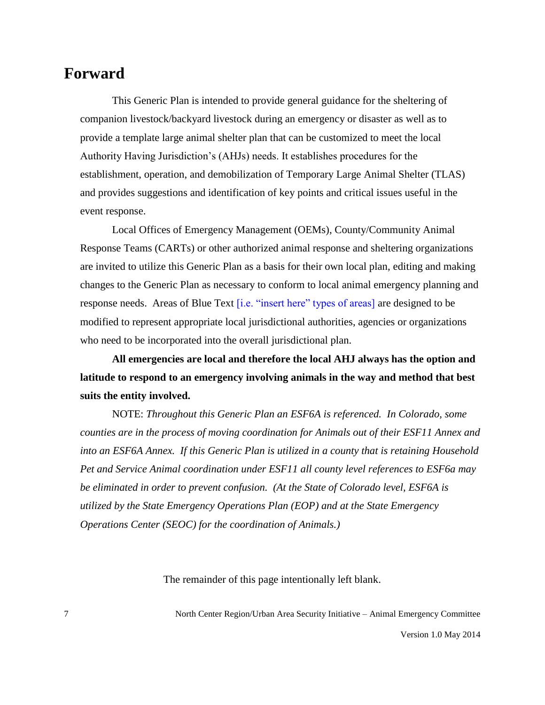# <span id="page-6-0"></span>**Forward**

This Generic Plan is intended to provide general guidance for the sheltering of companion livestock/backyard livestock during an emergency or disaster as well as to provide a template large animal shelter plan that can be customized to meet the local Authority Having Jurisdiction's (AHJs) needs. It establishes procedures for the establishment, operation, and demobilization of Temporary Large Animal Shelter (TLAS) and provides suggestions and identification of key points and critical issues useful in the event response.

Local Offices of Emergency Management (OEMs), County/Community Animal Response Teams (CARTs) or other authorized animal response and sheltering organizations are invited to utilize this Generic Plan as a basis for their own local plan, editing and making changes to the Generic Plan as necessary to conform to local animal emergency planning and response needs. Areas of Blue Text [i.e. "insert here" types of areas] are designed to be modified to represent appropriate local jurisdictional authorities, agencies or organizations who need to be incorporated into the overall jurisdictional plan.

**All emergencies are local and therefore the local AHJ always has the option and latitude to respond to an emergency involving animals in the way and method that best suits the entity involved.**

NOTE: *Throughout this Generic Plan an ESF6A is referenced. In Colorado, some counties are in the process of moving coordination for Animals out of their ESF11 Annex and into an ESF6A Annex. If this Generic Plan is utilized in a county that is retaining Household Pet and Service Animal coordination under ESF11 all county level references to ESF6a may be eliminated in order to prevent confusion. (At the State of Colorado level, ESF6A is utilized by the State Emergency Operations Plan (EOP) and at the State Emergency Operations Center (SEOC) for the coordination of Animals.)*

The remainder of this page intentionally left blank.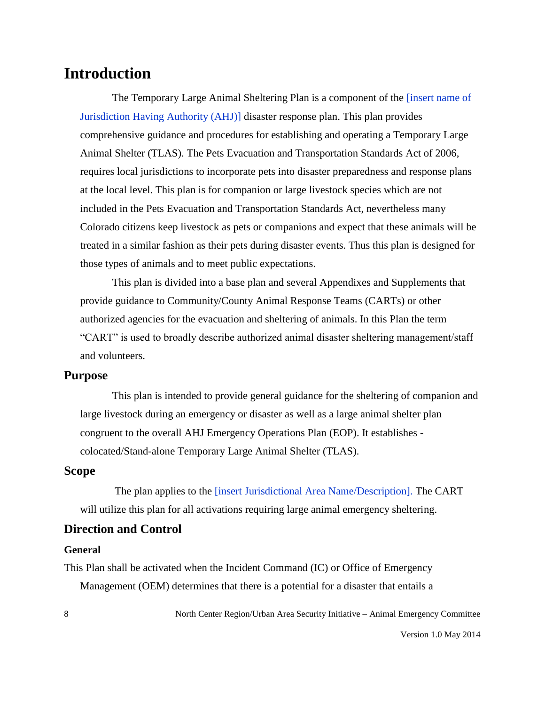# **Introduction**

The Temporary Large Animal Sheltering Plan is a component of the [insert name of Jurisdiction Having Authority (AHJ)] disaster response plan. This plan provides comprehensive guidance and procedures for establishing and operating a Temporary Large Animal Shelter (TLAS). The Pets Evacuation and Transportation Standards Act of 2006, requires local jurisdictions to incorporate pets into disaster preparedness and response plans at the local level. This plan is for companion or large livestock species which are not included in the Pets Evacuation and Transportation Standards Act, nevertheless many Colorado citizens keep livestock as pets or companions and expect that these animals will be treated in a similar fashion as their pets during disaster events. Thus this plan is designed for those types of animals and to meet public expectations.

This plan is divided into a base plan and several Appendixes and Supplements that provide guidance to Community/County Animal Response Teams (CARTs) or other authorized agencies for the evacuation and sheltering of animals. In this Plan the term "CART" is used to broadly describe authorized animal disaster sheltering management/staff and volunteers.

### <span id="page-7-0"></span>**Purpose**

This plan is intended to provide general guidance for the sheltering of companion and large livestock during an emergency or disaster as well as a large animal shelter plan congruent to the overall AHJ Emergency Operations Plan (EOP). It establishes colocated/Stand-alone Temporary Large Animal Shelter (TLAS).

### <span id="page-7-1"></span>**Scope**

The plan applies to the [insert Jurisdictional Area Name/Description]. The CART will utilize this plan for all activations requiring large animal emergency sheltering.

### <span id="page-7-2"></span>**Direction and Control**

#### **General**

This Plan shall be activated when the Incident Command (IC) or Office of Emergency Management (OEM) determines that there is a potential for a disaster that entails a

North Center Region/Urban Area Security Initiative – Animal Emergency Committee

Version 1.0 May 2014

#### 8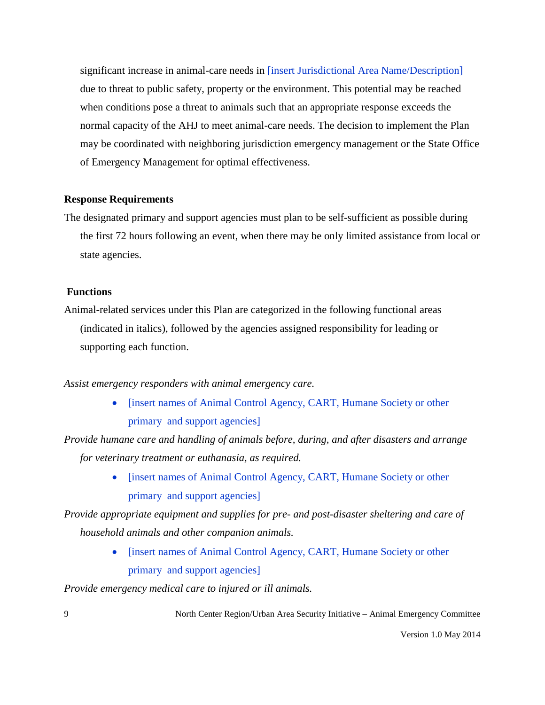significant increase in animal-care needs in [insert Jurisdictional Area Name/Description] due to threat to public safety, property or the environment. This potential may be reached when conditions pose a threat to animals such that an appropriate response exceeds the normal capacity of the AHJ to meet animal-care needs. The decision to implement the Plan may be coordinated with neighboring jurisdiction emergency management or the State Office of Emergency Management for optimal effectiveness.

#### **Response Requirements**

The designated primary and support agencies must plan to be self-sufficient as possible during the first 72 hours following an event, when there may be only limited assistance from local or state agencies.

#### **Functions**

Animal-related services under this Plan are categorized in the following functional areas (indicated in italics), followed by the agencies assigned responsibility for leading or supporting each function.

*Assist emergency responders with animal emergency care.*

• [insert names of Animal Control Agency, CART, Humane Society or other primary and support agencies]

*Provide humane care and handling of animals before, during, and after disasters and arrange for veterinary treatment or euthanasia, as required.*

> • [insert names of Animal Control Agency, CART, Humane Society or other primary and support agencies]

*Provide appropriate equipment and supplies for pre- and post-disaster sheltering and care of household animals and other companion animals.*

> • [insert names of Animal Control Agency, CART, Humane Society or other primary and support agencies]

*Provide emergency medical care to injured or ill animals.*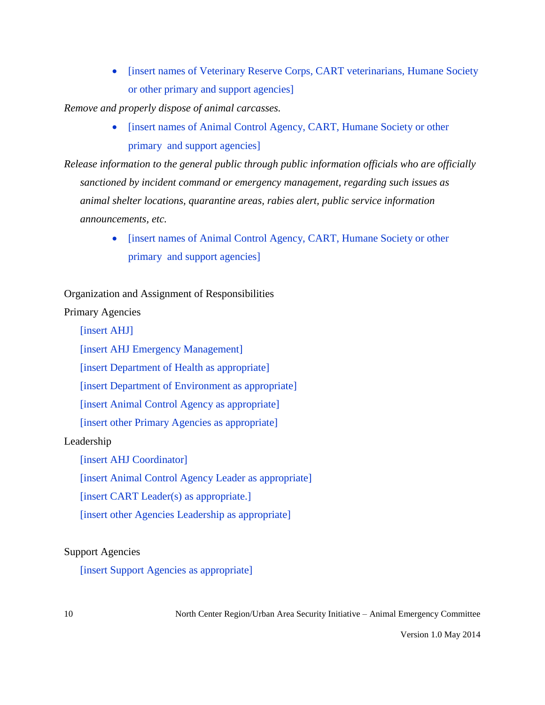• [insert names of Veterinary Reserve Corps, CART veterinarians, Humane Society or other primary and support agencies]

*Remove and properly dispose of animal carcasses.*

• [insert names of Animal Control Agency, CART, Humane Society or other primary and support agencies]

*Release information to the general public through public information officials who are officially sanctioned by incident command or emergency management, regarding such issues as animal shelter locations, quarantine areas, rabies alert, public service information announcements, etc.*

> • [insert names of Animal Control Agency, CART, Humane Society or other primary and support agencies]

Organization and Assignment of Responsibilities

#### Primary Agencies

[insert AHJ]

[insert AHJ Emergency Management]

[insert Department of Health as appropriate]

[insert Department of Environment as appropriate]

[insert Animal Control Agency as appropriate]

[insert other Primary Agencies as appropriate]

#### Leadership

[insert AHJ Coordinator] [insert Animal Control Agency Leader as appropriate] [insert CART Leader(s) as appropriate.] [insert other Agencies Leadership as appropriate]

#### Support Agencies

[insert Support Agencies as appropriate]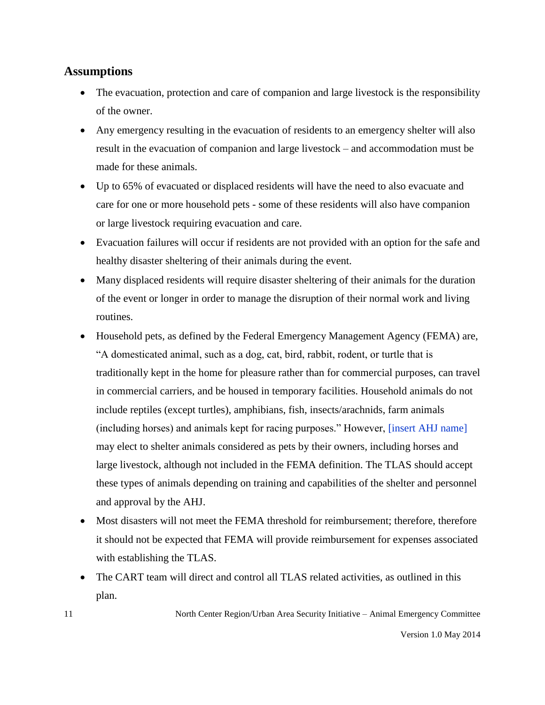### <span id="page-10-0"></span>**Assumptions**

- The evacuation, protection and care of companion and large livestock is the responsibility of the owner.
- Any emergency resulting in the evacuation of residents to an emergency shelter will also result in the evacuation of companion and large livestock – and accommodation must be made for these animals.
- Up to 65% of evacuated or displaced residents will have the need to also evacuate and care for one or more household pets - some of these residents will also have companion or large livestock requiring evacuation and care.
- Evacuation failures will occur if residents are not provided with an option for the safe and healthy disaster sheltering of their animals during the event.
- Many displaced residents will require disaster sheltering of their animals for the duration of the event or longer in order to manage the disruption of their normal work and living routines.
- Household pets, as defined by the Federal Emergency Management Agency (FEMA) are, "A domesticated animal, such as a dog, cat, bird, rabbit, rodent, or turtle that is traditionally kept in the home for pleasure rather than for commercial purposes, can travel in commercial carriers, and be housed in temporary facilities. Household animals do not include reptiles (except turtles), amphibians, fish, insects/arachnids, farm animals (including horses) and animals kept for racing purposes." However, [insert AHJ name] may elect to shelter animals considered as pets by their owners, including horses and large livestock, although not included in the FEMA definition. The TLAS should accept these types of animals depending on training and capabilities of the shelter and personnel and approval by the AHJ.
- Most disasters will not meet the FEMA threshold for reimbursement; therefore, therefore it should not be expected that FEMA will provide reimbursement for expenses associated with establishing the TLAS.
- The CART team will direct and control all TLAS related activities, as outlined in this plan.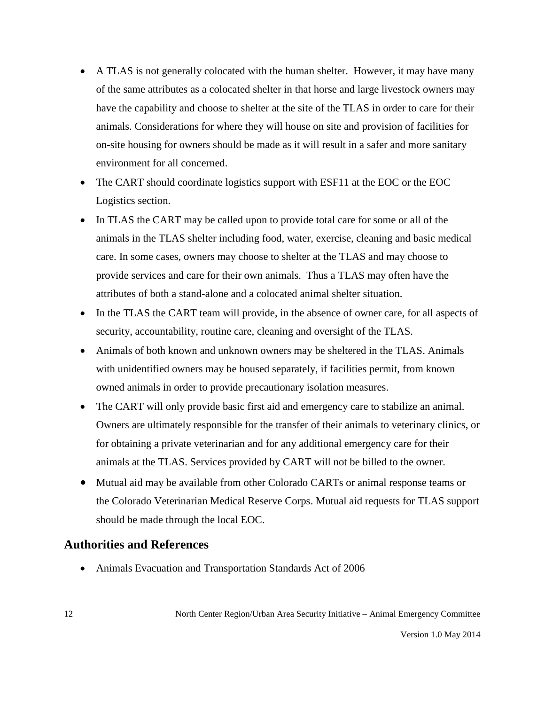- A TLAS is not generally colocated with the human shelter. However, it may have many of the same attributes as a colocated shelter in that horse and large livestock owners may have the capability and choose to shelter at the site of the TLAS in order to care for their animals. Considerations for where they will house on site and provision of facilities for on-site housing for owners should be made as it will result in a safer and more sanitary environment for all concerned.
- The CART should coordinate logistics support with ESF11 at the EOC or the EOC Logistics section.
- In TLAS the CART may be called upon to provide total care for some or all of the animals in the TLAS shelter including food, water, exercise, cleaning and basic medical care. In some cases, owners may choose to shelter at the TLAS and may choose to provide services and care for their own animals. Thus a TLAS may often have the attributes of both a stand-alone and a colocated animal shelter situation.
- In the TLAS the CART team will provide, in the absence of owner care, for all aspects of security, accountability, routine care, cleaning and oversight of the TLAS.
- Animals of both known and unknown owners may be sheltered in the TLAS. Animals with unidentified owners may be housed separately, if facilities permit, from known owned animals in order to provide precautionary isolation measures.
- The CART will only provide basic first aid and emergency care to stabilize an animal. Owners are ultimately responsible for the transfer of their animals to veterinary clinics, or for obtaining a private veterinarian and for any additional emergency care for their animals at the TLAS. Services provided by CART will not be billed to the owner.
- Mutual aid may be available from other Colorado CARTs or animal response teams or the Colorado Veterinarian Medical Reserve Corps. Mutual aid requests for TLAS support should be made through the local EOC.

# <span id="page-11-0"></span>**Authorities and References**

Animals Evacuation and Transportation Standards Act of 2006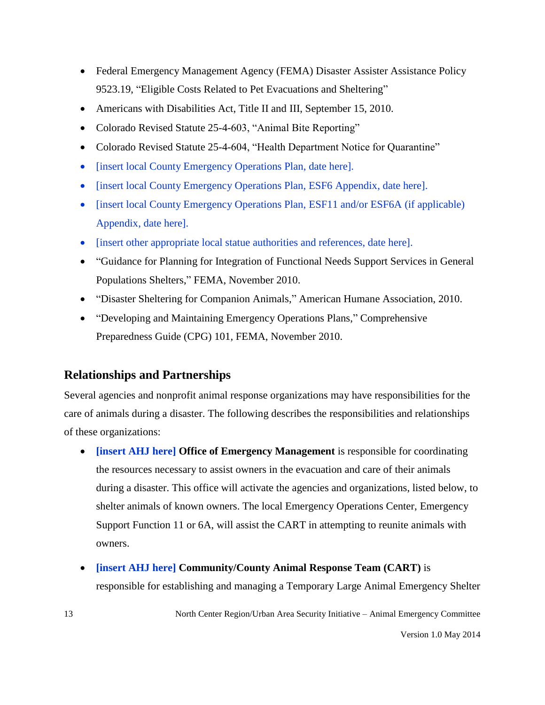- Federal Emergency Management Agency (FEMA) Disaster Assister Assistance Policy 9523.19, "Eligible Costs Related to Pet Evacuations and Sheltering"
- Americans with Disabilities Act, Title II and III, September 15, 2010.
- Colorado Revised Statute 25-4-603, "Animal Bite Reporting"
- Colorado Revised Statute 25-4-604, "Health Department Notice for Quarantine"
- [insert local County Emergency Operations Plan, date here].
- [insert local County Emergency Operations Plan, ESF6 Appendix, date here].
- [insert local County Emergency Operations Plan, ESF11 and/or ESF6A (if applicable) Appendix, date here].
- [insert other appropriate local statue authorities and references, date here].
- "Guidance for Planning for Integration of Functional Needs Support Services in General Populations Shelters," FEMA, November 2010.
- "Disaster Sheltering for Companion Animals," American Humane Association, 2010.
- "Developing and Maintaining Emergency Operations Plans," Comprehensive Preparedness Guide (CPG) 101*,* FEMA, November 2010.

### <span id="page-12-0"></span>**Relationships and Partnerships**

Several agencies and nonprofit animal response organizations may have responsibilities for the care of animals during a disaster. The following describes the responsibilities and relationships of these organizations:

- **[insert AHJ here] Office of Emergency Management** is responsible for coordinating the resources necessary to assist owners in the evacuation and care of their animals during a disaster. This office will activate the agencies and organizations, listed below, to shelter animals of known owners. The local Emergency Operations Center, Emergency Support Function 11 or 6A, will assist the CART in attempting to reunite animals with owners.
- **[insert AHJ here] Community/County Animal Response Team (CART)** is responsible for establishing and managing a Temporary Large Animal Emergency Shelter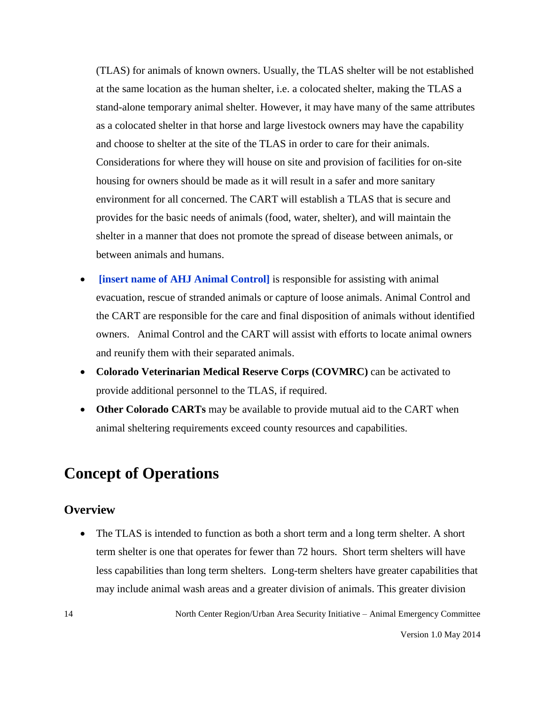(TLAS) for animals of known owners. Usually, the TLAS shelter will be not established at the same location as the human shelter, i.e. a colocated shelter, making the TLAS a stand-alone temporary animal shelter. However, it may have many of the same attributes as a colocated shelter in that horse and large livestock owners may have the capability and choose to shelter at the site of the TLAS in order to care for their animals. Considerations for where they will house on site and provision of facilities for on-site housing for owners should be made as it will result in a safer and more sanitary environment for all concerned. The CART will establish a TLAS that is secure and provides for the basic needs of animals (food, water, shelter), and will maintain the shelter in a manner that does not promote the spread of disease between animals, or between animals and humans.

- **[insert name of AHJ Animal Control]** is responsible for assisting with animal evacuation, rescue of stranded animals or capture of loose animals. Animal Control and the CART are responsible for the care and final disposition of animals without identified owners. Animal Control and the CART will assist with efforts to locate animal owners and reunify them with their separated animals.
- **Colorado Veterinarian Medical Reserve Corps (COVMRC)** can be activated to provide additional personnel to the TLAS, if required.
- **Other Colorado CARTs** may be available to provide mutual aid to the CART when animal sheltering requirements exceed county resources and capabilities.

# <span id="page-13-0"></span>**Concept of Operations**

### <span id="page-13-1"></span>**Overview**

 The TLAS is intended to function as both a short term and a long term shelter. A short term shelter is one that operates for fewer than 72 hours. Short term shelters will have less capabilities than long term shelters. Long-term shelters have greater capabilities that may include animal wash areas and a greater division of animals. This greater division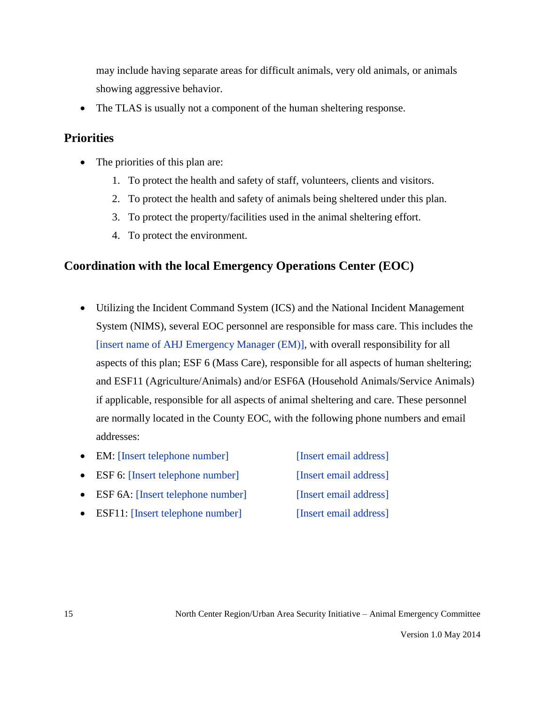may include having separate areas for difficult animals, very old animals, or animals showing aggressive behavior.

• The TLAS is usually not a component of the human sheltering response.

# <span id="page-14-0"></span>**Priorities**

- The priorities of this plan are:
	- 1. To protect the health and safety of staff, volunteers, clients and visitors.
	- 2. To protect the health and safety of animals being sheltered under this plan.
	- 3. To protect the property/facilities used in the animal sheltering effort.
	- 4. To protect the environment.

# <span id="page-14-1"></span>**Coordination with the local Emergency Operations Center (EOC)**

- Utilizing the Incident Command System (ICS) and the National Incident Management System (NIMS), several EOC personnel are responsible for mass care. This includes the [insert name of AHJ Emergency Manager (EM)], with overall responsibility for all aspects of this plan; ESF 6 (Mass Care), responsible for all aspects of human sheltering; and ESF11 (Agriculture/Animals) and/or ESF6A (Household Animals/Service Animals) if applicable, responsible for all aspects of animal sheltering and care. These personnel are normally located in the County EOC, with the following phone numbers and email addresses:
- EM: [Insert telephone number] [Insert email address]
- ESF 6: [Insert telephone number] [Insert email address]
- 
- ESF 6A: [Insert telephone number] [Insert email address]
- -
- ESF11: [Insert telephone number] [Insert email address]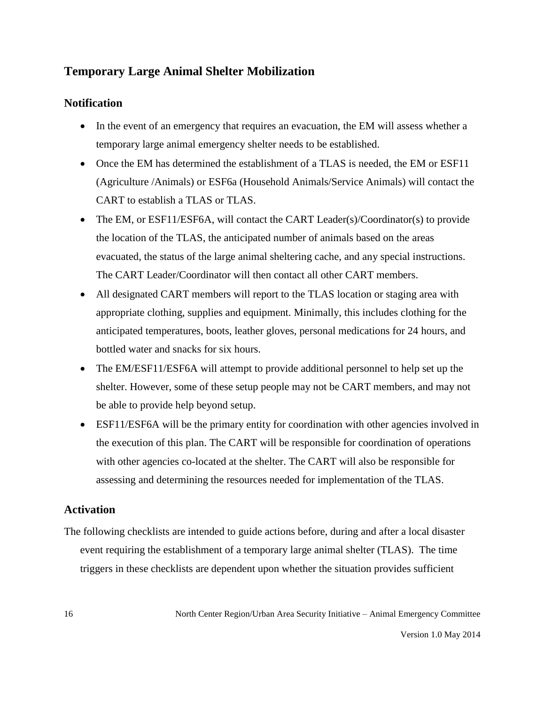# <span id="page-15-0"></span>**Temporary Large Animal Shelter Mobilization**

# <span id="page-15-1"></span>**Notification**

- In the event of an emergency that requires an evacuation, the EM will assess whether a temporary large animal emergency shelter needs to be established.
- Once the EM has determined the establishment of a TLAS is needed, the EM or ESF11 (Agriculture /Animals) or ESF6a (Household Animals/Service Animals) will contact the CART to establish a TLAS or TLAS.
- The EM, or ESF11/ESF6A, will contact the CART Leader(s)/Coordinator(s) to provide the location of the TLAS, the anticipated number of animals based on the areas evacuated, the status of the large animal sheltering cache, and any special instructions. The CART Leader/Coordinator will then contact all other CART members.
- All designated CART members will report to the TLAS location or staging area with appropriate clothing, supplies and equipment. Minimally, this includes clothing for the anticipated temperatures, boots, leather gloves, personal medications for 24 hours, and bottled water and snacks for six hours.
- The EM/ESF11/ESF6A will attempt to provide additional personnel to help set up the shelter. However, some of these setup people may not be CART members, and may not be able to provide help beyond setup.
- ESF11/ESF6A will be the primary entity for coordination with other agencies involved in the execution of this plan. The CART will be responsible for coordination of operations with other agencies co-located at the shelter. The CART will also be responsible for assessing and determining the resources needed for implementation of the TLAS.

### <span id="page-15-2"></span>**Activation**

The following checklists are intended to guide actions before, during and after a local disaster event requiring the establishment of a temporary large animal shelter (TLAS). The time triggers in these checklists are dependent upon whether the situation provides sufficient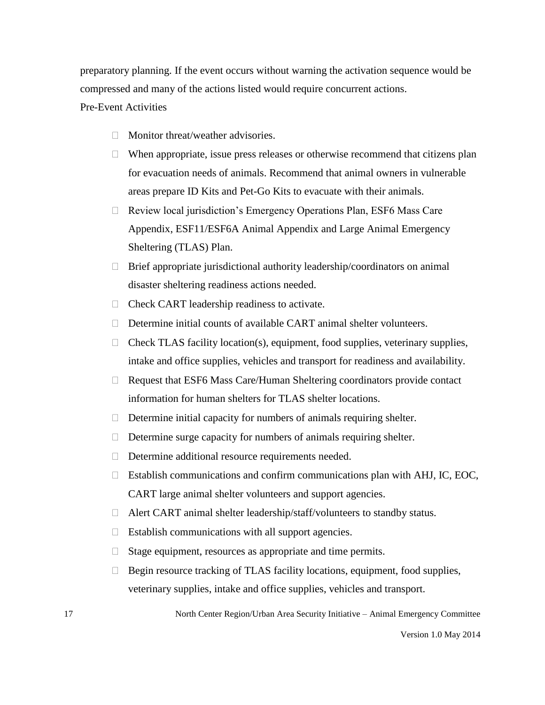preparatory planning. If the event occurs without warning the activation sequence would be compressed and many of the actions listed would require concurrent actions.

Pre-Event Activities

- $\Box$  Monitor threat/weather advisories.
- $\Box$  When appropriate, issue press releases or otherwise recommend that citizens plan for evacuation needs of animals. Recommend that animal owners in vulnerable areas prepare ID Kits and Pet-Go Kits to evacuate with their animals.
- □ Review local jurisdiction's Emergency Operations Plan, ESF6 Mass Care Appendix, ESF11/ESF6A Animal Appendix and Large Animal Emergency Sheltering (TLAS) Plan.
- $\Box$  Brief appropriate jurisdictional authority leadership/coordinators on animal disaster sheltering readiness actions needed.
- $\Box$  Check CART leadership readiness to activate.
- $\Box$  Determine initial counts of available CART animal shelter volunteers.
- $\Box$  Check TLAS facility location(s), equipment, food supplies, veterinary supplies, intake and office supplies, vehicles and transport for readiness and availability.
- $\Box$  Request that ESF6 Mass Care/Human Sheltering coordinators provide contact information for human shelters for TLAS shelter locations.
- $\Box$  Determine initial capacity for numbers of animals requiring shelter.
- $\Box$  Determine surge capacity for numbers of animals requiring shelter.
- $\Box$  Determine additional resource requirements needed.
- $\Box$  Establish communications and confirm communications plan with AHJ, IC, EOC, CART large animal shelter volunteers and support agencies.
- $\Box$  Alert CART animal shelter leadership/staff/volunteers to standby status.
- $\Box$  Establish communications with all support agencies.
- $\Box$  Stage equipment, resources as appropriate and time permits.
- $\Box$  Begin resource tracking of TLAS facility locations, equipment, food supplies, veterinary supplies, intake and office supplies, vehicles and transport.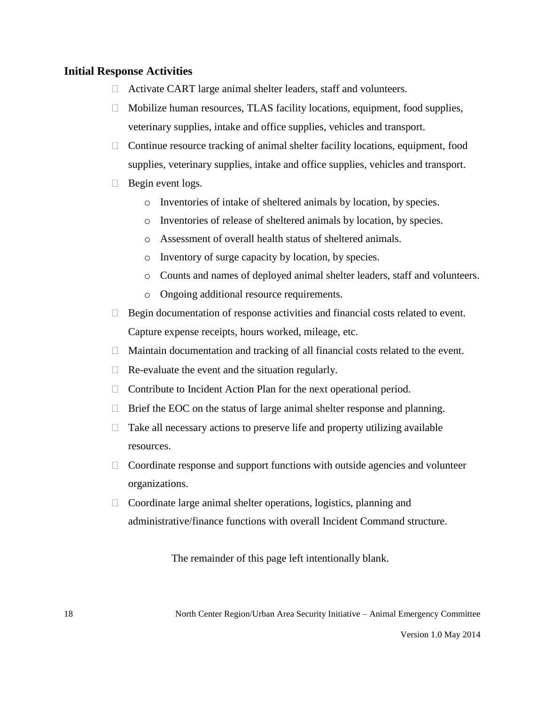#### <span id="page-17-0"></span>**Initial Response Activities**

- Activate CART large animal shelter leaders, staff and volunteers.
- $\Box$  Mobilize human resources, TLAS facility locations, equipment, food supplies, veterinary supplies, intake and office supplies, vehicles and transport.
- $\Box$  Continue resource tracking of animal shelter facility locations, equipment, food supplies, veterinary supplies, intake and office supplies, vehicles and transport.
- $\Box$  Begin event logs.
	- o Inventories of intake of sheltered animals by location, by species.
	- o Inventories of release of sheltered animals by location, by species.
	- o Assessment of overall health status of sheltered animals.
	- o Inventory of surge capacity by location, by species.
	- o Counts and names of deployed animal shelter leaders, staff and volunteers.
	- o Ongoing additional resource requirements.
- $\Box$  Begin documentation of response activities and financial costs related to event. Capture expense receipts, hours worked, mileage, etc.
- $\Box$  Maintain documentation and tracking of all financial costs related to the event.
- $\Box$  Re-evaluate the event and the situation regularly.
- $\Box$  Contribute to Incident Action Plan for the next operational period.
- $\Box$  Brief the EOC on the status of large animal shelter response and planning.
- $\Box$  Take all necessary actions to preserve life and property utilizing available resources.
- $\Box$  Coordinate response and support functions with outside agencies and volunteer organizations.
- $\Box$  Coordinate large animal shelter operations, logistics, planning and administrative/finance functions with overall Incident Command structure.

The remainder of this page left intentionally blank.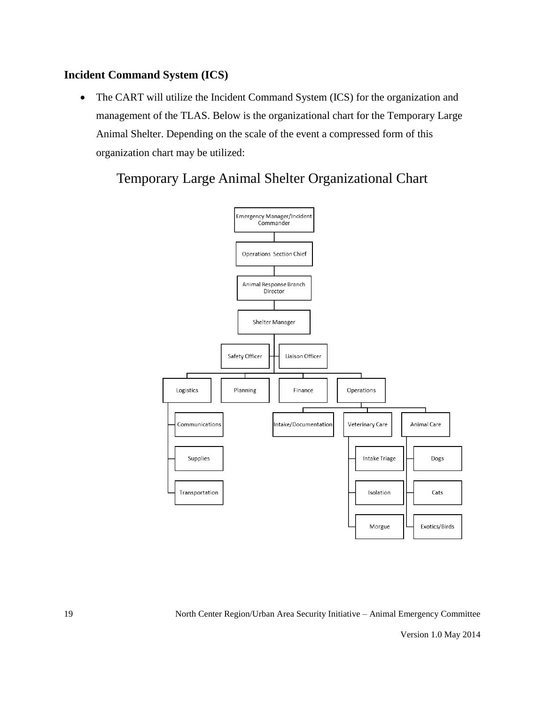# <span id="page-18-0"></span>**Incident Command System (ICS)**

• The CART will utilize the Incident Command System (ICS) for the organization and management of the TLAS. Below is the organizational chart for the Temporary Large Animal Shelter. Depending on the scale of the event a compressed form of this organization chart may be utilized:

Temporary Large Animal Shelter Organizational Chart



North Center Region/Urban Area Security Initiative – Animal Emergency Committee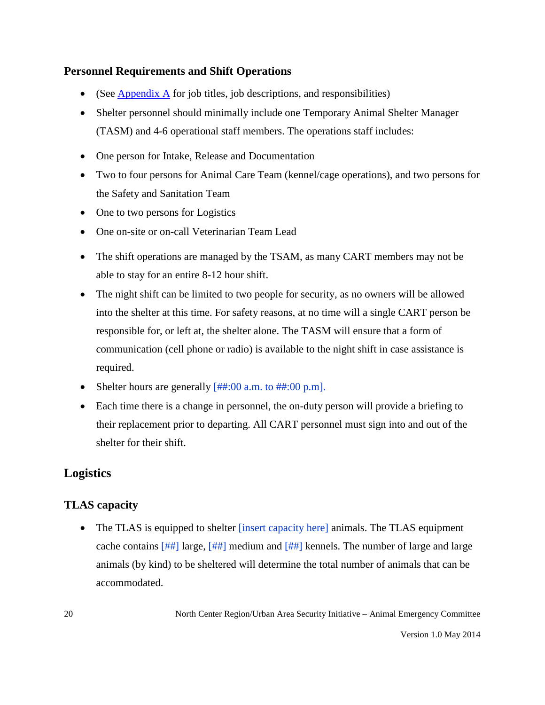### <span id="page-19-0"></span>**Personnel Requirements and Shift Operations**

- (See [Appendix](#page-43-1) A for job titles, job descriptions, and responsibilities)
- Shelter personnel should minimally include one Temporary Animal Shelter Manager (TASM) and 4-6 operational staff members. The operations staff includes:
- One person for Intake, Release and Documentation
- Two to four persons for Animal Care Team (kennel/cage operations), and two persons for the Safety and Sanitation Team
- One to two persons for Logistics
- One on-site or on-call Veterinarian Team Lead
- The shift operations are managed by the TSAM, as many CART members may not be able to stay for an entire 8-12 hour shift.
- The night shift can be limited to two people for security, as no owners will be allowed into the shelter at this time. For safety reasons, at no time will a single CART person be responsible for, or left at, the shelter alone. The TASM will ensure that a form of communication (cell phone or radio) is available to the night shift in case assistance is required.
- Shelter hours are generally  $[\# \# : 00 \text{ a.m. to } \# \# : 00 \text{ p.m}].$
- Each time there is a change in personnel, the on-duty person will provide a briefing to their replacement prior to departing. All CART personnel must sign into and out of the shelter for their shift.

# <span id="page-19-1"></span>**Logistics**

# <span id="page-19-2"></span>**TLAS capacity**

• The TLAS is equipped to shelter [insert capacity here] animals. The TLAS equipment cache contains [##] large, [##] medium and [##] kennels. The number of large and large animals (by kind) to be sheltered will determine the total number of animals that can be accommodated.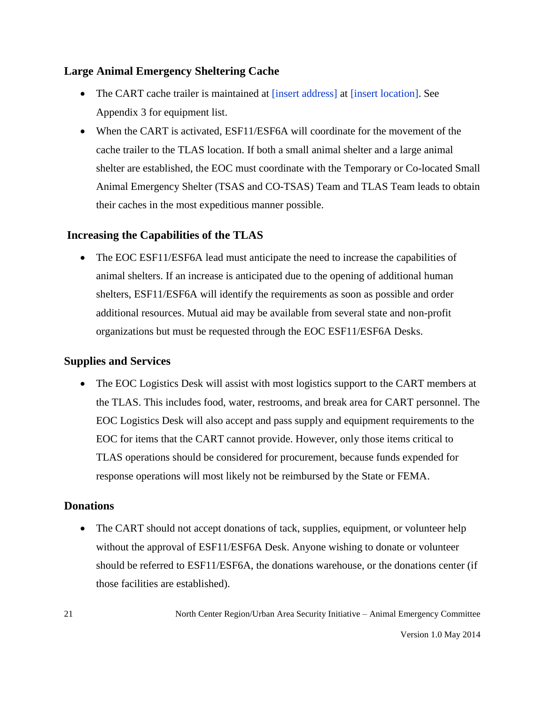## <span id="page-20-0"></span>**Large Animal Emergency Sheltering Cache**

- The CART cache trailer is maintained at [insert address] at [insert location]. See Appendix 3 for equipment list.
- When the CART is activated, ESF11/ESF6A will coordinate for the movement of the cache trailer to the TLAS location. If both a small animal shelter and a large animal shelter are established, the EOC must coordinate with the Temporary or Co-located Small Animal Emergency Shelter (TSAS and CO-TSAS) Team and TLAS Team leads to obtain their caches in the most expeditious manner possible.

## <span id="page-20-1"></span>**Increasing the Capabilities of the TLAS**

• The EOC ESF11/ESF6A lead must anticipate the need to increase the capabilities of animal shelters. If an increase is anticipated due to the opening of additional human shelters, ESF11/ESF6A will identify the requirements as soon as possible and order additional resources. Mutual aid may be available from several state and non-profit organizations but must be requested through the EOC ESF11/ESF6A Desks.

### <span id="page-20-2"></span>**Supplies and Services**

 The EOC Logistics Desk will assist with most logistics support to the CART members at the TLAS. This includes food, water, restrooms, and break area for CART personnel. The EOC Logistics Desk will also accept and pass supply and equipment requirements to the EOC for items that the CART cannot provide. However, only those items critical to TLAS operations should be considered for procurement, because funds expended for response operations will most likely not be reimbursed by the State or FEMA.

### <span id="page-20-3"></span>**Donations**

• The CART should not accept donations of tack, supplies, equipment, or volunteer help without the approval of ESF11/ESF6A Desk. Anyone wishing to donate or volunteer should be referred to ESF11/ESF6A, the donations warehouse, or the donations center (if those facilities are established).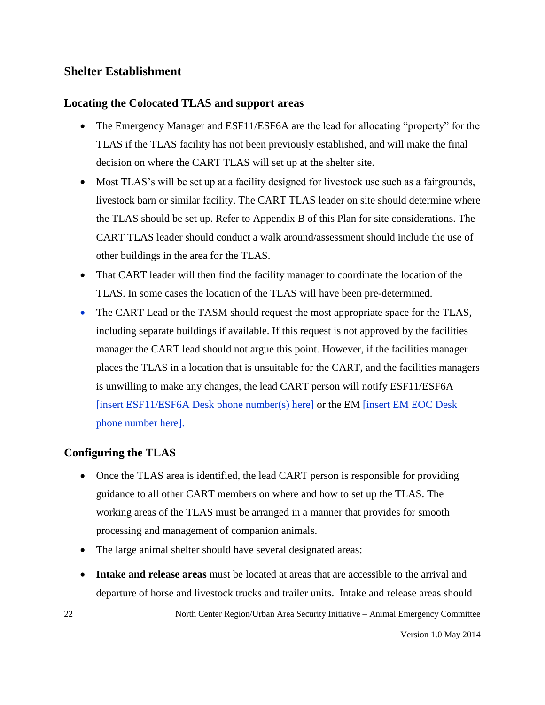# <span id="page-21-0"></span>**Shelter Establishment**

### <span id="page-21-1"></span>**Locating the Colocated TLAS and support areas**

- The Emergency Manager and ESF11/ESF6A are the lead for allocating "property" for the TLAS if the TLAS facility has not been previously established, and will make the final decision on where the CART TLAS will set up at the shelter site.
- Most TLAS's will be set up at a facility designed for livestock use such as a fairgrounds, livestock barn or similar facility. The CART TLAS leader on site should determine where the TLAS should be set up. Refer to Appendix B of this Plan for site considerations. The CART TLAS leader should conduct a walk around/assessment should include the use of other buildings in the area for the TLAS.
- That CART leader will then find the facility manager to coordinate the location of the TLAS. In some cases the location of the TLAS will have been pre-determined.
- The CART Lead or the TASM should request the most appropriate space for the TLAS, including separate buildings if available. If this request is not approved by the facilities manager the CART lead should not argue this point. However, if the facilities manager places the TLAS in a location that is unsuitable for the CART, and the facilities managers is unwilling to make any changes, the lead CART person will notify ESF11/ESF6A [insert ESF11/ESF6A Desk phone number(s) here] or the EM [insert EM EOC Desk phone number here].

### <span id="page-21-2"></span>**Configuring the TLAS**

- Once the TLAS area is identified, the lead CART person is responsible for providing guidance to all other CART members on where and how to set up the TLAS. The working areas of the TLAS must be arranged in a manner that provides for smooth processing and management of companion animals.
- The large animal shelter should have several designated areas:
- **Intake and release areas** must be located at areas that are accessible to the arrival and departure of horse and livestock trucks and trailer units. Intake and release areas should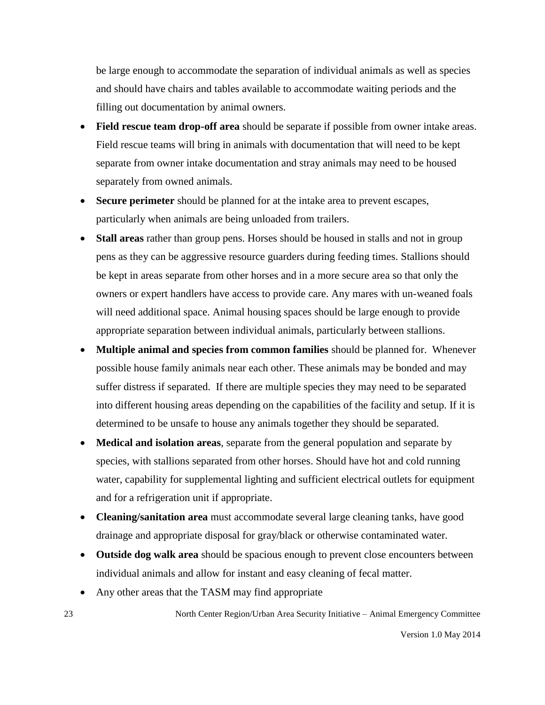be large enough to accommodate the separation of individual animals as well as species and should have chairs and tables available to accommodate waiting periods and the filling out documentation by animal owners.

- **Field rescue team drop-off area** should be separate if possible from owner intake areas. Field rescue teams will bring in animals with documentation that will need to be kept separate from owner intake documentation and stray animals may need to be housed separately from owned animals.
- **Secure perimeter** should be planned for at the intake area to prevent escapes, particularly when animals are being unloaded from trailers.
- **Stall areas** rather than group pens. Horses should be housed in stalls and not in group pens as they can be aggressive resource guarders during feeding times. Stallions should be kept in areas separate from other horses and in a more secure area so that only the owners or expert handlers have access to provide care. Any mares with un-weaned foals will need additional space. Animal housing spaces should be large enough to provide appropriate separation between individual animals, particularly between stallions.
- **Multiple animal and species from common families** should be planned for. Whenever possible house family animals near each other. These animals may be bonded and may suffer distress if separated. If there are multiple species they may need to be separated into different housing areas depending on the capabilities of the facility and setup. If it is determined to be unsafe to house any animals together they should be separated.
- **Medical and isolation areas**, separate from the general population and separate by species, with stallions separated from other horses. Should have hot and cold running water, capability for supplemental lighting and sufficient electrical outlets for equipment and for a refrigeration unit if appropriate.
- **Cleaning/sanitation area** must accommodate several large cleaning tanks, have good drainage and appropriate disposal for gray/black or otherwise contaminated water.
- **Outside dog walk area** should be spacious enough to prevent close encounters between individual animals and allow for instant and easy cleaning of fecal matter.
- Any other areas that the TASM may find appropriate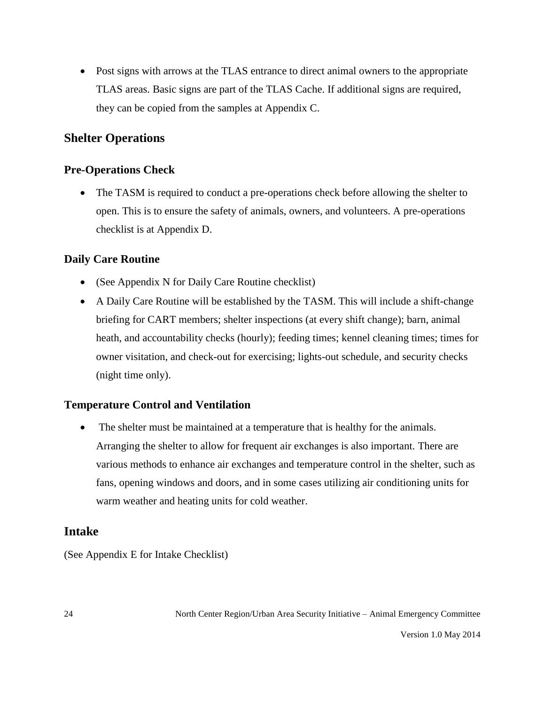• Post signs with arrows at the TLAS entrance to direct animal owners to the appropriate TLAS areas. Basic signs are part of the TLAS Cache. If additional signs are required, they can be copied from the samples at Appendix C.

# <span id="page-23-0"></span>**Shelter Operations**

## <span id="page-23-1"></span>**Pre-Operations Check**

 The TASM is required to conduct a pre-operations check before allowing the shelter to open. This is to ensure the safety of animals, owners, and volunteers. A pre-operations checklist is at Appendix D.

## <span id="page-23-2"></span>**Daily Care Routine**

- (See Appendix N for Daily Care Routine checklist)
- A Daily Care Routine will be established by the TASM. This will include a shift-change briefing for CART members; shelter inspections (at every shift change); barn, animal heath, and accountability checks (hourly); feeding times; kennel cleaning times; times for owner visitation, and check-out for exercising; lights-out schedule, and security checks (night time only).

# <span id="page-23-3"></span>**Temperature Control and Ventilation**

 The shelter must be maintained at a temperature that is healthy for the animals. Arranging the shelter to allow for frequent air exchanges is also important. There are various methods to enhance air exchanges and temperature control in the shelter, such as fans, opening windows and doors, and in some cases utilizing air conditioning units for warm weather and heating units for cold weather.

### <span id="page-23-4"></span>**Intake**

(See Appendix E for Intake Checklist)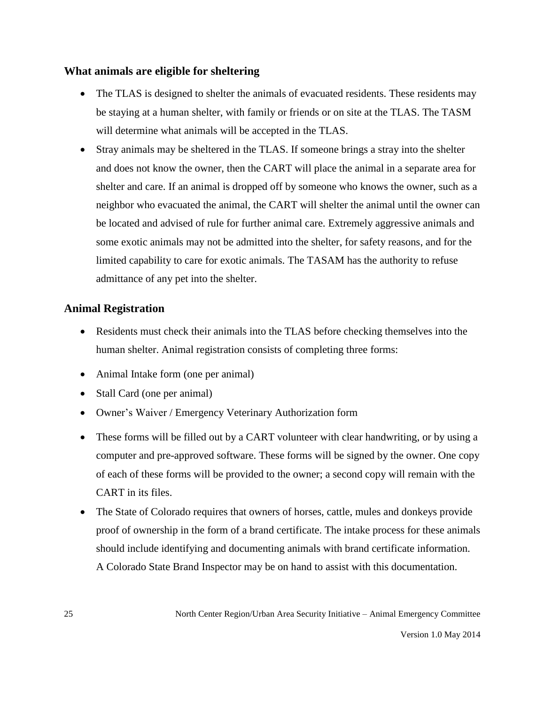### <span id="page-24-0"></span>**What animals are eligible for sheltering**

- The TLAS is designed to shelter the animals of evacuated residents. These residents may be staying at a human shelter, with family or friends or on site at the TLAS. The TASM will determine what animals will be accepted in the TLAS.
- Stray animals may be sheltered in the TLAS. If someone brings a stray into the shelter and does not know the owner, then the CART will place the animal in a separate area for shelter and care. If an animal is dropped off by someone who knows the owner, such as a neighbor who evacuated the animal, the CART will shelter the animal until the owner can be located and advised of rule for further animal care. Extremely aggressive animals and some exotic animals may not be admitted into the shelter, for safety reasons, and for the limited capability to care for exotic animals. The TASAM has the authority to refuse admittance of any pet into the shelter.

# <span id="page-24-1"></span>**Animal Registration**

- Residents must check their animals into the TLAS before checking themselves into the human shelter. Animal registration consists of completing three forms:
- Animal Intake form (one per animal)
- Stall Card (one per animal)
- Owner's Waiver / Emergency Veterinary Authorization form
- These forms will be filled out by a CART volunteer with clear handwriting, or by using a computer and pre-approved software. These forms will be signed by the owner. One copy of each of these forms will be provided to the owner; a second copy will remain with the CART in its files.
- The State of Colorado requires that owners of horses, cattle, mules and donkeys provide proof of ownership in the form of a brand certificate. The intake process for these animals should include identifying and documenting animals with brand certificate information. A Colorado State Brand Inspector may be on hand to assist with this documentation.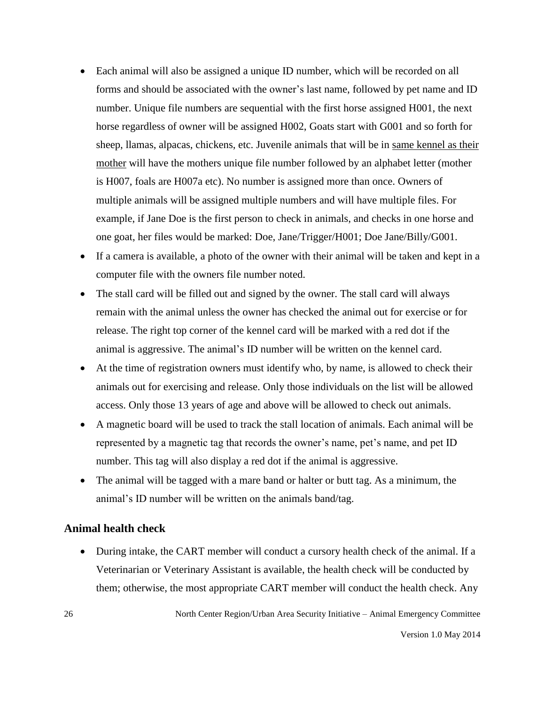- Each animal will also be assigned a unique ID number, which will be recorded on all forms and should be associated with the owner's last name, followed by pet name and ID number. Unique file numbers are sequential with the first horse assigned H001, the next horse regardless of owner will be assigned H002, Goats start with G001 and so forth for sheep, llamas, alpacas, chickens, etc. Juvenile animals that will be in same kennel as their mother will have the mothers unique file number followed by an alphabet letter (mother is H007, foals are H007a etc). No number is assigned more than once. Owners of multiple animals will be assigned multiple numbers and will have multiple files. For example, if Jane Doe is the first person to check in animals, and checks in one horse and one goat, her files would be marked: Doe, Jane/Trigger/H001; Doe Jane/Billy/G001.
- If a camera is available, a photo of the owner with their animal will be taken and kept in a computer file with the owners file number noted.
- The stall card will be filled out and signed by the owner. The stall card will always remain with the animal unless the owner has checked the animal out for exercise or for release. The right top corner of the kennel card will be marked with a red dot if the animal is aggressive. The animal's ID number will be written on the kennel card.
- At the time of registration owners must identify who, by name, is allowed to check their animals out for exercising and release. Only those individuals on the list will be allowed access. Only those 13 years of age and above will be allowed to check out animals.
- A magnetic board will be used to track the stall location of animals. Each animal will be represented by a magnetic tag that records the owner's name, pet's name, and pet ID number. This tag will also display a red dot if the animal is aggressive.
- The animal will be tagged with a mare band or halter or butt tag. As a minimum, the animal's ID number will be written on the animals band/tag.

### <span id="page-25-0"></span>**Animal health check**

 During intake, the CART member will conduct a cursory health check of the animal. If a Veterinarian or Veterinary Assistant is available, the health check will be conducted by them; otherwise, the most appropriate CART member will conduct the health check. Any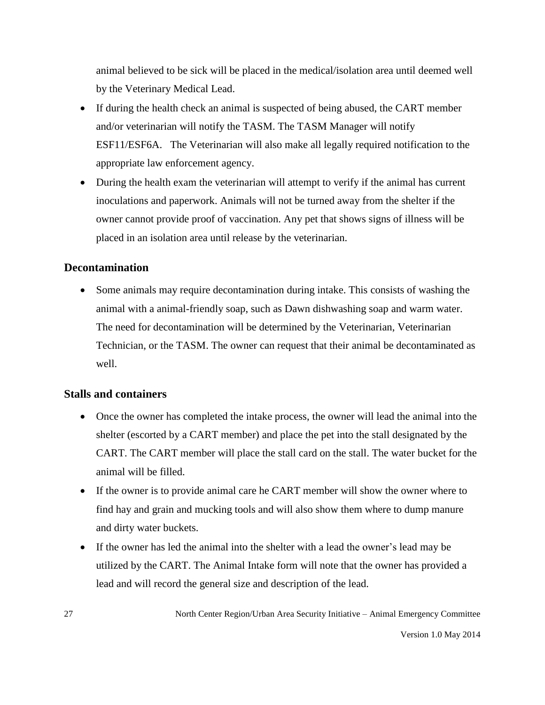animal believed to be sick will be placed in the medical/isolation area until deemed well by the Veterinary Medical Lead.

- If during the health check an animal is suspected of being abused, the CART member and/or veterinarian will notify the TASM. The TASM Manager will notify ESF11/ESF6A. The Veterinarian will also make all legally required notification to the appropriate law enforcement agency.
- During the health exam the veterinarian will attempt to verify if the animal has current inoculations and paperwork. Animals will not be turned away from the shelter if the owner cannot provide proof of vaccination. Any pet that shows signs of illness will be placed in an isolation area until release by the veterinarian.

### <span id="page-26-0"></span>**Decontamination**

 Some animals may require decontamination during intake. This consists of washing the animal with a animal-friendly soap, such as Dawn dishwashing soap and warm water. The need for decontamination will be determined by the Veterinarian, Veterinarian Technician, or the TASM. The owner can request that their animal be decontaminated as well.

### <span id="page-26-1"></span>**Stalls and containers**

- Once the owner has completed the intake process, the owner will lead the animal into the shelter (escorted by a CART member) and place the pet into the stall designated by the CART. The CART member will place the stall card on the stall. The water bucket for the animal will be filled.
- If the owner is to provide animal care he CART member will show the owner where to find hay and grain and mucking tools and will also show them where to dump manure and dirty water buckets.
- If the owner has led the animal into the shelter with a lead the owner's lead may be utilized by the CART. The Animal Intake form will note that the owner has provided a lead and will record the general size and description of the lead.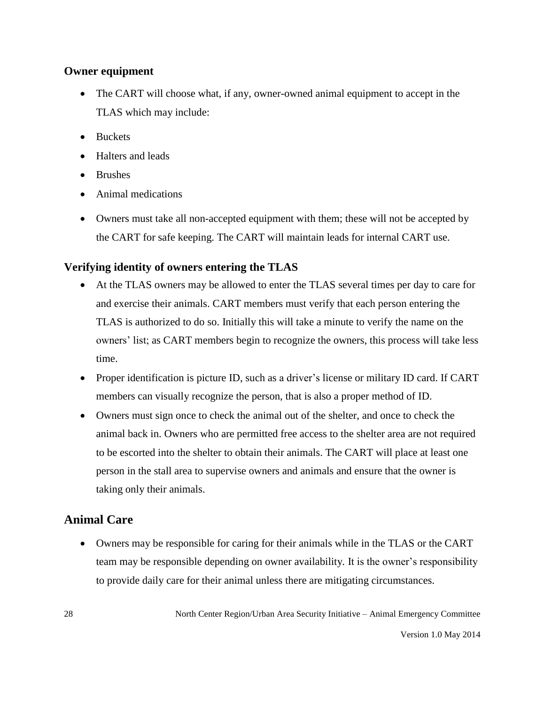### <span id="page-27-0"></span>**Owner equipment**

- The CART will choose what, if any, owner-owned animal equipment to accept in the TLAS which may include:
- Buckets
- Halters and leads
- Brushes
- Animal medications
- Owners must take all non-accepted equipment with them; these will not be accepted by the CART for safe keeping. The CART will maintain leads for internal CART use.

# <span id="page-27-1"></span>**Verifying identity of owners entering the TLAS**

- At the TLAS owners may be allowed to enter the TLAS several times per day to care for and exercise their animals. CART members must verify that each person entering the TLAS is authorized to do so. Initially this will take a minute to verify the name on the owners' list; as CART members begin to recognize the owners, this process will take less time.
- Proper identification is picture ID, such as a driver's license or military ID card. If CART members can visually recognize the person, that is also a proper method of ID.
- Owners must sign once to check the animal out of the shelter, and once to check the animal back in. Owners who are permitted free access to the shelter area are not required to be escorted into the shelter to obtain their animals. The CART will place at least one person in the stall area to supervise owners and animals and ensure that the owner is taking only their animals.

# <span id="page-27-2"></span>**Animal Care**

 Owners may be responsible for caring for their animals while in the TLAS or the CART team may be responsible depending on owner availability. It is the owner's responsibility to provide daily care for their animal unless there are mitigating circumstances.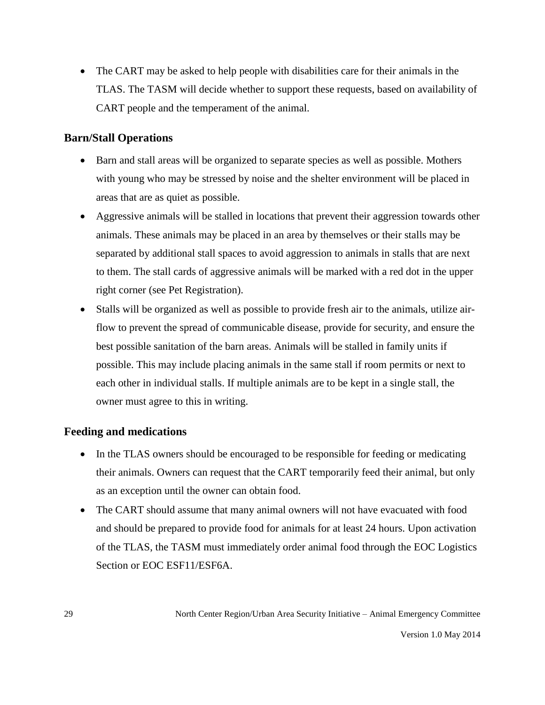The CART may be asked to help people with disabilities care for their animals in the TLAS. The TASM will decide whether to support these requests, based on availability of CART people and the temperament of the animal.

### <span id="page-28-0"></span>**Barn/Stall Operations**

- Barn and stall areas will be organized to separate species as well as possible. Mothers with young who may be stressed by noise and the shelter environment will be placed in areas that are as quiet as possible.
- Aggressive animals will be stalled in locations that prevent their aggression towards other animals. These animals may be placed in an area by themselves or their stalls may be separated by additional stall spaces to avoid aggression to animals in stalls that are next to them. The stall cards of aggressive animals will be marked with a red dot in the upper right corner (see Pet Registration).
- Stalls will be organized as well as possible to provide fresh air to the animals, utilize airflow to prevent the spread of communicable disease, provide for security, and ensure the best possible sanitation of the barn areas. Animals will be stalled in family units if possible. This may include placing animals in the same stall if room permits or next to each other in individual stalls. If multiple animals are to be kept in a single stall, the owner must agree to this in writing.

### <span id="page-28-1"></span>**Feeding and medications**

- In the TLAS owners should be encouraged to be responsible for feeding or medicating their animals. Owners can request that the CART temporarily feed their animal, but only as an exception until the owner can obtain food.
- The CART should assume that many animal owners will not have evacuated with food and should be prepared to provide food for animals for at least 24 hours. Upon activation of the TLAS, the TASM must immediately order animal food through the EOC Logistics Section or EOC ESF11/ESF6A.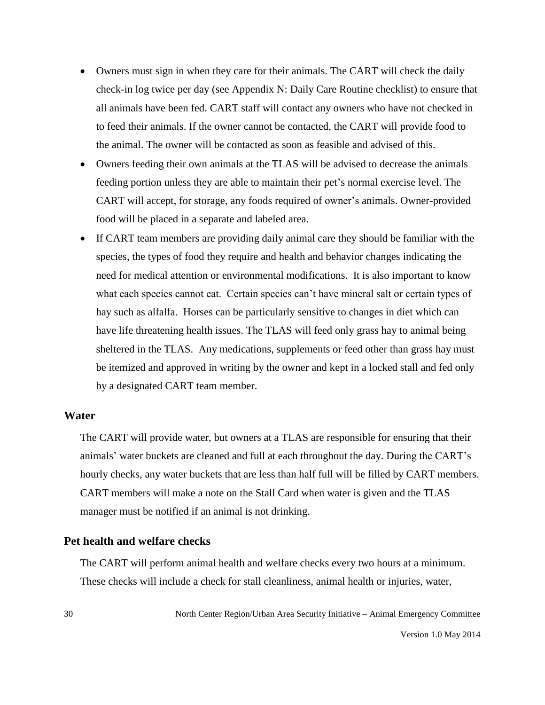- Owners must sign in when they care for their animals. The CART will check the daily check-in log twice per day (see Appendix N: Daily Care Routine checklist) to ensure that all animals have been fed. CART staff will contact any owners who have not checked in to feed their animals. If the owner cannot be contacted, the CART will provide food to the animal. The owner will be contacted as soon as feasible and advised of this.
- Owners feeding their own animals at the TLAS will be advised to decrease the animals feeding portion unless they are able to maintain their pet's normal exercise level. The CART will accept, for storage, any foods required of owner's animals. Owner-provided food will be placed in a separate and labeled area.
- If CART team members are providing daily animal care they should be familiar with the species, the types of food they require and health and behavior changes indicating the need for medical attention or environmental modifications. It is also important to know what each species cannot eat. Certain species can't have mineral salt or certain types of hay such as alfalfa. Horses can be particularly sensitive to changes in diet which can have life threatening health issues. The TLAS will feed only grass hay to animal being sheltered in the TLAS. Any medications, supplements or feed other than grass hay must be itemized and approved in writing by the owner and kept in a locked stall and fed only by a designated CART team member.

#### <span id="page-29-0"></span>**Water**

The CART will provide water, but owners at a TLAS are responsible for ensuring that their animals' water buckets are cleaned and full at each throughout the day. During the CART's hourly checks, any water buckets that are less than half full will be filled by CART members. CART members will make a note on the Stall Card when water is given and the TLAS manager must be notified if an animal is not drinking.

#### <span id="page-29-1"></span>**Pet health and welfare checks**

The CART will perform animal health and welfare checks every two hours at a minimum. These checks will include a check for stall cleanliness, animal health or injuries, water,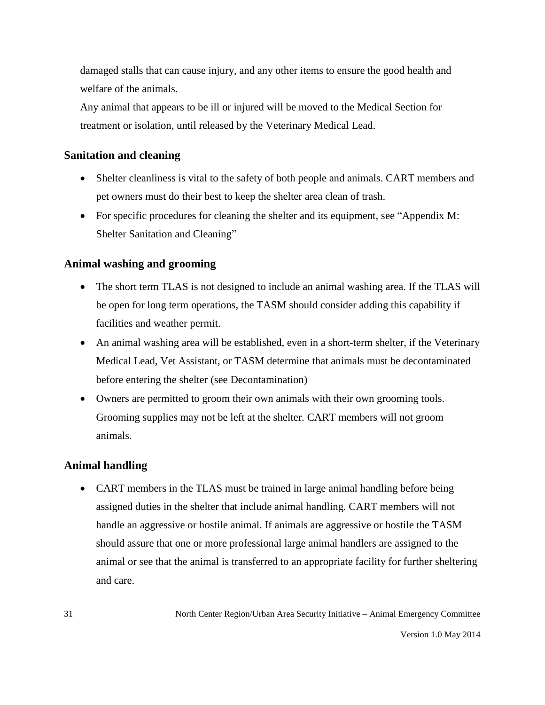damaged stalls that can cause injury, and any other items to ensure the good health and welfare of the animals.

Any animal that appears to be ill or injured will be moved to the Medical Section for treatment or isolation, until released by the Veterinary Medical Lead.

### <span id="page-30-0"></span>**Sanitation and cleaning**

- Shelter cleanliness is vital to the safety of both people and animals. CART members and pet owners must do their best to keep the shelter area clean of trash.
- For specific procedures for cleaning the shelter and its equipment, see "Appendix M: Shelter Sanitation and Cleaning"

### <span id="page-30-1"></span>**Animal washing and grooming**

- The short term TLAS is not designed to include an animal washing area. If the TLAS will be open for long term operations, the TASM should consider adding this capability if facilities and weather permit.
- An animal washing area will be established, even in a short-term shelter, if the Veterinary Medical Lead, Vet Assistant, or TASM determine that animals must be decontaminated before entering the shelter (see Decontamination)
- Owners are permitted to groom their own animals with their own grooming tools. Grooming supplies may not be left at the shelter. CART members will not groom animals.

### <span id="page-30-2"></span>**Animal handling**

 CART members in the TLAS must be trained in large animal handling before being assigned duties in the shelter that include animal handling. CART members will not handle an aggressive or hostile animal. If animals are aggressive or hostile the TASM should assure that one or more professional large animal handlers are assigned to the animal or see that the animal is transferred to an appropriate facility for further sheltering and care.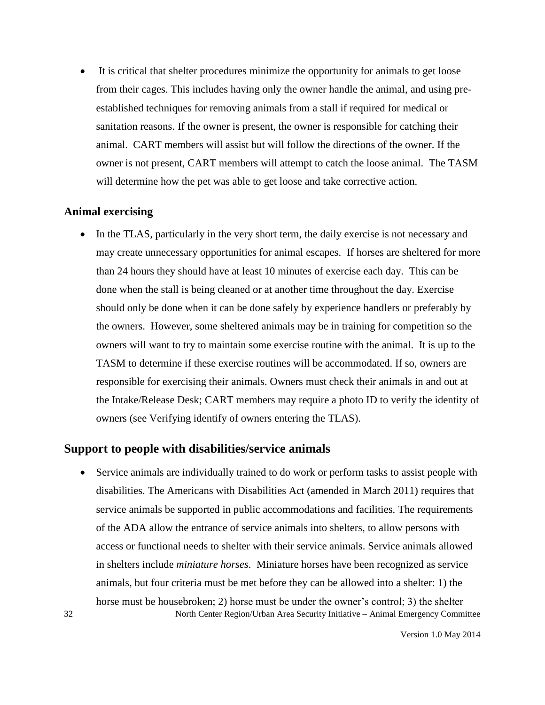It is critical that shelter procedures minimize the opportunity for animals to get loose from their cages. This includes having only the owner handle the animal, and using preestablished techniques for removing animals from a stall if required for medical or sanitation reasons. If the owner is present, the owner is responsible for catching their animal. CART members will assist but will follow the directions of the owner. If the owner is not present, CART members will attempt to catch the loose animal. The TASM will determine how the pet was able to get loose and take corrective action.

#### <span id="page-31-0"></span>**Animal exercising**

• In the TLAS, particularly in the very short term, the daily exercise is not necessary and may create unnecessary opportunities for animal escapes. If horses are sheltered for more than 24 hours they should have at least 10 minutes of exercise each day. This can be done when the stall is being cleaned or at another time throughout the day. Exercise should only be done when it can be done safely by experience handlers or preferably by the owners. However, some sheltered animals may be in training for competition so the owners will want to try to maintain some exercise routine with the animal. It is up to the TASM to determine if these exercise routines will be accommodated. If so, owners are responsible for exercising their animals. Owners must check their animals in and out at the Intake/Release Desk; CART members may require a photo ID to verify the identity of owners (see Verifying identify of owners entering the TLAS).

### <span id="page-31-1"></span>**Support to people with disabilities/service animals**

North Center Region/Urban Area Security Initiative – Animal Emergency Committee Service animals are individually trained to do work or perform tasks to assist people with disabilities. The Americans with Disabilities Act (amended in March 2011) requires that service animals be supported in public accommodations and facilities. The requirements of the ADA allow the entrance of service animals into shelters, to allow persons with access or functional needs to shelter with their service animals. Service animals allowed in shelters include *miniature horses*. Miniature horses have been recognized as service animals, but four criteria must be met before they can be allowed into a shelter: 1) the horse must be housebroken; 2) horse must be under the owner's control; 3) the shelter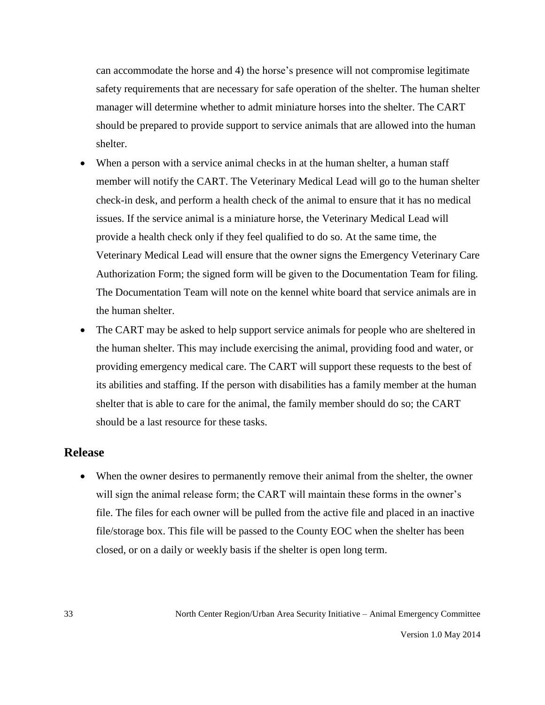can accommodate the horse and 4) the horse's presence will not compromise legitimate safety requirements that are necessary for safe operation of the shelter. The human shelter manager will determine whether to admit miniature horses into the shelter. The CART should be prepared to provide support to service animals that are allowed into the human shelter.

- When a person with a service animal checks in at the human shelter, a human staff member will notify the CART. The Veterinary Medical Lead will go to the human shelter check-in desk, and perform a health check of the animal to ensure that it has no medical issues. If the service animal is a miniature horse, the Veterinary Medical Lead will provide a health check only if they feel qualified to do so. At the same time, the Veterinary Medical Lead will ensure that the owner signs the Emergency Veterinary Care Authorization Form; the signed form will be given to the Documentation Team for filing. The Documentation Team will note on the kennel white board that service animals are in the human shelter.
- The CART may be asked to help support service animals for people who are sheltered in the human shelter. This may include exercising the animal, providing food and water, or providing emergency medical care. The CART will support these requests to the best of its abilities and staffing. If the person with disabilities has a family member at the human shelter that is able to care for the animal, the family member should do so; the CART should be a last resource for these tasks.

### <span id="page-32-0"></span>**Release**

 When the owner desires to permanently remove their animal from the shelter, the owner will sign the animal release form; the CART will maintain these forms in the owner's file. The files for each owner will be pulled from the active file and placed in an inactive file/storage box. This file will be passed to the County EOC when the shelter has been closed, or on a daily or weekly basis if the shelter is open long term.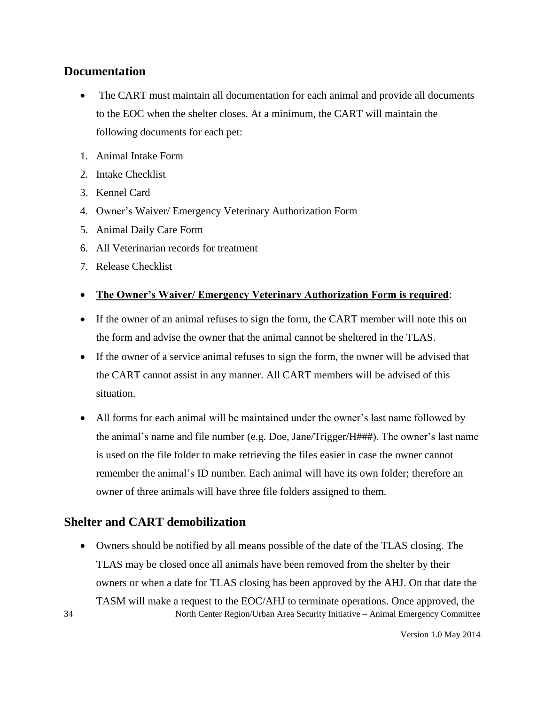# <span id="page-33-0"></span>**Documentation**

- The CART must maintain all documentation for each animal and provide all documents to the EOC when the shelter closes. At a minimum, the CART will maintain the following documents for each pet:
- 1. Animal Intake Form
- 2. Intake Checklist
- 3. Kennel Card
- 4. Owner's Waiver/ Emergency Veterinary Authorization Form
- 5. Animal Daily Care Form
- 6. All Veterinarian records for treatment
- 7. Release Checklist

### **The Owner's Waiver/ Emergency Veterinary Authorization Form is required**:

- If the owner of an animal refuses to sign the form, the CART member will note this on the form and advise the owner that the animal cannot be sheltered in the TLAS.
- If the owner of a service animal refuses to sign the form, the owner will be advised that the CART cannot assist in any manner. All CART members will be advised of this situation.
- All forms for each animal will be maintained under the owner's last name followed by the animal's name and file number (e.g. Doe, Jane/Trigger/H###). The owner's last name is used on the file folder to make retrieving the files easier in case the owner cannot remember the animal's ID number. Each animal will have its own folder; therefore an owner of three animals will have three file folders assigned to them.

# <span id="page-33-1"></span>**Shelter and CART demobilization**

North Center Region/Urban Area Security Initiative – Animal Emergency Committee Owners should be notified by all means possible of the date of the TLAS closing. The TLAS may be closed once all animals have been removed from the shelter by their owners or when a date for TLAS closing has been approved by the AHJ. On that date the TASM will make a request to the EOC/AHJ to terminate operations. Once approved, the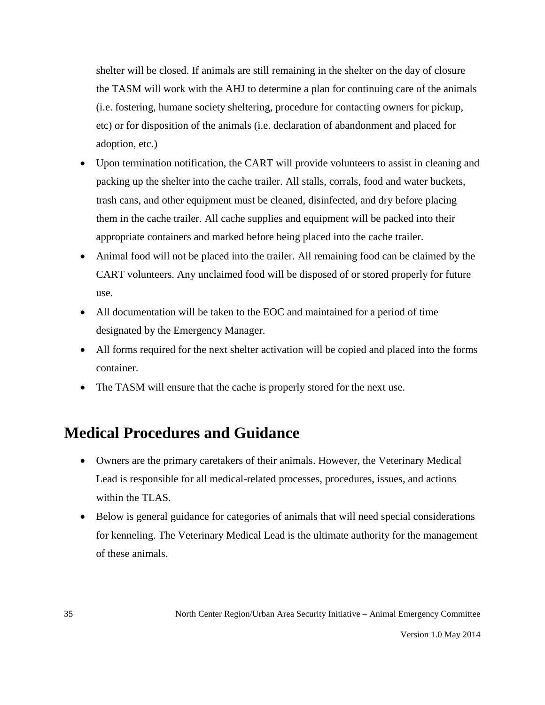shelter will be closed. If animals are still remaining in the shelter on the day of closure the TASM will work with the AHJ to determine a plan for continuing care of the animals (i.e. fostering, humane society sheltering, procedure for contacting owners for pickup, etc) or for disposition of the animals (i.e. declaration of abandonment and placed for adoption, etc.)

- Upon termination notification, the CART will provide volunteers to assist in cleaning and packing up the shelter into the cache trailer. All stalls, corrals, food and water buckets, trash cans, and other equipment must be cleaned, disinfected, and dry before placing them in the cache trailer. All cache supplies and equipment will be packed into their appropriate containers and marked before being placed into the cache trailer.
- Animal food will not be placed into the trailer. All remaining food can be claimed by the CART volunteers. Any unclaimed food will be disposed of or stored properly for future use.
- All documentation will be taken to the EOC and maintained for a period of time designated by the Emergency Manager.
- All forms required for the next shelter activation will be copied and placed into the forms container.
- The TASM will ensure that the cache is properly stored for the next use.

# <span id="page-34-0"></span>**Medical Procedures and Guidance**

- Owners are the primary caretakers of their animals. However, the Veterinary Medical Lead is responsible for all medical-related processes, procedures, issues, and actions within the TLAS.
- Below is general guidance for categories of animals that will need special considerations for kenneling. The Veterinary Medical Lead is the ultimate authority for the management of these animals.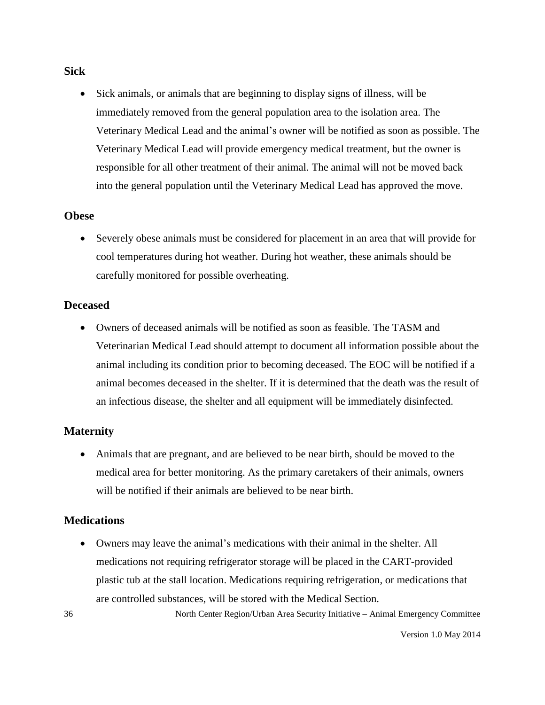#### <span id="page-35-0"></span>**Sick**

 Sick animals, or animals that are beginning to display signs of illness, will be immediately removed from the general population area to the isolation area. The Veterinary Medical Lead and the animal's owner will be notified as soon as possible. The Veterinary Medical Lead will provide emergency medical treatment, but the owner is responsible for all other treatment of their animal. The animal will not be moved back into the general population until the Veterinary Medical Lead has approved the move.

### <span id="page-35-1"></span>**Obese**

 Severely obese animals must be considered for placement in an area that will provide for cool temperatures during hot weather. During hot weather, these animals should be carefully monitored for possible overheating.

### <span id="page-35-2"></span>**Deceased**

 Owners of deceased animals will be notified as soon as feasible. The TASM and Veterinarian Medical Lead should attempt to document all information possible about the animal including its condition prior to becoming deceased. The EOC will be notified if a animal becomes deceased in the shelter. If it is determined that the death was the result of an infectious disease, the shelter and all equipment will be immediately disinfected.

### <span id="page-35-3"></span>**Maternity**

 Animals that are pregnant, and are believed to be near birth, should be moved to the medical area for better monitoring. As the primary caretakers of their animals, owners will be notified if their animals are believed to be near birth.

### <span id="page-35-4"></span>**Medications**

 Owners may leave the animal's medications with their animal in the shelter. All medications not requiring refrigerator storage will be placed in the CART-provided plastic tub at the stall location. Medications requiring refrigeration, or medications that are controlled substances, will be stored with the Medical Section.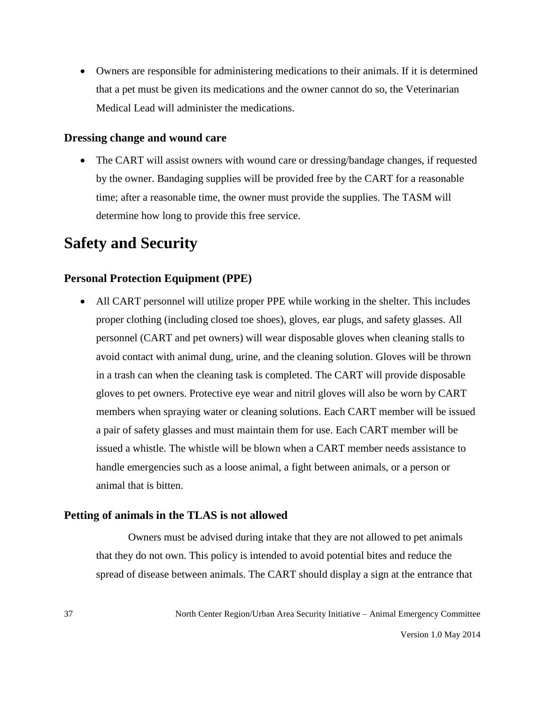Owners are responsible for administering medications to their animals. If it is determined that a pet must be given its medications and the owner cannot do so, the Veterinarian Medical Lead will administer the medications.

#### **Dressing change and wound care**

 The CART will assist owners with wound care or dressing/bandage changes, if requested by the owner. Bandaging supplies will be provided free by the CART for a reasonable time; after a reasonable time, the owner must provide the supplies. The TASM will determine how long to provide this free service.

### **Safety and Security**

#### <span id="page-36-0"></span>**Personal Protection Equipment (PPE)**

 All CART personnel will utilize proper PPE while working in the shelter. This includes proper clothing (including closed toe shoes), gloves, ear plugs, and safety glasses. All personnel (CART and pet owners) will wear disposable gloves when cleaning stalls to avoid contact with animal dung, urine, and the cleaning solution. Gloves will be thrown in a trash can when the cleaning task is completed. The CART will provide disposable gloves to pet owners. Protective eye wear and nitril gloves will also be worn by CART members when spraying water or cleaning solutions. Each CART member will be issued a pair of safety glasses and must maintain them for use. Each CART member will be issued a whistle. The whistle will be blown when a CART member needs assistance to handle emergencies such as a loose animal, a fight between animals, or a person or animal that is bitten.

#### **Petting of animals in the TLAS is not allowed**

Owners must be advised during intake that they are not allowed to pet animals that they do not own. This policy is intended to avoid potential bites and reduce the spread of disease between animals. The CART should display a sign at the entrance that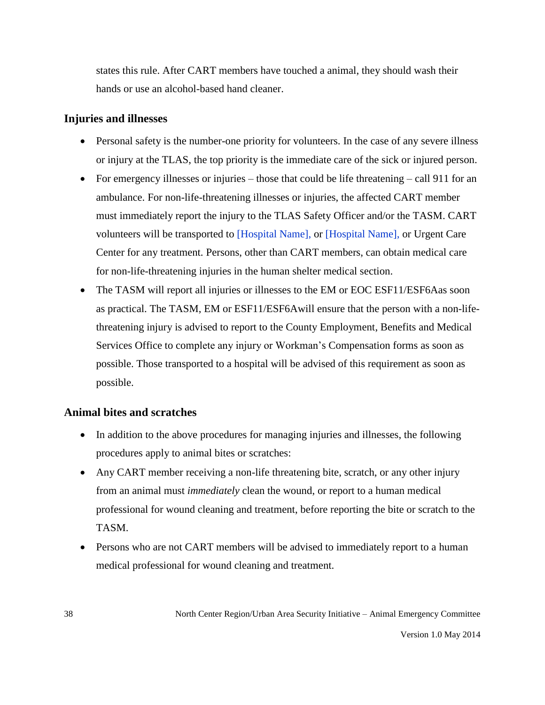states this rule. After CART members have touched a animal, they should wash their hands or use an alcohol-based hand cleaner.

#### **Injuries and illnesses**

- Personal safety is the number-one priority for volunteers. In the case of any severe illness or injury at the TLAS, the top priority is the immediate care of the sick or injured person.
- For emergency illnesses or injuries those that could be life threatening call 911 for an ambulance. For non-life-threatening illnesses or injuries, the affected CART member must immediately report the injury to the TLAS Safety Officer and/or the TASM. CART volunteers will be transported to [Hospital Name], or [Hospital Name], or Urgent Care Center for any treatment. Persons, other than CART members, can obtain medical care for non-life-threatening injuries in the human shelter medical section.
- The TASM will report all injuries or illnesses to the EM or EOC ESF11/ESF6Aas soon as practical. The TASM, EM or ESF11/ESF6Awill ensure that the person with a non-lifethreatening injury is advised to report to the County Employment, Benefits and Medical Services Office to complete any injury or Workman's Compensation forms as soon as possible. Those transported to a hospital will be advised of this requirement as soon as possible.

#### **Animal bites and scratches**

- In addition to the above procedures for managing injuries and illnesses, the following procedures apply to animal bites or scratches:
- Any CART member receiving a non-life threatening bite, scratch, or any other injury from an animal must *immediately* clean the wound, or report to a human medical professional for wound cleaning and treatment, before reporting the bite or scratch to the TASM.
- Persons who are not CART members will be advised to immediately report to a human medical professional for wound cleaning and treatment.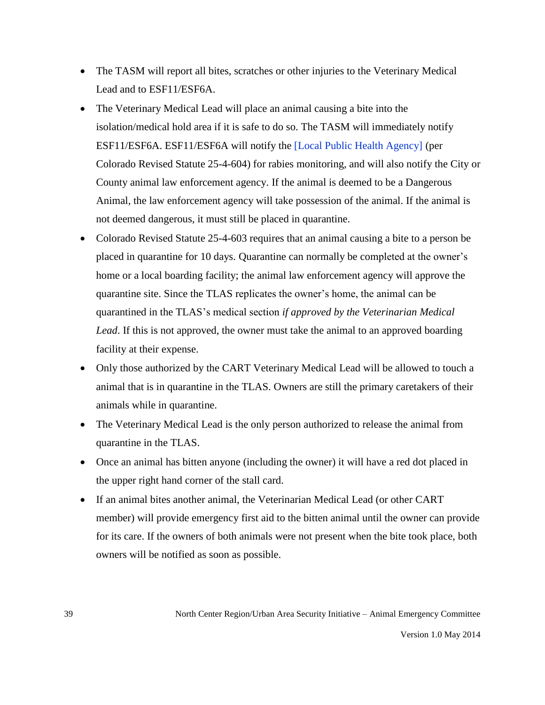- The TASM will report all bites, scratches or other injuries to the Veterinary Medical Lead and to ESF11/ESF6A.
- The Veterinary Medical Lead will place an animal causing a bite into the isolation/medical hold area if it is safe to do so. The TASM will immediately notify ESF11/ESF6A. ESF11/ESF6A will notify the [Local Public Health Agency] (per Colorado Revised Statute 25-4-604) for rabies monitoring, and will also notify the City or County animal law enforcement agency. If the animal is deemed to be a Dangerous Animal, the law enforcement agency will take possession of the animal. If the animal is not deemed dangerous, it must still be placed in quarantine.
- Colorado Revised Statute 25-4-603 requires that an animal causing a bite to a person be placed in quarantine for 10 days. Quarantine can normally be completed at the owner's home or a local boarding facility; the animal law enforcement agency will approve the quarantine site. Since the TLAS replicates the owner's home, the animal can be quarantined in the TLAS's medical section *if approved by the Veterinarian Medical Lead*. If this is not approved, the owner must take the animal to an approved boarding facility at their expense.
- Only those authorized by the CART Veterinary Medical Lead will be allowed to touch a animal that is in quarantine in the TLAS. Owners are still the primary caretakers of their animals while in quarantine.
- The Veterinary Medical Lead is the only person authorized to release the animal from quarantine in the TLAS.
- Once an animal has bitten anyone (including the owner) it will have a red dot placed in the upper right hand corner of the stall card.
- If an animal bites another animal, the Veterinarian Medical Lead (or other CART member) will provide emergency first aid to the bitten animal until the owner can provide for its care. If the owners of both animals were not present when the bite took place, both owners will be notified as soon as possible.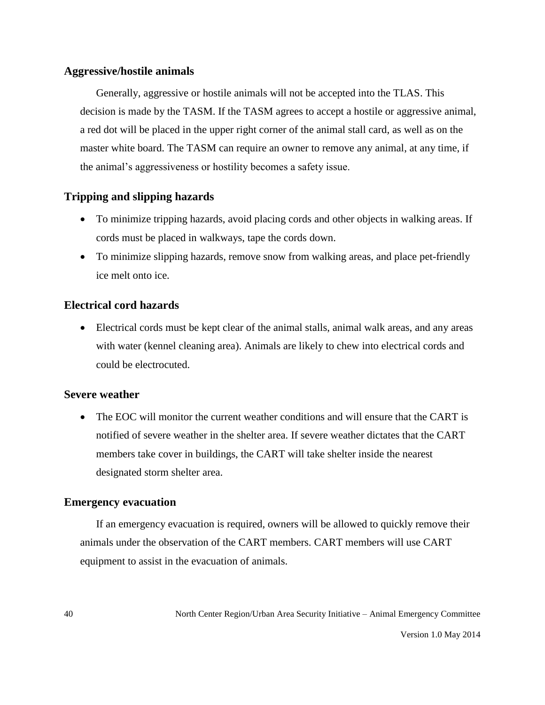#### **Aggressive/hostile animals**

Generally, aggressive or hostile animals will not be accepted into the TLAS. This decision is made by the TASM. If the TASM agrees to accept a hostile or aggressive animal, a red dot will be placed in the upper right corner of the animal stall card, as well as on the master white board. The TASM can require an owner to remove any animal, at any time, if the animal's aggressiveness or hostility becomes a safety issue.

#### **Tripping and slipping hazards**

- To minimize tripping hazards, avoid placing cords and other objects in walking areas. If cords must be placed in walkways, tape the cords down.
- To minimize slipping hazards, remove snow from walking areas, and place pet-friendly ice melt onto ice.

#### **Electrical cord hazards**

 Electrical cords must be kept clear of the animal stalls, animal walk areas, and any areas with water (kennel cleaning area). Animals are likely to chew into electrical cords and could be electrocuted.

#### **Severe weather**

 The EOC will monitor the current weather conditions and will ensure that the CART is notified of severe weather in the shelter area. If severe weather dictates that the CART members take cover in buildings, the CART will take shelter inside the nearest designated storm shelter area.

#### **Emergency evacuation**

If an emergency evacuation is required, owners will be allowed to quickly remove their animals under the observation of the CART members. CART members will use CART equipment to assist in the evacuation of animals.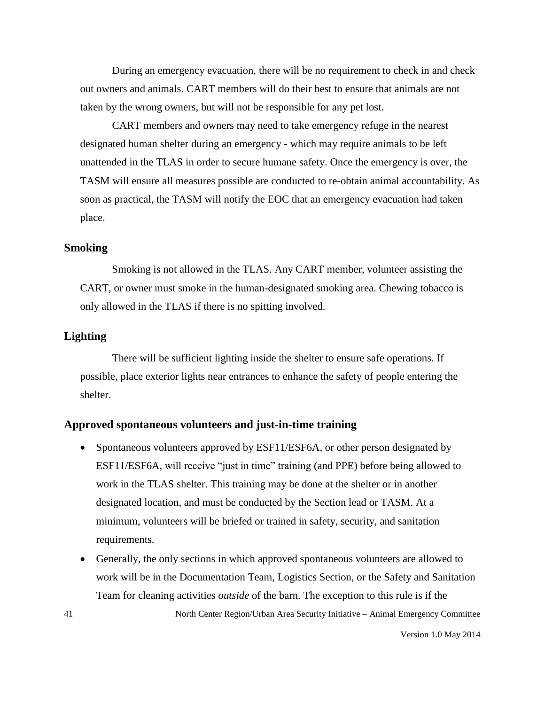During an emergency evacuation, there will be no requirement to check in and check out owners and animals. CART members will do their best to ensure that animals are not taken by the wrong owners, but will not be responsible for any pet lost.

CART members and owners may need to take emergency refuge in the nearest designated human shelter during an emergency - which may require animals to be left unattended in the TLAS in order to secure humane safety. Once the emergency is over, the TASM will ensure all measures possible are conducted to re-obtain animal accountability. As soon as practical, the TASM will notify the EOC that an emergency evacuation had taken place.

#### **Smoking**

Smoking is not allowed in the TLAS. Any CART member, volunteer assisting the CART, or owner must smoke in the human-designated smoking area. Chewing tobacco is only allowed in the TLAS if there is no spitting involved.

#### **Lighting**

There will be sufficient lighting inside the shelter to ensure safe operations. If possible, place exterior lights near entrances to enhance the safety of people entering the shelter.

#### <span id="page-40-0"></span>**Approved spontaneous volunteers and just-in-time training**

- Spontaneous volunteers approved by ESF11/ESF6A, or other person designated by ESF11/ESF6A, will receive "just in time" training (and PPE) before being allowed to work in the TLAS shelter. This training may be done at the shelter or in another designated location, and must be conducted by the Section lead or TASM. At a minimum, volunteers will be briefed or trained in safety, security, and sanitation requirements.
- Generally, the only sections in which approved spontaneous volunteers are allowed to work will be in the Documentation Team, Logistics Section, or the Safety and Sanitation Team for cleaning activities *outside* of the barn. The exception to this rule is if the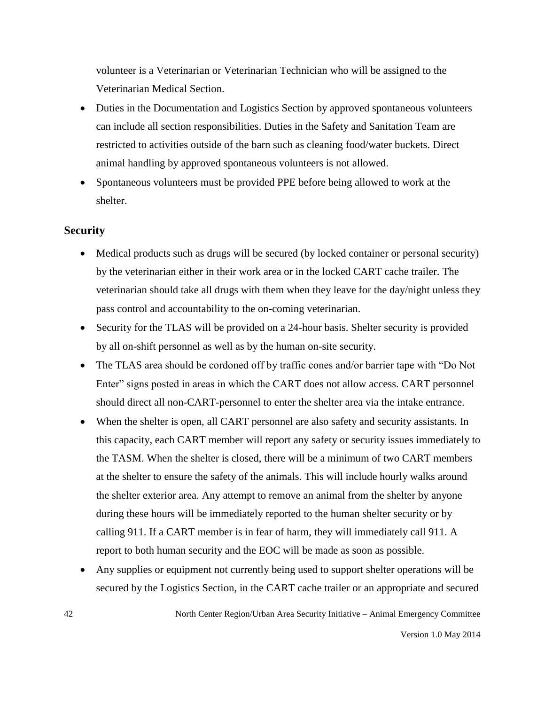volunteer is a Veterinarian or Veterinarian Technician who will be assigned to the Veterinarian Medical Section.

- Duties in the Documentation and Logistics Section by approved spontaneous volunteers can include all section responsibilities. Duties in the Safety and Sanitation Team are restricted to activities outside of the barn such as cleaning food/water buckets. Direct animal handling by approved spontaneous volunteers is not allowed.
- Spontaneous volunteers must be provided PPE before being allowed to work at the shelter.

#### **Security**

- Medical products such as drugs will be secured (by locked container or personal security) by the veterinarian either in their work area or in the locked CART cache trailer. The veterinarian should take all drugs with them when they leave for the day/night unless they pass control and accountability to the on-coming veterinarian.
- Security for the TLAS will be provided on a 24-hour basis. Shelter security is provided by all on-shift personnel as well as by the human on-site security.
- The TLAS area should be cordoned off by traffic cones and/or barrier tape with "Do Not Enter" signs posted in areas in which the CART does not allow access. CART personnel should direct all non-CART-personnel to enter the shelter area via the intake entrance.
- When the shelter is open, all CART personnel are also safety and security assistants. In this capacity, each CART member will report any safety or security issues immediately to the TASM. When the shelter is closed, there will be a minimum of two CART members at the shelter to ensure the safety of the animals. This will include hourly walks around the shelter exterior area. Any attempt to remove an animal from the shelter by anyone during these hours will be immediately reported to the human shelter security or by calling 911. If a CART member is in fear of harm, they will immediately call 911. A report to both human security and the EOC will be made as soon as possible.
- Any supplies or equipment not currently being used to support shelter operations will be secured by the Logistics Section, in the CART cache trailer or an appropriate and secured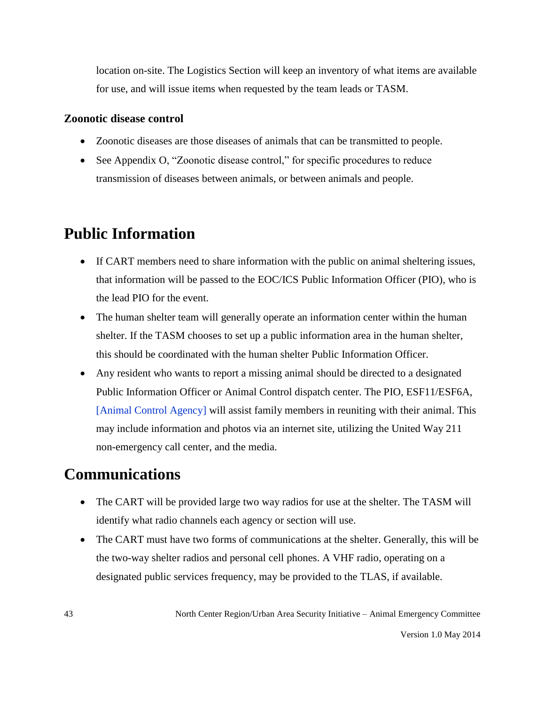location on-site. The Logistics Section will keep an inventory of what items are available for use, and will issue items when requested by the team leads or TASM.

#### **Zoonotic disease control**

- Zoonotic diseases are those diseases of animals that can be transmitted to people.
- See Appendix O, "Zoonotic disease control," for specific procedures to reduce transmission of diseases between animals, or between animals and people.

## **Public Information**

- If CART members need to share information with the public on animal sheltering issues, that information will be passed to the EOC/ICS Public Information Officer (PIO), who is the lead PIO for the event.
- The human shelter team will generally operate an information center within the human shelter. If the TASM chooses to set up a public information area in the human shelter, this should be coordinated with the human shelter Public Information Officer.
- Any resident who wants to report a missing animal should be directed to a designated Public Information Officer or Animal Control dispatch center. The PIO, ESF11/ESF6A, [Animal Control Agency] will assist family members in reuniting with their animal. This may include information and photos via an internet site, utilizing the United Way 211 non-emergency call center, and the media.

## **Communications**

- The CART will be provided large two way radios for use at the shelter. The TASM will identify what radio channels each agency or section will use.
- The CART must have two forms of communications at the shelter. Generally, this will be the two-way shelter radios and personal cell phones. A VHF radio, operating on a designated public services frequency, may be provided to the TLAS, if available.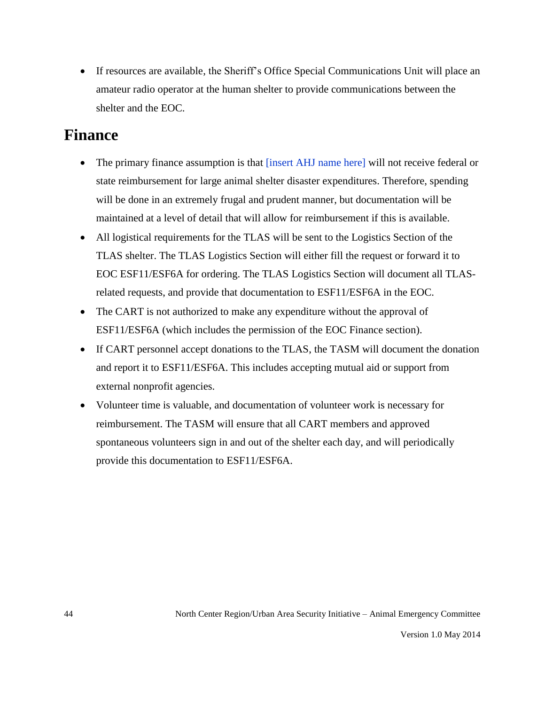If resources are available, the Sheriff's Office Special Communications Unit will place an amateur radio operator at the human shelter to provide communications between the shelter and the EOC.

## **Finance**

- The primary finance assumption is that [insert AHJ name here] will not receive federal or state reimbursement for large animal shelter disaster expenditures. Therefore, spending will be done in an extremely frugal and prudent manner, but documentation will be maintained at a level of detail that will allow for reimbursement if this is available.
- All logistical requirements for the TLAS will be sent to the Logistics Section of the TLAS shelter. The TLAS Logistics Section will either fill the request or forward it to EOC ESF11/ESF6A for ordering. The TLAS Logistics Section will document all TLASrelated requests, and provide that documentation to ESF11/ESF6A in the EOC.
- The CART is not authorized to make any expenditure without the approval of ESF11/ESF6A (which includes the permission of the EOC Finance section).
- If CART personnel accept donations to the TLAS, the TASM will document the donation and report it to ESF11/ESF6A. This includes accepting mutual aid or support from external nonprofit agencies.
- Volunteer time is valuable, and documentation of volunteer work is necessary for reimbursement. The TASM will ensure that all CART members and approved spontaneous volunteers sign in and out of the shelter each day, and will periodically provide this documentation to ESF11/ESF6A.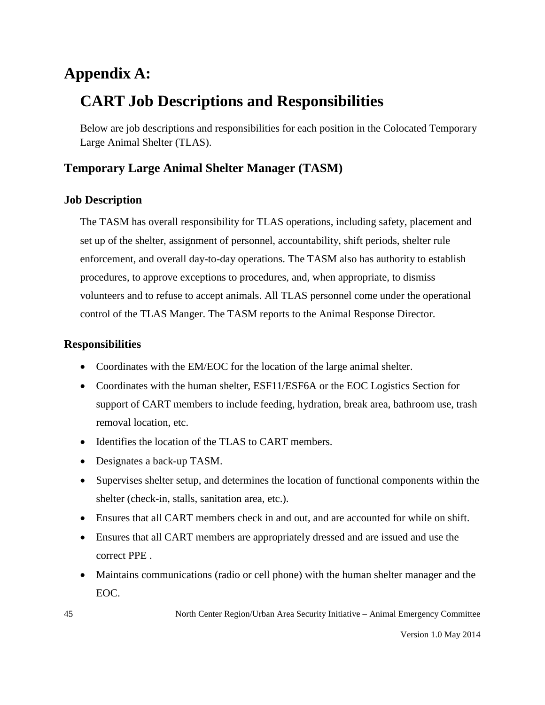## **Appendix A:**

## **CART Job Descriptions and Responsibilities**

Below are job descriptions and responsibilities for each position in the Colocated Temporary Large Animal Shelter (TLAS).

#### **Temporary Large Animal Shelter Manager (TASM)**

#### **Job Description**

The TASM has overall responsibility for TLAS operations, including safety, placement and set up of the shelter, assignment of personnel, accountability, shift periods, shelter rule enforcement, and overall day-to-day operations. The TASM also has authority to establish procedures, to approve exceptions to procedures, and, when appropriate, to dismiss volunteers and to refuse to accept animals. All TLAS personnel come under the operational control of the TLAS Manger. The TASM reports to the Animal Response Director.

#### **Responsibilities**

- Coordinates with the EM/EOC for the location of the large animal shelter.
- Coordinates with the human shelter, ESF11/ESF6A or the EOC Logistics Section for support of CART members to include feeding, hydration, break area, bathroom use, trash removal location, etc.
- Identifies the location of the TLAS to CART members.
- Designates a back-up TASM.
- Supervises shelter setup, and determines the location of functional components within the shelter (check-in, stalls, sanitation area, etc.).
- Ensures that all CART members check in and out, and are accounted for while on shift.
- Ensures that all CART members are appropriately dressed and are issued and use the [correct PPE](#page-36-0) .
- Maintains communications (radio or cell phone) with the human shelter manager and the EOC.

North Center Region/Urban Area Security Initiative – Animal Emergency Committee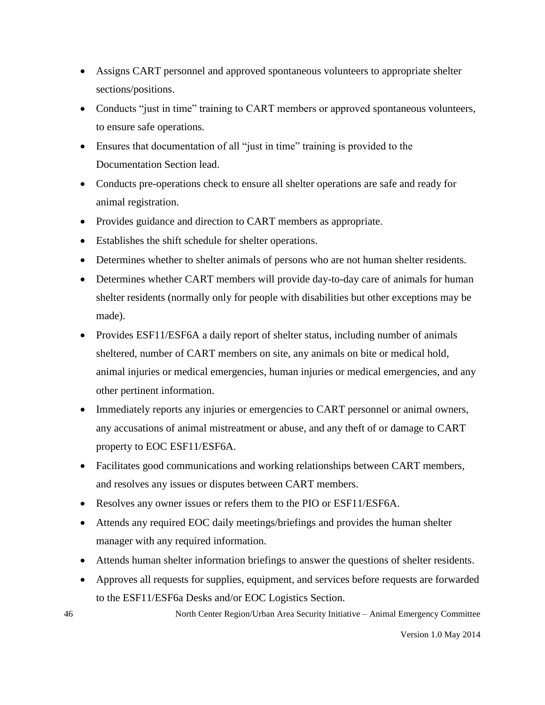- Assigns CART personnel and approved spontaneous volunteers to appropriate shelter sections/positions.
- Conducts "just in time" training to CART members or approved spontaneous volunteers, to ensure safe operations.
- Ensures that documentation of all "just in time" training is provided to the Documentation Section lead.
- Conducts pre-operations check to ensure all shelter operations are safe and ready for animal registration.
- Provides guidance and direction to CART members as appropriate.
- Establishes the shift schedule for shelter operations.
- Determines whether to shelter animals of persons who are not human shelter residents.
- Determines whether CART members will provide day-to-day care of animals for human shelter residents (normally only for people with disabilities but other exceptions may be made).
- Provides ESF11/ESF6A a daily report of shelter status, including number of animals sheltered, number of CART members on site, any animals on bite or medical hold, animal injuries or medical emergencies, human injuries or medical emergencies, and any other pertinent information.
- Immediately reports any injuries or emergencies to CART personnel or animal owners, any accusations of animal mistreatment or abuse, and any theft of or damage to CART property to EOC ESF11/ESF6A.
- Facilitates good communications and working relationships between CART members, and resolves any issues or disputes between CART members.
- Resolves any owner issues or refers them to the PIO or ESF11/ESF6A.
- Attends any required EOC daily meetings/briefings and provides the human shelter manager with any required information.
- Attends human shelter information briefings to answer the questions of shelter residents.
- Approves all requests for supplies, equipment, and services before requests are forwarded to the ESF11/ESF6a Desks and/or EOC Logistics Section.

North Center Region/Urban Area Security Initiative – Animal Emergency Committee

46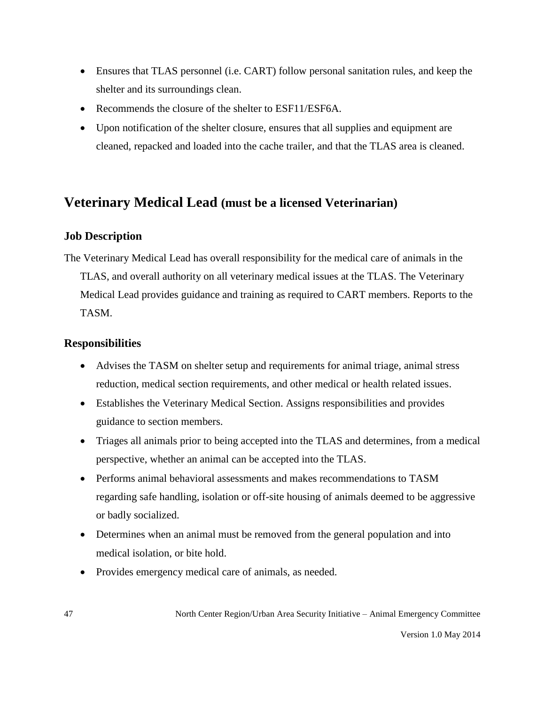- Ensures that TLAS personnel (i.e. CART) follow personal sanitation rules, and keep the shelter and its surroundings clean.
- Recommends the closure of the shelter to ESF11/ESF6A.
- Upon notification of the shelter closure, ensures that all supplies and equipment are cleaned, repacked and loaded into the cache trailer, and that the TLAS area is cleaned.

#### **Veterinary Medical Lead (must be a licensed Veterinarian)**

#### **Job Description**

The Veterinary Medical Lead has overall responsibility for the medical care of animals in the TLAS, and overall authority on all veterinary medical issues at the TLAS. The Veterinary Medical Lead provides guidance and training as required to CART members. Reports to the TASM.

#### **Responsibilities**

- Advises the TASM on shelter setup and requirements for animal triage, animal stress reduction, medical section requirements, and other medical or health related issues.
- Establishes the Veterinary Medical Section. Assigns responsibilities and provides guidance to section members.
- Triages all animals prior to being accepted into the TLAS and determines, from a medical perspective, whether an animal can be accepted into the TLAS.
- Performs animal behavioral assessments and makes recommendations to TASM regarding safe handling, isolation or off-site housing of animals deemed to be aggressive or badly socialized.
- Determines when an animal must be removed from the general population and into medical isolation, or bite hold.
- Provides emergency medical care of animals, as needed.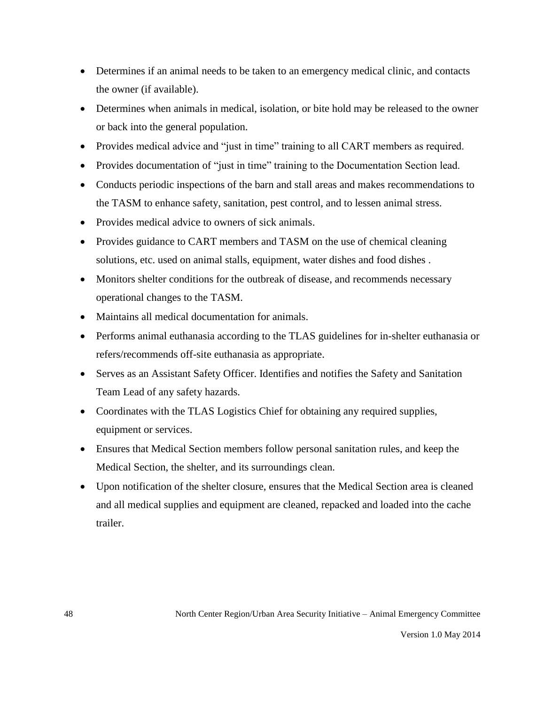- Determines if an animal needs to be taken to an emergency medical clinic, and contacts the owner (if available).
- Determines when animals in medical, isolation, or bite hold may be released to the owner or back into the general population.
- Provides medical advice and "just in time" training to all CART members as required.
- Provides documentation of "just in time" training to the Documentation Section lead.
- Conducts periodic inspections of the barn and stall areas and makes recommendations to the TASM to enhance safety, sanitation, pest control, and to lessen animal stress.
- Provides medical advice to owners of sick animals.
- Provides guidance to CART members and TASM on the use of chemical cleaning solutions, etc. used on animal stalls, equipment, water dishes and food dishes .
- Monitors shelter conditions for the outbreak of disease, and recommends necessary operational changes to the TASM.
- Maintains all medical documentation for animals.
- Performs animal euthanasia according to the TLAS guidelines for in-shelter euthanasia or refers/recommends off-site euthanasia as appropriate.
- Serves as an Assistant Safety Officer. Identifies and notifies the Safety and Sanitation Team Lead of any safety hazards.
- Coordinates with the TLAS Logistics Chief for obtaining any required supplies, equipment or services.
- Ensures that Medical Section members follow personal sanitation rules, and keep the Medical Section, the shelter, and its surroundings clean.
- Upon notification of the shelter closure, ensures that the Medical Section area is cleaned and all medical supplies and equipment are cleaned, repacked and loaded into the cache trailer.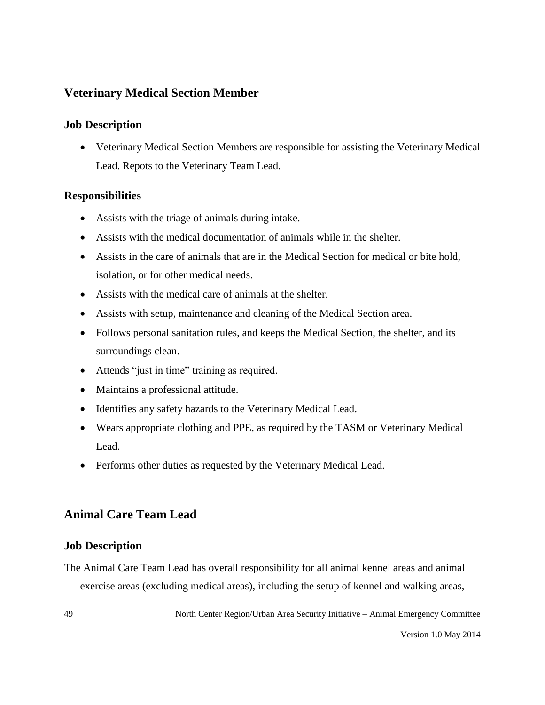#### **Veterinary Medical Section Member**

#### **Job Description**

 Veterinary Medical Section Members are responsible for assisting the Veterinary Medical Lead. Repots to the Veterinary Team Lead.

#### **Responsibilities**

- Assists with the triage of animals during intake.
- Assists with the medical documentation of animals while in the shelter.
- Assists in the care of animals that are in the Medical Section for medical or bite hold, isolation, or for other medical needs.
- Assists with the medical care of animals at the shelter.
- Assists with setup, maintenance and cleaning of the Medical Section area.
- Follows personal sanitation rules, and keeps the Medical Section, the shelter, and its surroundings clean.
- Attends "just in time" training as required.
- Maintains a professional attitude.
- Identifies any safety hazards to the Veterinary Medical Lead.
- Wears appropriate clothing and PPE, as required by the TASM or Veterinary Medical Lead.
- Performs other duties as requested by the Veterinary Medical Lead.

#### **Animal Care Team Lead**

#### **Job Description**

The Animal Care Team Lead has overall responsibility for all animal kennel areas and animal exercise areas (excluding medical areas), including the setup of kennel and walking areas,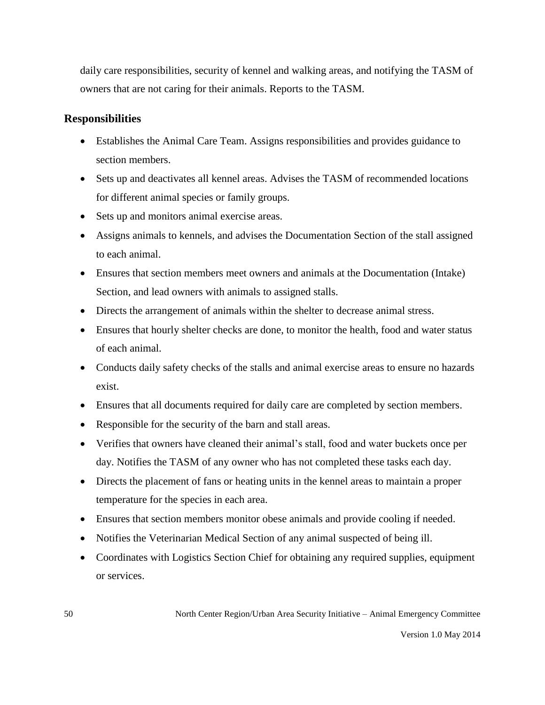daily care responsibilities, security of kennel and walking areas, and notifying the TASM of owners that are not caring for their animals. Reports to the TASM.

#### **Responsibilities**

- Establishes the Animal Care Team. Assigns responsibilities and provides guidance to section members.
- Sets up and deactivates all kennel areas. Advises the TASM of recommended locations for different animal species or family groups.
- Sets up and monitors animal exercise areas.
- Assigns animals to kennels, and advises the Documentation Section of the stall assigned to each animal.
- Ensures that section members meet owners and animals at the Documentation (Intake) Section, and lead owners with animals to assigned stalls.
- Directs the arrangement of animals within the shelter to decrease animal stress.
- Ensures that hourly shelter checks are done, to monitor the health, food and water status of each animal.
- Conducts daily safety checks of the stalls and animal exercise areas to ensure no hazards exist.
- Ensures that all documents required for daily care are completed by section members.
- Responsible for the security of the barn and stall areas.
- Verifies that owners have cleaned their animal's stall, food and water buckets once per day. Notifies the TASM of any owner who has not completed these tasks each day.
- Directs the placement of fans or heating units in the kennel areas to maintain a proper temperature for the species in each area.
- Ensures that section members monitor obese animals and provide cooling if needed.
- Notifies the Veterinarian Medical Section of any animal suspected of being ill.
- Coordinates with Logistics Section Chief for obtaining any required supplies, equipment or services.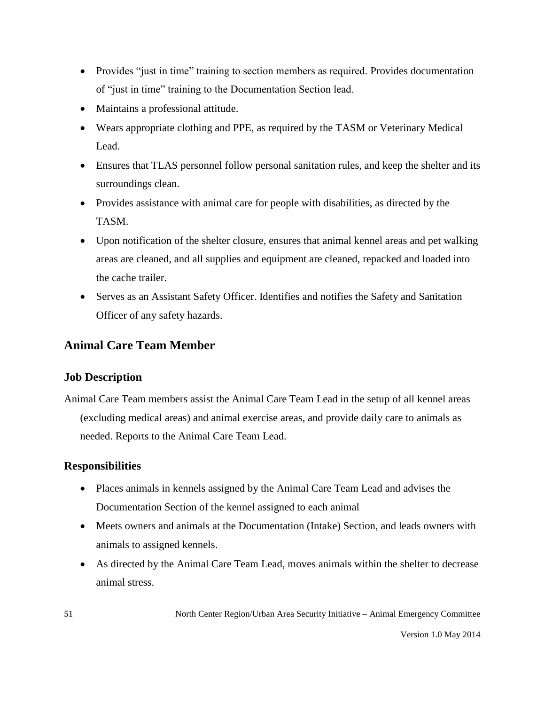- Provides "just in time" training to section members as required. Provides documentation of "just in time" training to the Documentation Section lead.
- Maintains a professional attitude.
- Wears appropriate clothing and PPE, as required by the TASM or Veterinary Medical Lead.
- Ensures that TLAS personnel follow personal sanitation rules, and keep the shelter and its surroundings clean.
- Provides assistance with animal care for people with disabilities, as directed by the TASM.
- Upon notification of the shelter closure, ensures that animal kennel areas and pet walking areas are cleaned, and all supplies and equipment are cleaned, repacked and loaded into the cache trailer.
- Serves as an Assistant Safety Officer. Identifies and notifies the Safety and Sanitation Officer of any safety hazards.

#### **Animal Care Team Member**

#### **Job Description**

Animal Care Team members assist the Animal Care Team Lead in the setup of all kennel areas (excluding medical areas) and animal exercise areas, and provide daily care to animals as needed. Reports to the Animal Care Team Lead.

#### **Responsibilities**

- Places animals in kennels assigned by the Animal Care Team Lead and advises the Documentation Section of the kennel assigned to each animal
- Meets owners and animals at the Documentation (Intake) Section, and leads owners with animals to assigned kennels.
- As directed by the Animal Care Team Lead, moves animals within the shelter to decrease animal stress.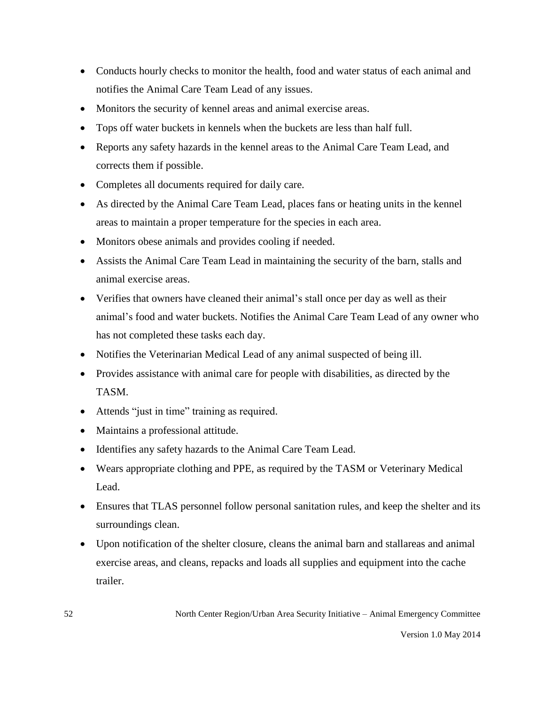- Conducts hourly checks to monitor the health, food and water status of each animal and notifies the Animal Care Team Lead of any issues.
- Monitors the security of kennel areas and animal exercise areas.
- Tops off water buckets in kennels when the buckets are less than half full.
- Reports any safety hazards in the kennel areas to the Animal Care Team Lead, and corrects them if possible.
- Completes all documents required for daily care.
- As directed by the Animal Care Team Lead, places fans or heating units in the kennel areas to maintain a proper temperature for the species in each area.
- Monitors obese animals and provides cooling if needed.
- Assists the Animal Care Team Lead in maintaining the security of the barn, stalls and animal exercise areas.
- Verifies that owners have cleaned their animal's stall once per day as well as their animal's food and water buckets. Notifies the Animal Care Team Lead of any owner who has not completed these tasks each day.
- Notifies the Veterinarian Medical Lead of any animal suspected of being ill.
- Provides assistance with animal care for people with disabilities, as directed by the TASM.
- Attends "just in time" training as required.
- Maintains a professional attitude.
- Identifies any safety hazards to the Animal Care Team Lead.
- Wears appropriate clothing and PPE, as required by the TASM or Veterinary Medical Lead.
- Ensures that TLAS personnel follow personal sanitation rules, and keep the shelter and its surroundings clean.
- Upon notification of the shelter closure, cleans the animal barn and stallareas and animal exercise areas, and cleans, repacks and loads all supplies and equipment into the cache trailer.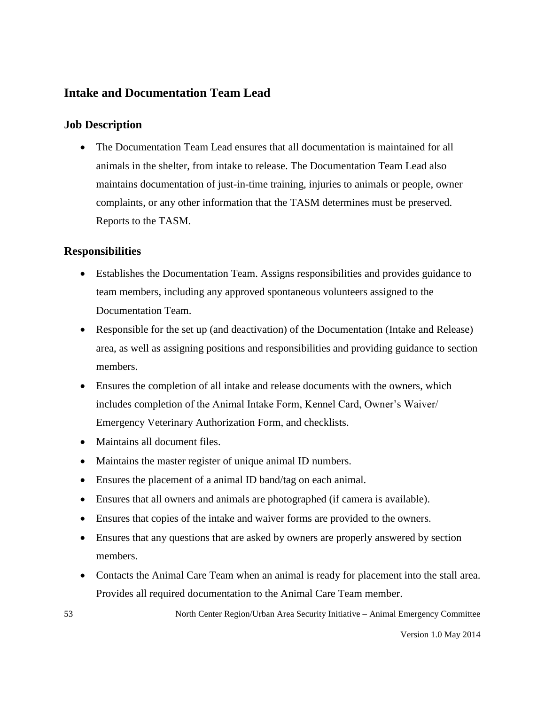#### **Intake and Documentation Team Lead**

#### **Job Description**

 The Documentation Team Lead ensures that all documentation is maintained for all animals in the shelter, from intake to release. The Documentation Team Lead also maintains documentation of just-in-time training, injuries to animals or people, owner complaints, or any other information that the TASM determines must be preserved. Reports to the TASM.

#### **Responsibilities**

- Establishes the Documentation Team. Assigns responsibilities and provides guidance to team members, including any approved spontaneous volunteers assigned to the Documentation Team.
- Responsible for the set up (and deactivation) of the Documentation (Intake and Release) area, as well as assigning positions and responsibilities and providing guidance to section members.
- Ensures the completion of all intake and release documents with the owners, which includes completion of the Animal Intake Form, Kennel Card, Owner's Waiver/ Emergency Veterinary Authorization Form, and checklists.
- Maintains all document files.
- Maintains the master register of unique animal ID numbers.
- Ensures the placement of a animal ID band/tag on each animal.
- Ensures that all owners and animals are photographed (if camera is available).
- Ensures that copies of the intake and waiver forms are provided to the owners.
- Ensures that any questions that are asked by owners are properly answered by section members.
- Contacts the Animal Care Team when an animal is ready for placement into the stall area. Provides all required documentation to the Animal Care Team member.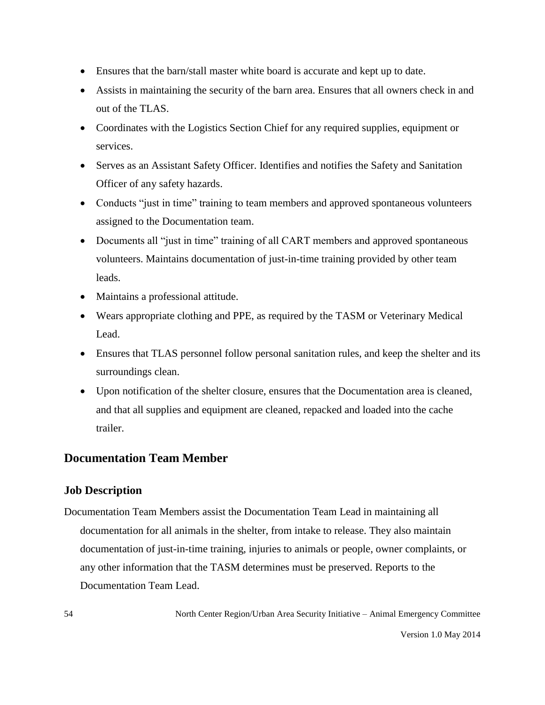- Ensures that the barn/stall master white board is accurate and kept up to date.
- Assists in maintaining the security of the barn area. Ensures that all owners check in and out of the TLAS.
- Coordinates with the Logistics Section Chief for any required supplies, equipment or services.
- Serves as an Assistant Safety Officer. Identifies and notifies the Safety and Sanitation Officer of any safety hazards.
- Conducts "just in time" training to team members and approved spontaneous volunteers assigned to the Documentation team.
- Documents all "just in time" training of all CART members and approved spontaneous volunteers. Maintains documentation of just-in-time training provided by other team leads.
- Maintains a professional attitude.
- Wears appropriate clothing and PPE, as required by the TASM or Veterinary Medical Lead.
- Ensures that TLAS personnel follow personal sanitation rules, and keep the shelter and its surroundings clean.
- Upon notification of the shelter closure, ensures that the Documentation area is cleaned, and that all supplies and equipment are cleaned, repacked and loaded into the cache trailer.

#### **Documentation Team Member**

#### **Job Description**

Documentation Team Members assist the Documentation Team Lead in maintaining all documentation for all animals in the shelter, from intake to release. They also maintain documentation of just-in-time training, injuries to animals or people, owner complaints, or any other information that the TASM determines must be preserved. Reports to the Documentation Team Lead.

North Center Region/Urban Area Security Initiative – Animal Emergency Committee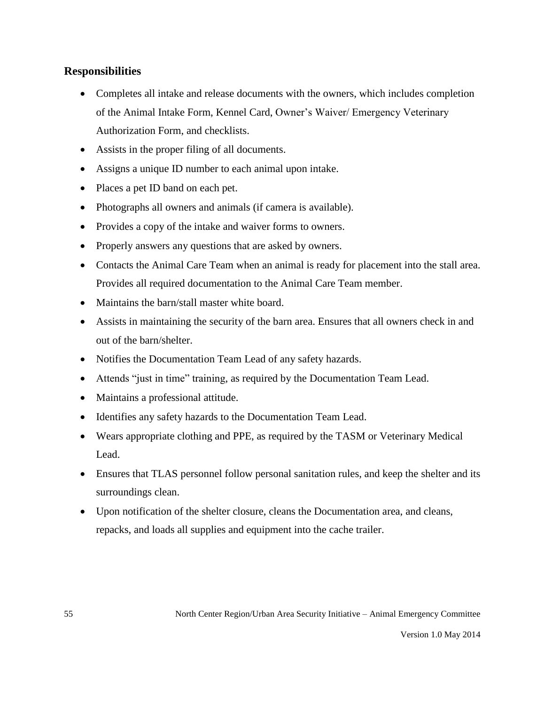#### **Responsibilities**

- Completes all intake and release documents with the owners, which includes completion of the Animal Intake Form, Kennel Card, Owner's Waiver/ Emergency Veterinary Authorization Form, and checklists.
- Assists in the proper filing of all documents.
- Assigns a unique ID number to each animal upon intake.
- Places a pet ID band on each pet.
- Photographs all owners and animals (if camera is available).
- Provides a copy of the intake and waiver forms to owners.
- Properly answers any questions that are asked by owners.
- Contacts the Animal Care Team when an animal is ready for placement into the stall area. Provides all required documentation to the Animal Care Team member.
- Maintains the barn/stall master white board.
- Assists in maintaining the security of the barn area. Ensures that all owners check in and out of the barn/shelter.
- Notifies the Documentation Team Lead of any safety hazards.
- Attends "just in time" training, as required by the Documentation Team Lead.
- Maintains a professional attitude.
- Identifies any safety hazards to the Documentation Team Lead.
- Wears appropriate clothing and PPE, as required by the TASM or Veterinary Medical Lead.
- Ensures that TLAS personnel follow personal sanitation rules, and keep the shelter and its surroundings clean.
- Upon notification of the shelter closure, cleans the Documentation area, and cleans, repacks, and loads all supplies and equipment into the cache trailer.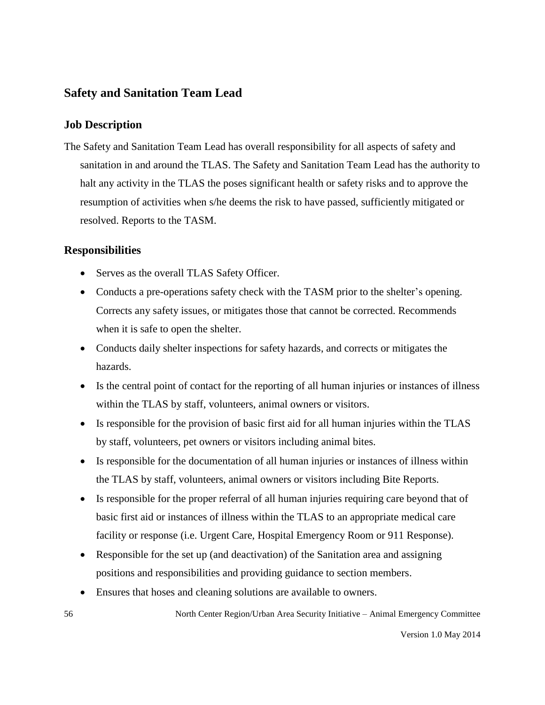#### **Safety and Sanitation Team Lead**

#### **Job Description**

The Safety and Sanitation Team Lead has overall responsibility for all aspects of safety and sanitation in and around the TLAS. The Safety and Sanitation Team Lead has the authority to halt any activity in the TLAS the poses significant health or safety risks and to approve the resumption of activities when s/he deems the risk to have passed, sufficiently mitigated or resolved. Reports to the TASM.

#### **Responsibilities**

- Serves as the overall TLAS Safety Officer.
- Conducts a pre-operations safety check with the TASM prior to the shelter's opening. Corrects any safety issues, or mitigates those that cannot be corrected. Recommends when it is safe to open the shelter.
- Conducts daily shelter inspections for safety hazards, and corrects or mitigates the hazards.
- Is the central point of contact for the reporting of all human injuries or instances of illness within the TLAS by staff, volunteers, animal owners or visitors.
- Is responsible for the provision of basic first aid for all human injuries within the TLAS by staff, volunteers, pet owners or visitors including animal bites.
- Is responsible for the documentation of all human injuries or instances of illness within the TLAS by staff, volunteers, animal owners or visitors including Bite Reports.
- Is responsible for the proper referral of all human injuries requiring care beyond that of basic first aid or instances of illness within the TLAS to an appropriate medical care facility or response (i.e. Urgent Care, Hospital Emergency Room or 911 Response).
- Responsible for the set up (and deactivation) of the Sanitation area and assigning positions and responsibilities and providing guidance to section members.
- Ensures that hoses and cleaning solutions are available to owners.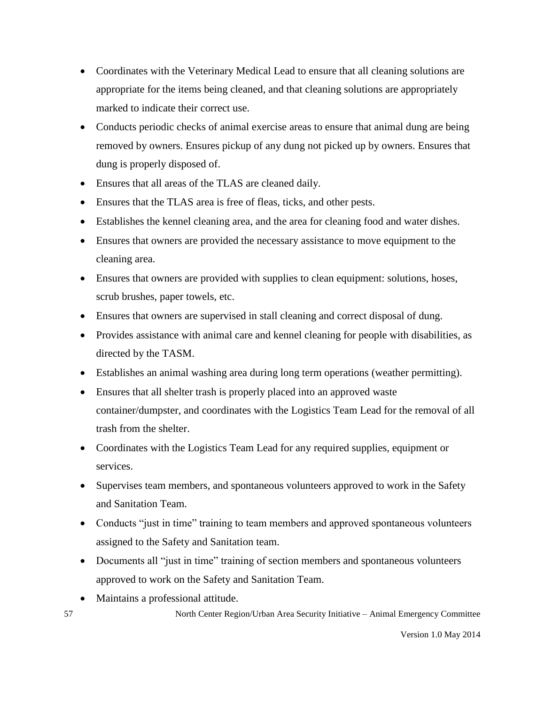- Coordinates with the Veterinary Medical Lead to ensure that all cleaning solutions are appropriate for the items being cleaned, and that cleaning solutions are appropriately marked to indicate their correct use.
- Conducts periodic checks of animal exercise areas to ensure that animal dung are being removed by owners. Ensures pickup of any dung not picked up by owners. Ensures that dung is properly disposed of.
- Ensures that all areas of the TLAS are cleaned daily.
- Ensures that the TLAS area is free of fleas, ticks, and other pests.
- Establishes the kennel cleaning area, and the area for cleaning food and water dishes.
- Ensures that owners are provided the necessary assistance to move equipment to the cleaning area.
- Ensures that owners are provided with supplies to clean equipment: solutions, hoses, scrub brushes, paper towels, etc.
- Ensures that owners are supervised in stall cleaning and correct disposal of dung.
- Provides assistance with animal care and kennel cleaning for people with disabilities, as directed by the TASM.
- Establishes an animal washing area during long term operations (weather permitting).
- Ensures that all shelter trash is properly placed into an approved waste container/dumpster, and coordinates with the Logistics Team Lead for the removal of all trash from the shelter.
- Coordinates with the Logistics Team Lead for any required supplies, equipment or services.
- Supervises team members, and spontaneous volunteers approved to work in the Safety and Sanitation Team.
- Conducts "just in time" training to team members and approved spontaneous volunteers assigned to the Safety and Sanitation team.
- Documents all "just in time" training of section members and spontaneous volunteers approved to work on the Safety and Sanitation Team.
- Maintains a professional attitude.

North Center Region/Urban Area Security Initiative – Animal Emergency Committee

57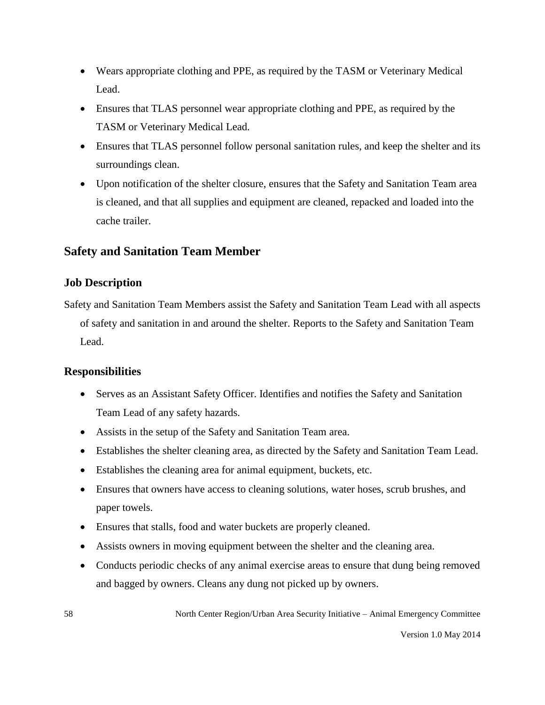- Wears appropriate clothing and PPE, as required by the TASM or Veterinary Medical Lead.
- Ensures that TLAS personnel wear appropriate clothing and PPE, as required by the TASM or Veterinary Medical Lead.
- Ensures that TLAS personnel follow personal sanitation rules, and keep the shelter and its surroundings clean.
- Upon notification of the shelter closure, ensures that the Safety and Sanitation Team area is cleaned, and that all supplies and equipment are cleaned, repacked and loaded into the cache trailer.

#### **Safety and Sanitation Team Member**

#### **Job Description**

Safety and Sanitation Team Members assist the Safety and Sanitation Team Lead with all aspects of safety and sanitation in and around the shelter. Reports to the Safety and Sanitation Team Lead.

#### **Responsibilities**

- Serves as an Assistant Safety Officer. Identifies and notifies the Safety and Sanitation Team Lead of any safety hazards.
- Assists in the setup of the Safety and Sanitation Team area.
- Establishes the shelter cleaning area, as directed by the Safety and Sanitation Team Lead.
- Establishes the cleaning area for animal equipment, buckets, etc.
- Ensures that owners have access to cleaning solutions, water hoses, scrub brushes, and paper towels.
- Ensures that stalls, food and water buckets are properly cleaned.
- Assists owners in moving equipment between the shelter and the cleaning area.
- Conducts periodic checks of any animal exercise areas to ensure that dung being removed and bagged by owners. Cleans any dung not picked up by owners.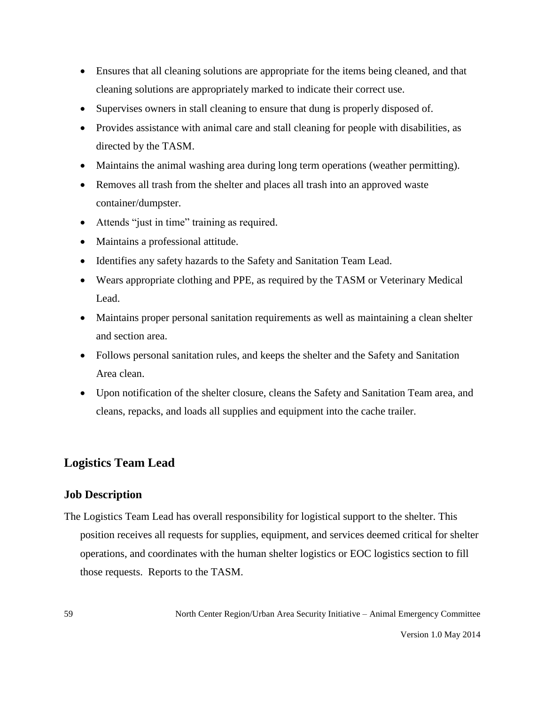- Ensures that all cleaning solutions are appropriate for the items being cleaned, and that cleaning solutions are appropriately marked to indicate their correct use.
- Supervises owners in stall cleaning to ensure that dung is properly disposed of.
- Provides assistance with animal care and stall cleaning for people with disabilities, as directed by the TASM.
- Maintains the animal washing area during long term operations (weather permitting).
- Removes all trash from the shelter and places all trash into an approved waste container/dumpster.
- Attends "just in time" training as required.
- Maintains a professional attitude.
- Identifies any safety hazards to the Safety and Sanitation Team Lead.
- Wears appropriate clothing and PPE, as required by the TASM or Veterinary Medical Lead.
- Maintains proper personal sanitation requirements as well as maintaining a clean shelter and section area.
- Follows personal sanitation rules, and keeps the shelter and the Safety and Sanitation Area clean.
- Upon notification of the shelter closure, cleans the Safety and Sanitation Team area, and cleans, repacks, and loads all supplies and equipment into the cache trailer.

#### **Logistics Team Lead**

#### **Job Description**

The Logistics Team Lead has overall responsibility for logistical support to the shelter. This position receives all requests for supplies, equipment, and services deemed critical for shelter operations, and coordinates with the human shelter logistics or EOC logistics section to fill those requests. Reports to the TASM.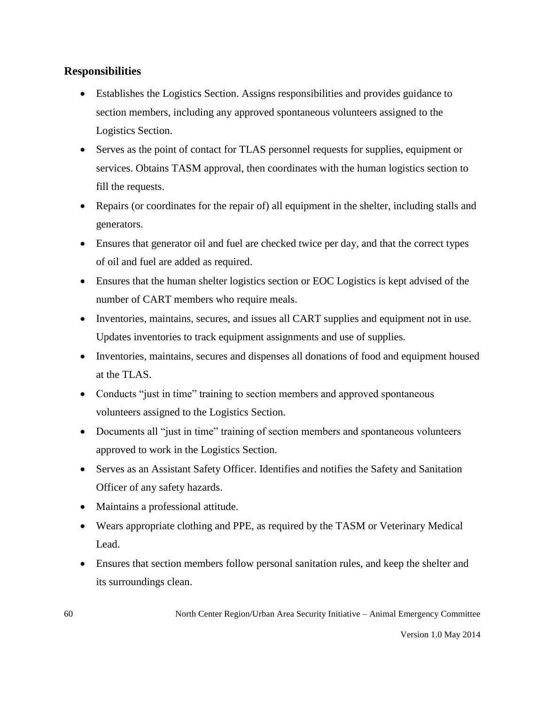#### **Responsibilities**

- Establishes the Logistics Section. Assigns responsibilities and provides guidance to section members, including any approved spontaneous volunteers assigned to the Logistics Section.
- Serves as the point of contact for TLAS personnel requests for supplies, equipment or services. Obtains TASM approval, then coordinates with the human logistics section to fill the requests.
- Repairs (or coordinates for the repair of) all equipment in the shelter, including stalls and generators.
- Ensures that generator oil and fuel are checked twice per day, and that the correct types of oil and fuel are added as required.
- Ensures that the human shelter logistics section or EOC Logistics is kept advised of the number of CART members who require meals.
- Inventories, maintains, secures, and issues all CART supplies and equipment not in use. Updates inventories to track equipment assignments and use of supplies.
- Inventories, maintains, secures and dispenses all donations of food and equipment housed at the TLAS.
- Conducts "just in time" training to section members and approved spontaneous volunteers assigned to the Logistics Section.
- Documents all "just in time" training of section members and spontaneous volunteers approved to work in the Logistics Section.
- Serves as an Assistant Safety Officer. Identifies and notifies the Safety and Sanitation Officer of any safety hazards.
- Maintains a professional attitude.
- Wears appropriate clothing and PPE, as required by the TASM or Veterinary Medical Lead.
- Ensures that section members follow personal sanitation rules, and keep the shelter and its surroundings clean.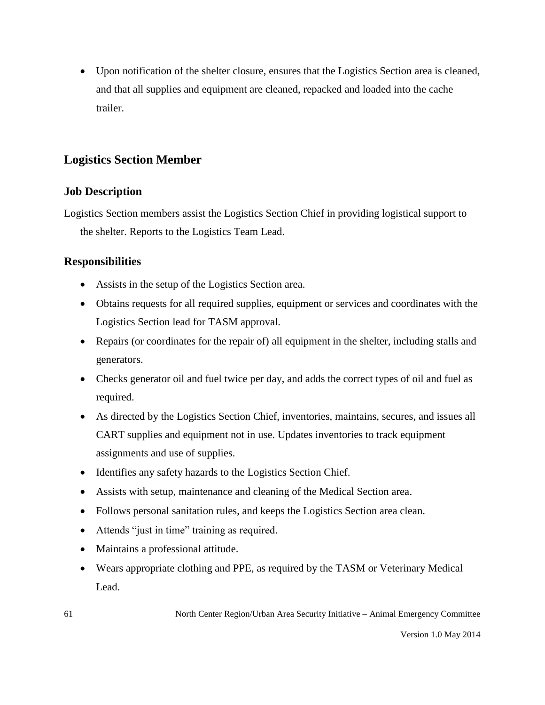Upon notification of the shelter closure, ensures that the Logistics Section area is cleaned, and that all supplies and equipment are cleaned, repacked and loaded into the cache trailer.

#### **Logistics Section Member**

#### **Job Description**

Logistics Section members assist the Logistics Section Chief in providing logistical support to the shelter. Reports to the Logistics Team Lead.

#### **Responsibilities**

- Assists in the setup of the Logistics Section area.
- Obtains requests for all required supplies, equipment or services and coordinates with the Logistics Section lead for TASM approval.
- Repairs (or coordinates for the repair of) all equipment in the shelter, including stalls and generators.
- Checks generator oil and fuel twice per day, and adds the correct types of oil and fuel as required.
- As directed by the Logistics Section Chief, inventories, maintains, secures, and issues all CART supplies and equipment not in use. Updates inventories to track equipment assignments and use of supplies.
- Identifies any safety hazards to the Logistics Section Chief.
- Assists with setup, maintenance and cleaning of the Medical Section area.
- Follows personal sanitation rules, and keeps the Logistics Section area clean.
- Attends "just in time" training as required.
- Maintains a professional attitude.
- Wears appropriate clothing and PPE, as required by the TASM or Veterinary Medical Lead.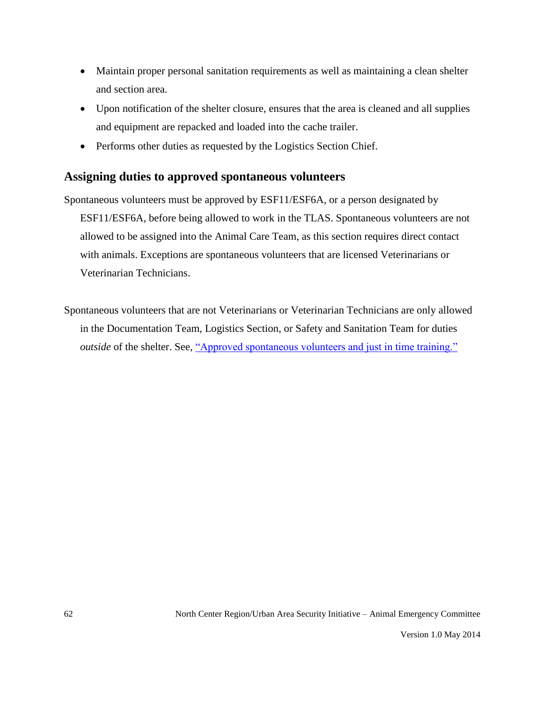- Maintain proper personal sanitation requirements as well as maintaining a clean shelter and section area.
- Upon notification of the shelter closure, ensures that the area is cleaned and all supplies and equipment are repacked and loaded into the cache trailer.
- Performs other duties as requested by the Logistics Section Chief.

#### **Assigning duties to approved spontaneous volunteers**

Spontaneous volunteers must be approved by ESF11/ESF6A, or a person designated by ESF11/ESF6A, before being allowed to work in the TLAS. Spontaneous volunteers are not allowed to be assigned into the Animal Care Team, as this section requires direct contact with animals. Exceptions are spontaneous volunteers that are licensed Veterinarians or Veterinarian Technicians.

Spontaneous volunteers that are not Veterinarians or Veterinarian Technicians are only allowed in the Documentation Team, Logistics Section, or Safety and Sanitation Team for duties *outside* of the shelter. See, ["Approved spontaneous volunteers and just in time training."](#page-40-0)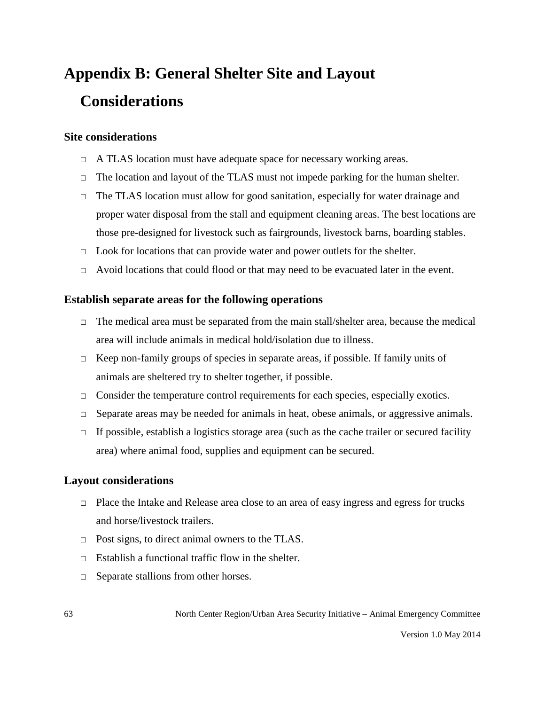## **Appendix B: General Shelter Site and Layout Considerations**

#### **Site considerations**

- □ A TLAS location must have adequate space for necessary working areas.
- $\Box$  The location and layout of the TLAS must not impede parking for the human shelter.
- □ The TLAS location must allow for good sanitation, especially for water drainage and proper water disposal from the stall and equipment cleaning areas. The best locations are those pre-designed for livestock such as fairgrounds, livestock barns, boarding stables.
- $\Box$  Look for locations that can provide water and power outlets for the shelter.
- $\Box$  Avoid locations that could flood or that may need to be evacuated later in the event.

#### **Establish separate areas for the following operations**

- $\Box$  The medical area must be separated from the main stall/shelter area, because the medical area will include animals in medical hold/isolation due to illness.
- $\Box$  Keep non-family groups of species in separate areas, if possible. If family units of animals are sheltered try to shelter together, if possible.
- $\Box$  Consider the temperature control requirements for each species, especially exotics.
- □ Separate areas may be needed for animals in heat, obese animals, or aggressive animals.
- $\Box$  If possible, establish a logistics storage area (such as the cache trailer or secured facility area) where animal food, supplies and equipment can be secured.

#### **Layout considerations**

- □ Place the Intake and Release area close to an area of easy ingress and egress for trucks and horse/livestock trailers.
- □ Post signs, to direct animal owners to the TLAS.
- $\Box$  Establish a functional traffic flow in the shelter.
- $\Box$  Separate stallions from other horses.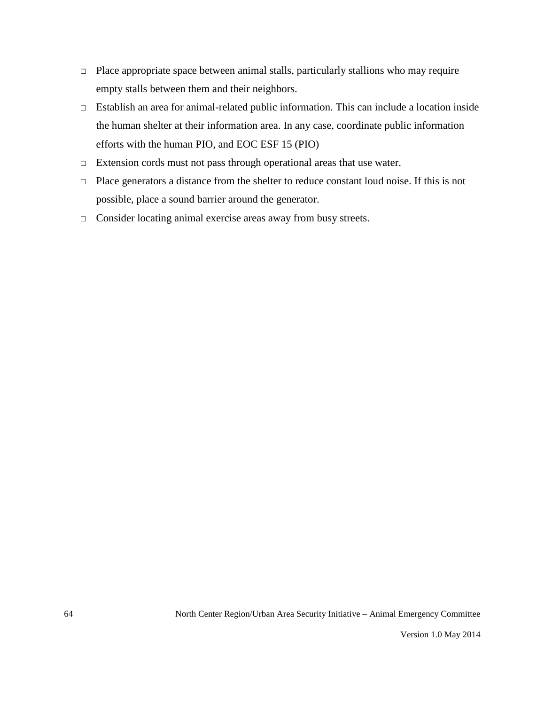- $\Box$  Place appropriate space between animal stalls, particularly stallions who may require empty stalls between them and their neighbors.
- □ Establish an area for animal-related public information. This can include a location inside the human shelter at their information area. In any case, coordinate public information efforts with the human PIO, and EOC ESF 15 (PIO)
- □ Extension cords must not pass through operational areas that use water.
- $\Box$  Place generators a distance from the shelter to reduce constant loud noise. If this is not possible, place a sound barrier around the generator.
- □ Consider locating animal exercise areas away from busy streets.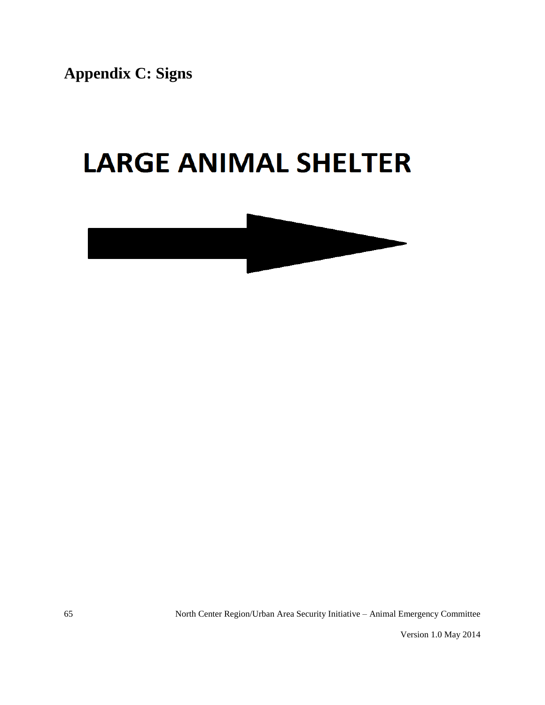**Appendix C: Signs**

# **LARGE ANIMAL SHELTER**



North Center Region/Urban Area Security Initiative – Animal Emergency Committee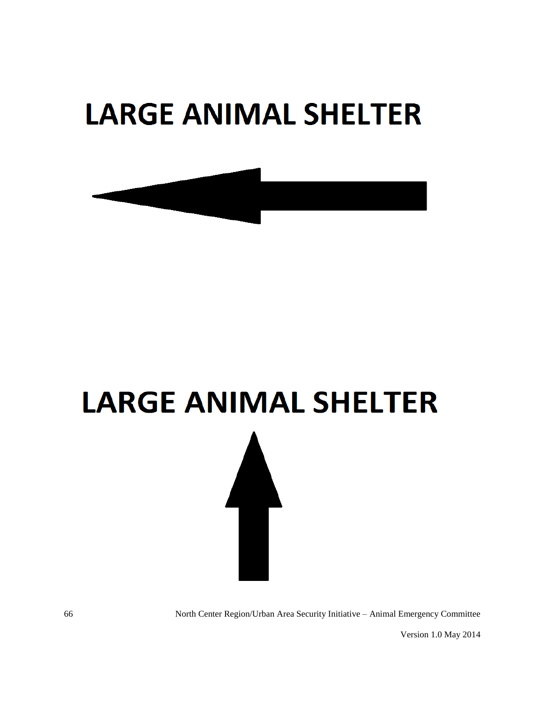# **LARGE ANIMAL SHELTER**



# **LARGE ANIMAL SHELTER**



North Center Region/Urban Area Security Initiative – Animal Emergency Committee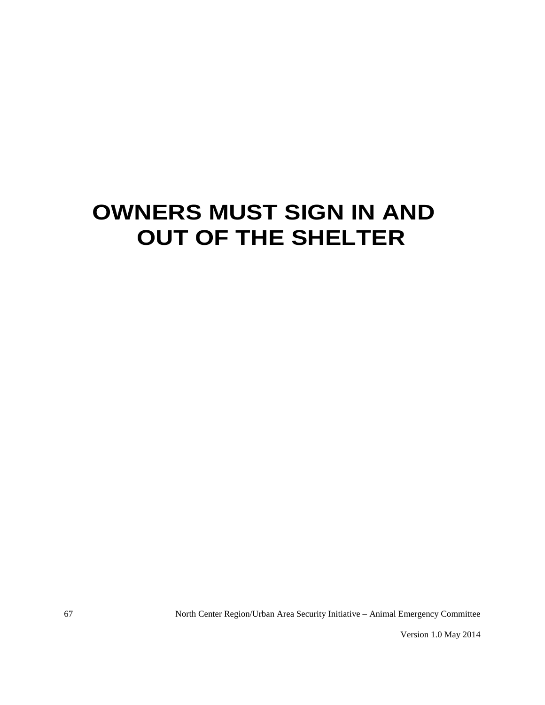## **OWNERS MUST SIGN IN AND OUT OF THE SHELTER**

North Center Region/Urban Area Security Initiative – Animal Emergency Committee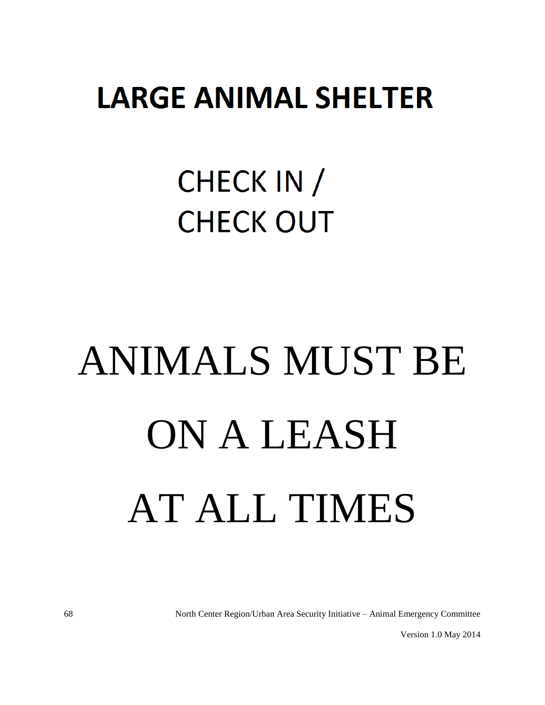# **LARGE ANIMAL SHELTER**

# CHECK IN / **CHECK OUT**

# ANIMALS MUST BE ON A LEASH AT ALL TIMES

North Center Region/Urban Area Security Initiative – Animal Emergency Committee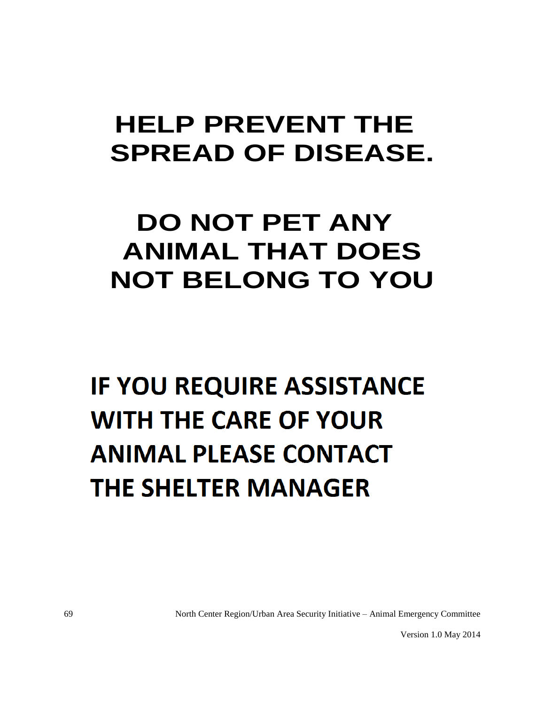# **HELP PREVENT THE SPREAD OF DISEASE.**

# **DO NOT PET ANY ANIMAL THAT DOES NOT BELONG TO YOU**

# **IF YOU REQUIRE ASSISTANCE WITH THE CARE OF YOUR ANIMAL PLEASE CONTACT THE SHELTER MANAGER**

North Center Region/Urban Area Security Initiative – Animal Emergency Committee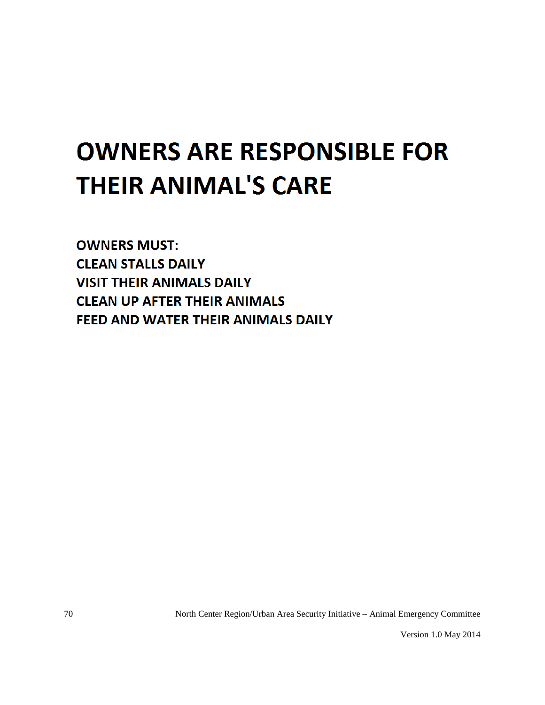# **OWNERS ARE RESPONSIBLE FOR THEIR ANIMAL'S CARE**

**OWNERS MUST: CLEAN STALLS DAILY VISIT THEIR ANIMALS DAILY CLEAN UP AFTER THEIR ANIMALS** FEED AND WATER THEIR ANIMALS DAILY

North Center Region/Urban Area Security Initiative – Animal Emergency Committee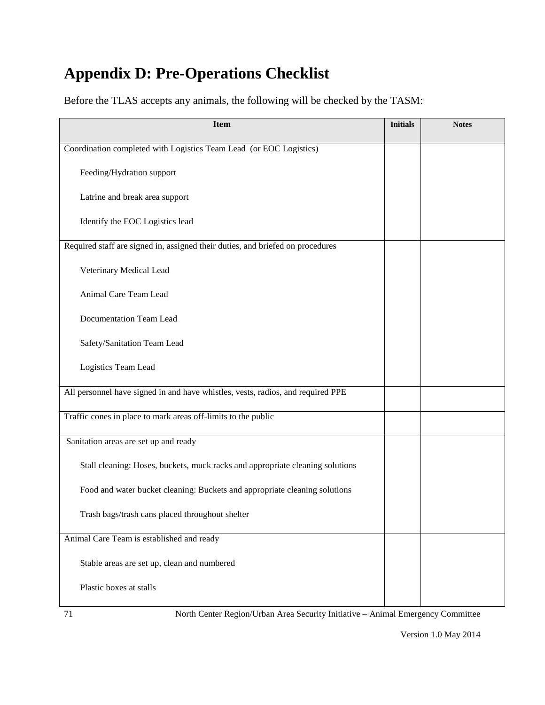## **Appendix D: Pre-Operations Checklist**

Before the TLAS accepts any animals, the following will be checked by the TASM:

| <b>Item</b>                                                                     | <b>Initials</b> | <b>Notes</b> |
|---------------------------------------------------------------------------------|-----------------|--------------|
| Coordination completed with Logistics Team Lead (or EOC Logistics)              |                 |              |
| Feeding/Hydration support                                                       |                 |              |
| Latrine and break area support                                                  |                 |              |
| Identify the EOC Logistics lead                                                 |                 |              |
| Required staff are signed in, assigned their duties, and briefed on procedures  |                 |              |
| Veterinary Medical Lead                                                         |                 |              |
| Animal Care Team Lead                                                           |                 |              |
| Documentation Team Lead                                                         |                 |              |
| Safety/Sanitation Team Lead                                                     |                 |              |
| Logistics Team Lead                                                             |                 |              |
| All personnel have signed in and have whistles, vests, radios, and required PPE |                 |              |
| Traffic cones in place to mark areas off-limits to the public                   |                 |              |
| Sanitation areas are set up and ready                                           |                 |              |
| Stall cleaning: Hoses, buckets, muck racks and appropriate cleaning solutions   |                 |              |
| Food and water bucket cleaning: Buckets and appropriate cleaning solutions      |                 |              |
| Trash bags/trash cans placed throughout shelter                                 |                 |              |
| Animal Care Team is established and ready                                       |                 |              |
| Stable areas are set up, clean and numbered                                     |                 |              |
| Plastic boxes at stalls                                                         |                 |              |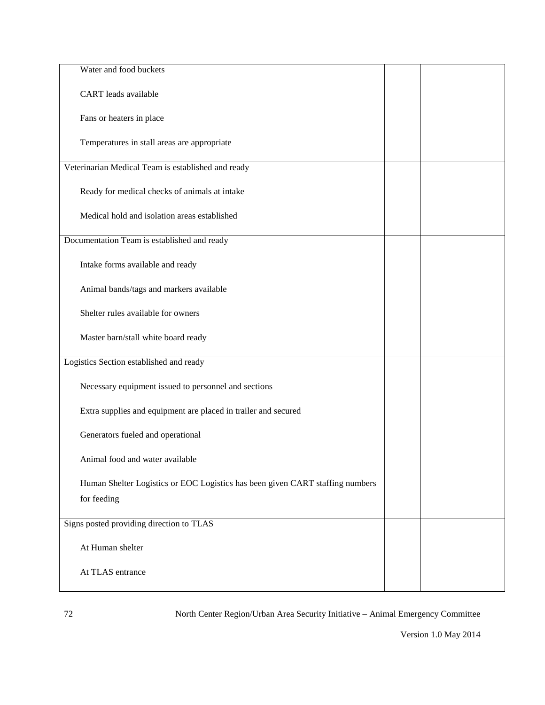| Water and food buckets                                                        |  |
|-------------------------------------------------------------------------------|--|
| <b>CART</b> leads available                                                   |  |
| Fans or heaters in place                                                      |  |
| Temperatures in stall areas are appropriate                                   |  |
| Veterinarian Medical Team is established and ready                            |  |
| Ready for medical checks of animals at intake                                 |  |
| Medical hold and isolation areas established                                  |  |
| Documentation Team is established and ready                                   |  |
| Intake forms available and ready                                              |  |
| Animal bands/tags and markers available                                       |  |
| Shelter rules available for owners                                            |  |
| Master barn/stall white board ready                                           |  |
| Logistics Section established and ready                                       |  |
| Necessary equipment issued to personnel and sections                          |  |
| Extra supplies and equipment are placed in trailer and secured                |  |
| Generators fueled and operational                                             |  |
| Animal food and water available                                               |  |
| Human Shelter Logistics or EOC Logistics has been given CART staffing numbers |  |
| for feeding                                                                   |  |
| Signs posted providing direction to TLAS                                      |  |
| At Human shelter                                                              |  |
| At TLAS entrance                                                              |  |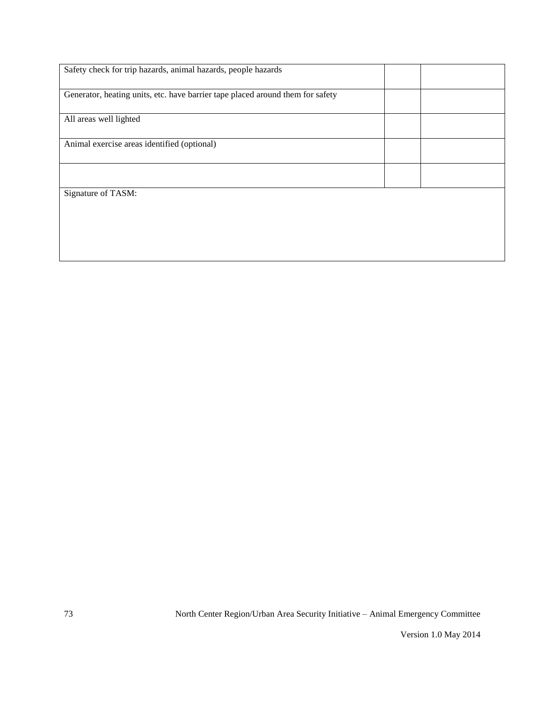| Safety check for trip hazards, animal hazards, people hazards                  |  |
|--------------------------------------------------------------------------------|--|
| Generator, heating units, etc. have barrier tape placed around them for safety |  |
| All areas well lighted                                                         |  |
| Animal exercise areas identified (optional)                                    |  |
|                                                                                |  |
| Signature of TASM:                                                             |  |
|                                                                                |  |
|                                                                                |  |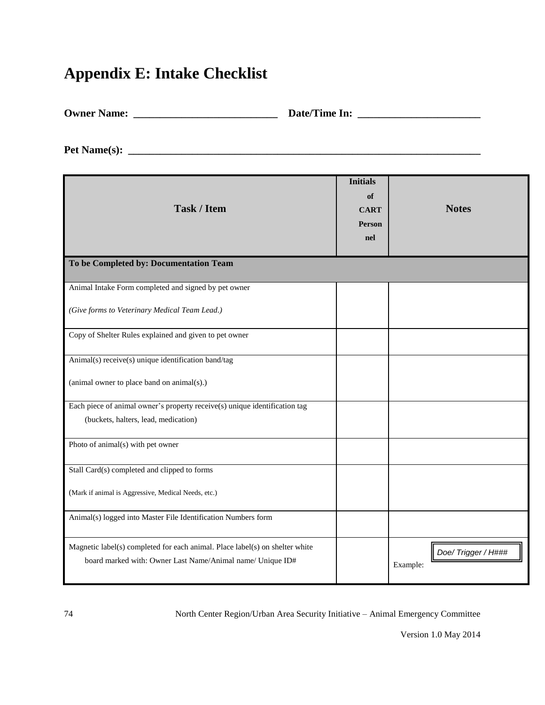## **Appendix E: Intake Checklist**

**Owner Name: \_\_\_\_\_\_\_\_\_\_\_\_\_\_\_\_\_\_\_\_\_\_\_\_\_\_\_ Date/Time In: \_\_\_\_\_\_\_\_\_\_\_\_\_\_\_\_\_\_\_\_\_\_\_**

**Pet Name(s): \_\_\_\_\_\_\_\_\_\_\_\_\_\_\_\_\_\_\_\_\_\_\_\_\_\_\_\_\_\_\_\_\_\_\_\_\_\_\_\_\_\_\_\_\_\_\_\_\_\_\_\_\_\_\_\_\_\_\_\_\_\_\_\_\_\_**

| <b>Task / Item</b>                                                                                                                         | <b>Initials</b><br>of<br><b>CART</b><br><b>Person</b><br>nel | <b>Notes</b>                   |
|--------------------------------------------------------------------------------------------------------------------------------------------|--------------------------------------------------------------|--------------------------------|
| To be Completed by: Documentation Team                                                                                                     |                                                              |                                |
| Animal Intake Form completed and signed by pet owner                                                                                       |                                                              |                                |
| (Give forms to Veterinary Medical Team Lead.)                                                                                              |                                                              |                                |
| Copy of Shelter Rules explained and given to pet owner                                                                                     |                                                              |                                |
| Animal(s) receive(s) unique identification band/tag                                                                                        |                                                              |                                |
| (animal owner to place band on animal(s).)                                                                                                 |                                                              |                                |
| Each piece of animal owner's property receive(s) unique identification tag                                                                 |                                                              |                                |
| (buckets, halters, lead, medication)                                                                                                       |                                                              |                                |
| Photo of animal(s) with pet owner                                                                                                          |                                                              |                                |
| Stall Card(s) completed and clipped to forms                                                                                               |                                                              |                                |
| (Mark if animal is Aggressive, Medical Needs, etc.)                                                                                        |                                                              |                                |
| Animal(s) logged into Master File Identification Numbers form                                                                              |                                                              |                                |
| Magnetic label(s) completed for each animal. Place label(s) on shelter white<br>board marked with: Owner Last Name/Animal name/ Unique ID# |                                                              | Doe/Trigger / H###<br>Example: |

North Center Region/Urban Area Security Initiative – Animal Emergency Committee

Version 1.0 May 2014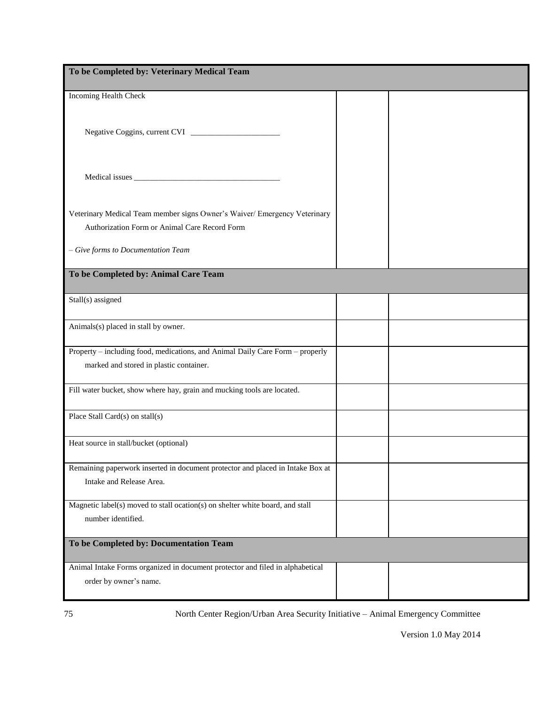| To be Completed by: Veterinary Medical Team                                    |  |
|--------------------------------------------------------------------------------|--|
| <b>Incoming Health Check</b>                                                   |  |
|                                                                                |  |
|                                                                                |  |
|                                                                                |  |
|                                                                                |  |
|                                                                                |  |
|                                                                                |  |
|                                                                                |  |
| Veterinary Medical Team member signs Owner's Waiver/ Emergency Veterinary      |  |
| Authorization Form or Animal Care Record Form                                  |  |
| - Give forms to Documentation Team                                             |  |
|                                                                                |  |
| To be Completed by: Animal Care Team                                           |  |
| Stall(s) assigned                                                              |  |
|                                                                                |  |
| Animals(s) placed in stall by owner.                                           |  |
| Property - including food, medications, and Animal Daily Care Form - properly  |  |
| marked and stored in plastic container.                                        |  |
|                                                                                |  |
| Fill water bucket, show where hay, grain and mucking tools are located.        |  |
|                                                                                |  |
| Place Stall Card(s) on stall(s)                                                |  |
| Heat source in stall/bucket (optional)                                         |  |
|                                                                                |  |
| Remaining paperwork inserted in document protector and placed in Intake Box at |  |
| Intake and Release Area.                                                       |  |
| Magnetic label(s) moved to stall ocation(s) on shelter white board, and stall  |  |
| number identified.                                                             |  |
|                                                                                |  |
| To be Completed by: Documentation Team                                         |  |
| Animal Intake Forms organized in document protector and filed in alphabetical  |  |
| order by owner's name.                                                         |  |
|                                                                                |  |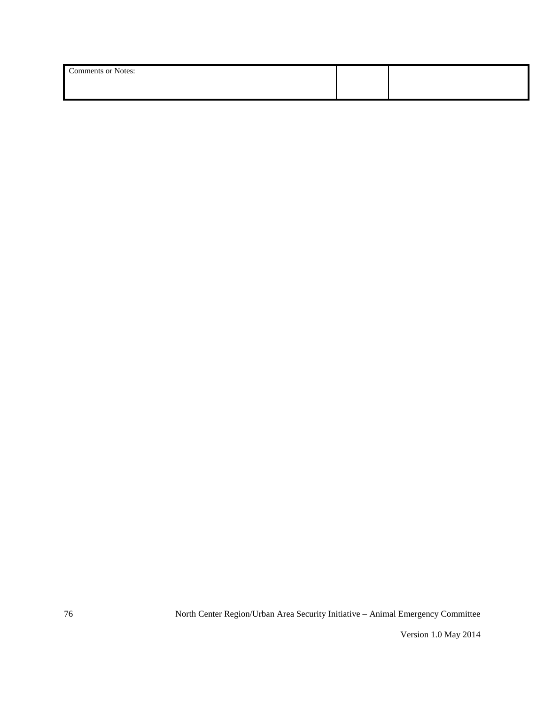| <b>Comments or Notes:</b> |  |
|---------------------------|--|
|                           |  |
|                           |  |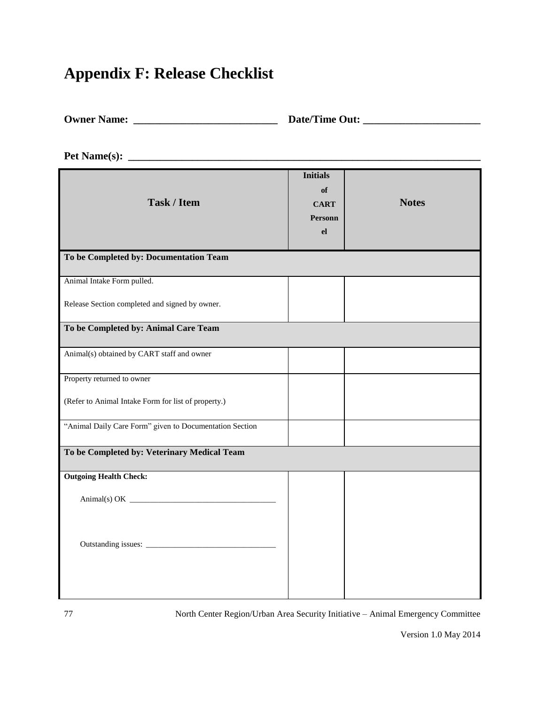# **Appendix F: Release Checklist**

| <b>Owner Name:</b> | Date/Time Out: |
|--------------------|----------------|
|                    |                |

**Pet Name(s): \_\_\_\_\_\_\_\_\_\_\_\_\_\_\_\_\_\_\_\_\_\_\_\_\_\_\_\_\_\_\_\_\_\_\_\_\_\_\_\_\_\_\_\_\_\_\_\_\_\_\_\_\_\_\_\_\_\_\_\_\_\_\_\_\_\_**

| <b>Task / Item</b>                                      | <b>Initials</b><br>of<br><b>CART</b><br><b>Personn</b> | <b>Notes</b> |
|---------------------------------------------------------|--------------------------------------------------------|--------------|
|                                                         | el                                                     |              |
| To be Completed by: Documentation Team                  |                                                        |              |
| Animal Intake Form pulled.                              |                                                        |              |
| Release Section completed and signed by owner.          |                                                        |              |
| To be Completed by: Animal Care Team                    |                                                        |              |
| Animal(s) obtained by CART staff and owner              |                                                        |              |
| Property returned to owner                              |                                                        |              |
| (Refer to Animal Intake Form for list of property.)     |                                                        |              |
| "Animal Daily Care Form" given to Documentation Section |                                                        |              |
| To be Completed by: Veterinary Medical Team             |                                                        |              |
| <b>Outgoing Health Check:</b>                           |                                                        |              |
| Animal(s) OK $\overline{\phantom{a}}$                   |                                                        |              |
|                                                         |                                                        |              |
|                                                         |                                                        |              |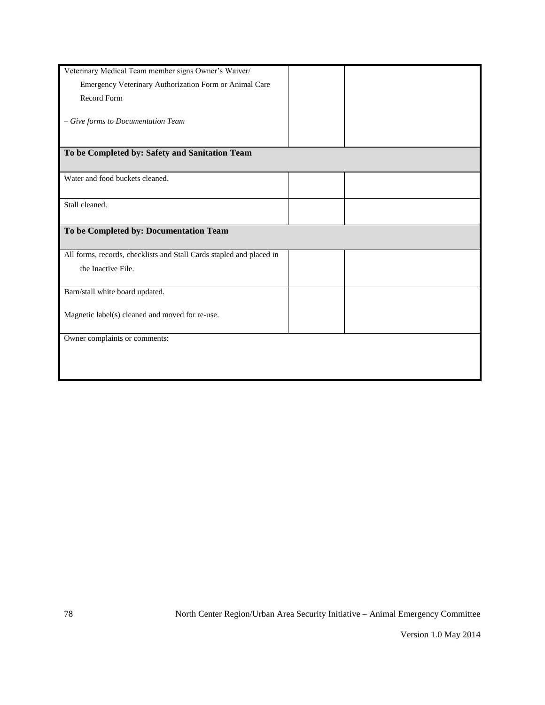| Veterinary Medical Team member signs Owner's Waiver/                 |  |
|----------------------------------------------------------------------|--|
| Emergency Veterinary Authorization Form or Animal Care               |  |
| Record Form                                                          |  |
|                                                                      |  |
| - Give forms to Documentation Team                                   |  |
|                                                                      |  |
| To be Completed by: Safety and Sanitation Team                       |  |
|                                                                      |  |
| Water and food buckets cleaned.                                      |  |
|                                                                      |  |
| Stall cleaned.                                                       |  |
|                                                                      |  |
| To be Completed by: Documentation Team                               |  |
|                                                                      |  |
| All forms, records, checklists and Stall Cards stapled and placed in |  |
| the Inactive File.                                                   |  |
|                                                                      |  |
| Barn/stall white board updated.                                      |  |
|                                                                      |  |
|                                                                      |  |
| Magnetic label(s) cleaned and moved for re-use.                      |  |
|                                                                      |  |
| Owner complaints or comments:                                        |  |
|                                                                      |  |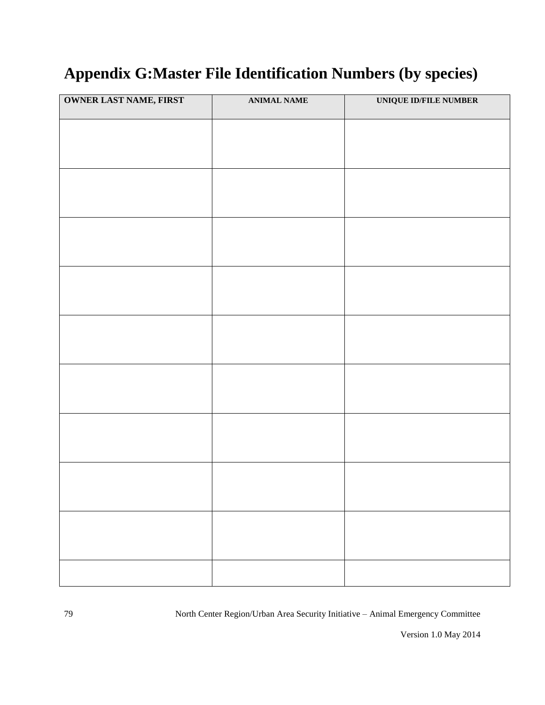# **Appendix G:Master File Identification Numbers (by species)**

| <b>OWNER LAST NAME, FIRST</b> | <b>ANIMAL NAME</b> | UNIQUE ID/FILE NUMBER |
|-------------------------------|--------------------|-----------------------|
|                               |                    |                       |
|                               |                    |                       |
|                               |                    |                       |
|                               |                    |                       |
|                               |                    |                       |
|                               |                    |                       |
|                               |                    |                       |
|                               |                    |                       |
|                               |                    |                       |
|                               |                    |                       |
|                               |                    |                       |
|                               |                    |                       |
|                               |                    |                       |
|                               |                    |                       |
|                               |                    |                       |
|                               |                    |                       |
|                               |                    |                       |
|                               |                    |                       |
|                               |                    |                       |
|                               |                    |                       |
|                               |                    |                       |
|                               |                    |                       |
|                               |                    |                       |
|                               |                    |                       |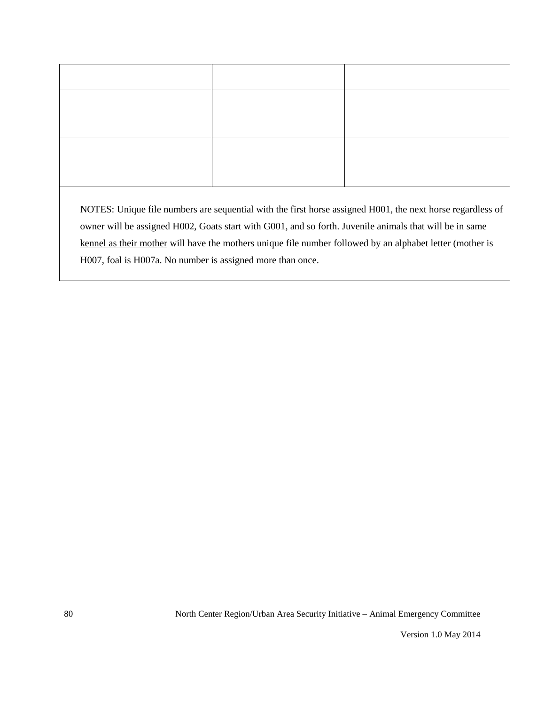NOTES: Unique file numbers are sequential with the first horse assigned H001, the next horse regardless of owner will be assigned H002, Goats start with G001, and so forth. Juvenile animals that will be in same kennel as their mother will have the mothers unique file number followed by an alphabet letter (mother is H007, foal is H007a. No number is assigned more than once.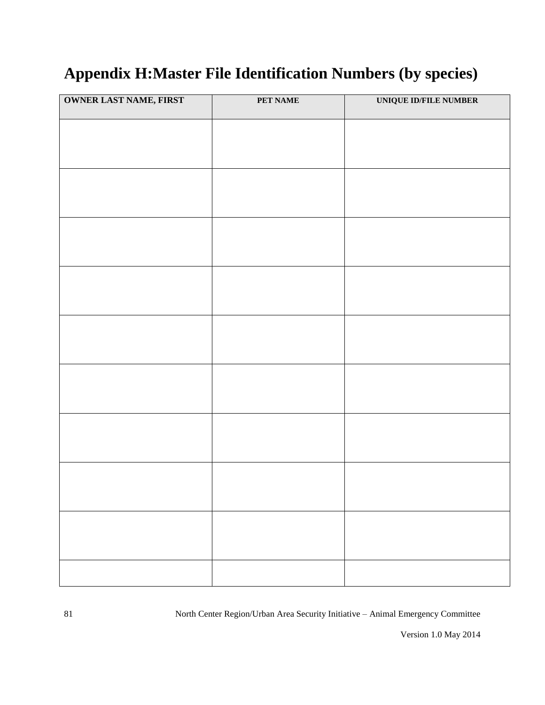# **Appendix H:Master File Identification Numbers (by species)**

| <b>OWNER LAST NAME, FIRST</b> | PET NAME | UNIQUE ID/FILE NUMBER |
|-------------------------------|----------|-----------------------|
|                               |          |                       |
|                               |          |                       |
|                               |          |                       |
|                               |          |                       |
|                               |          |                       |
|                               |          |                       |
|                               |          |                       |
|                               |          |                       |
|                               |          |                       |
|                               |          |                       |
|                               |          |                       |
|                               |          |                       |
|                               |          |                       |
|                               |          |                       |
|                               |          |                       |
|                               |          |                       |
|                               |          |                       |
|                               |          |                       |
|                               |          |                       |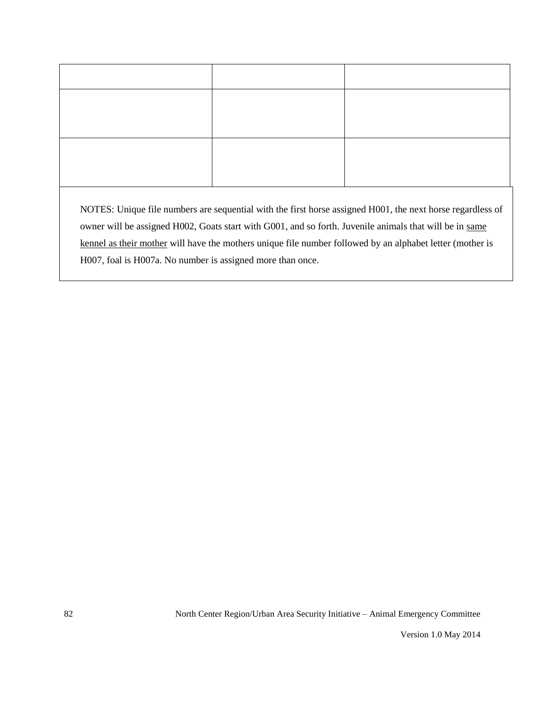NOTES: Unique file numbers are sequential with the first horse assigned H001, the next horse regardless of owner will be assigned H002, Goats start with G001, and so forth. Juvenile animals that will be in same kennel as their mother will have the mothers unique file number followed by an alphabet letter (mother is H007, foal is H007a. No number is assigned more than once.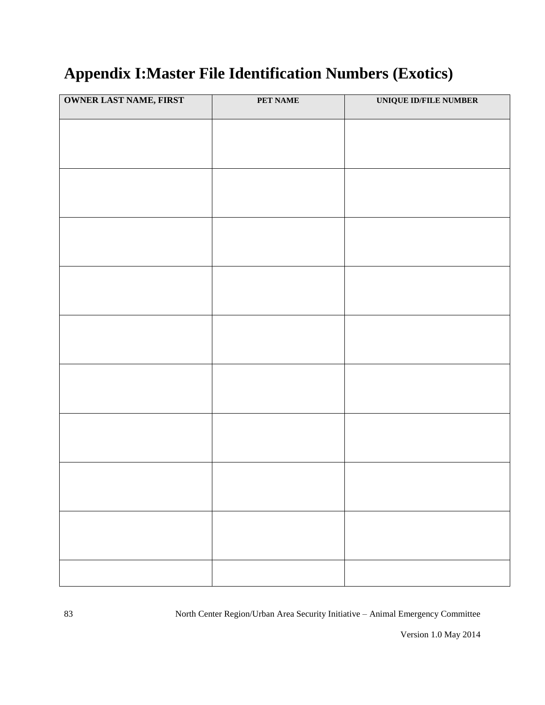# **Appendix I:Master File Identification Numbers (Exotics)**

| <b>OWNER LAST NAME, FIRST</b> | PET NAME | UNIQUE ID/FILE NUMBER |
|-------------------------------|----------|-----------------------|
|                               |          |                       |
|                               |          |                       |
|                               |          |                       |
|                               |          |                       |
|                               |          |                       |
|                               |          |                       |
|                               |          |                       |
|                               |          |                       |
|                               |          |                       |
|                               |          |                       |
|                               |          |                       |
|                               |          |                       |
|                               |          |                       |
|                               |          |                       |
|                               |          |                       |
|                               |          |                       |
|                               |          |                       |
|                               |          |                       |
|                               |          |                       |
|                               |          |                       |
|                               |          |                       |

North Center Region/Urban Area Security Initiative – Animal Emergency Committee

Version 1.0 May 2014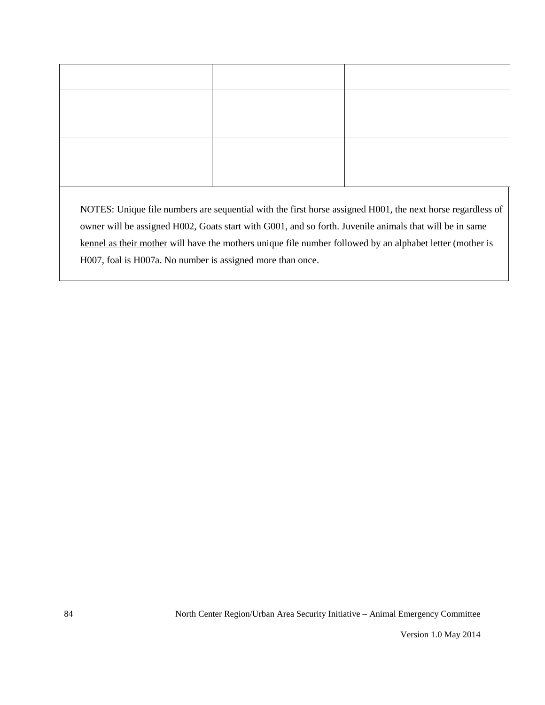NOTES: Unique file numbers are sequential with the first horse assigned H001, the next horse regardless of owner will be assigned H002, Goats start with G001, and so forth. Juvenile animals that will be in same kennel as their mother will have the mothers unique file number followed by an alphabet letter (mother is H007, foal is H007a. No number is assigned more than once.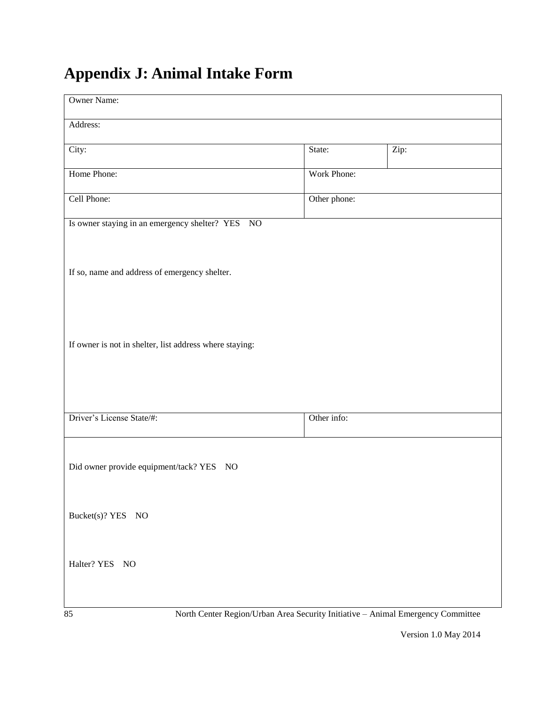# **Appendix J: Animal Intake Form**

| <b>Owner Name:</b>                                                                    |              |      |
|---------------------------------------------------------------------------------------|--------------|------|
| Address:                                                                              |              |      |
| City:                                                                                 | State:       | Zip: |
| Home Phone:                                                                           | Work Phone:  |      |
| Cell Phone:                                                                           | Other phone: |      |
| Is owner staying in an emergency shelter? YES NO                                      |              |      |
|                                                                                       |              |      |
| If so, name and address of emergency shelter.                                         |              |      |
|                                                                                       |              |      |
|                                                                                       |              |      |
| If owner is not in shelter, list address where staying:                               |              |      |
|                                                                                       |              |      |
|                                                                                       |              |      |
| Driver's License State/#:                                                             | Other info:  |      |
|                                                                                       |              |      |
| Did owner provide equipment/tack? YES NO                                              |              |      |
|                                                                                       |              |      |
| Bucket(s)? YES NO                                                                     |              |      |
|                                                                                       |              |      |
| Halter? YES NO                                                                        |              |      |
|                                                                                       |              |      |
| North Center Region/Urban Area Security Initiative - Animal Emergency Committee<br>85 |              |      |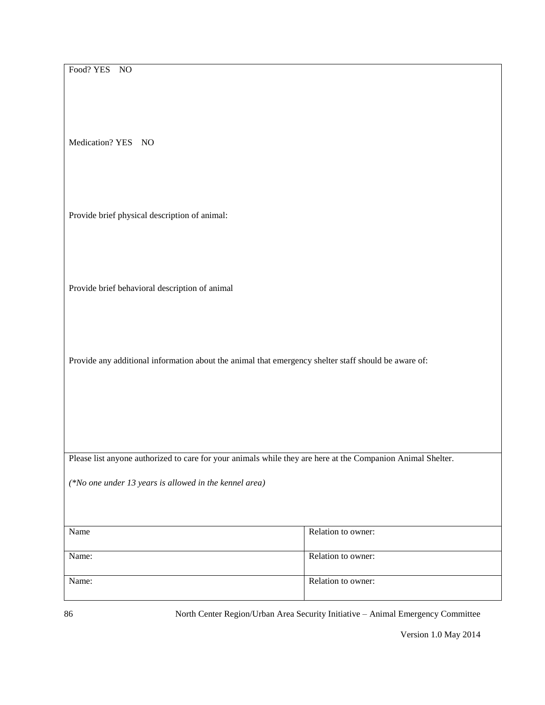| Food? YES NO                                                                                                                                                          |                    |
|-----------------------------------------------------------------------------------------------------------------------------------------------------------------------|--------------------|
| Medication? YES NO                                                                                                                                                    |                    |
| Provide brief physical description of animal:                                                                                                                         |                    |
| Provide brief behavioral description of animal                                                                                                                        |                    |
| Provide any additional information about the animal that emergency shelter staff should be aware of:                                                                  |                    |
|                                                                                                                                                                       |                    |
| Please list anyone authorized to care for your animals while they are here at the Companion Animal Shelter.<br>(*No one under 13 years is allowed in the kennel area) |                    |
|                                                                                                                                                                       |                    |
| Name                                                                                                                                                                  | Relation to owner: |
| Name:                                                                                                                                                                 | Relation to owner: |
| Name:                                                                                                                                                                 | Relation to owner: |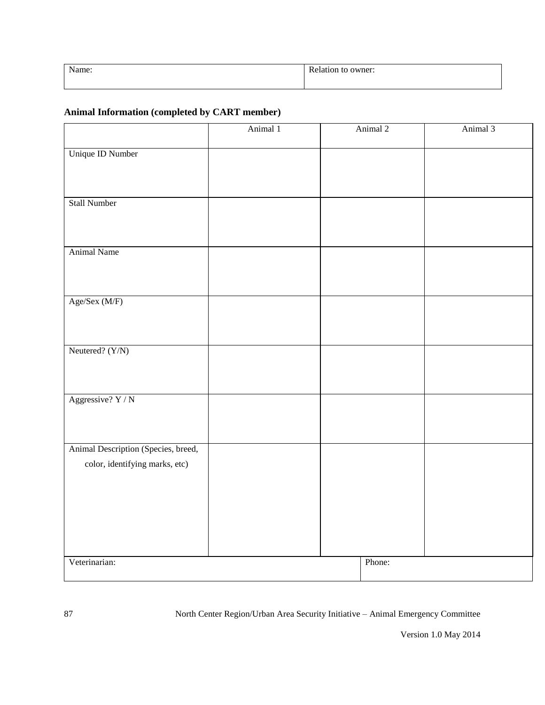| Name: | Relation to owner: |
|-------|--------------------|
|       |                    |

### **Animal Information (completed by CART member)**

|                                     | Animal 1 | Animal 2 | Animal 3 |
|-------------------------------------|----------|----------|----------|
| Unique ID Number                    |          |          |          |
|                                     |          |          |          |
|                                     |          |          |          |
| <b>Stall Number</b>                 |          |          |          |
|                                     |          |          |          |
|                                     |          |          |          |
| Animal Name                         |          |          |          |
|                                     |          |          |          |
|                                     |          |          |          |
| Age/Sex (M/F)                       |          |          |          |
|                                     |          |          |          |
| Neutered? (Y/N)                     |          |          |          |
|                                     |          |          |          |
|                                     |          |          |          |
| Aggressive? Y / N                   |          |          |          |
|                                     |          |          |          |
|                                     |          |          |          |
| Animal Description (Species, breed, |          |          |          |
| color, identifying marks, etc)      |          |          |          |
|                                     |          |          |          |
|                                     |          |          |          |
|                                     |          |          |          |
|                                     |          |          |          |
| Veterinarian:                       |          | Phone:   |          |
|                                     |          |          |          |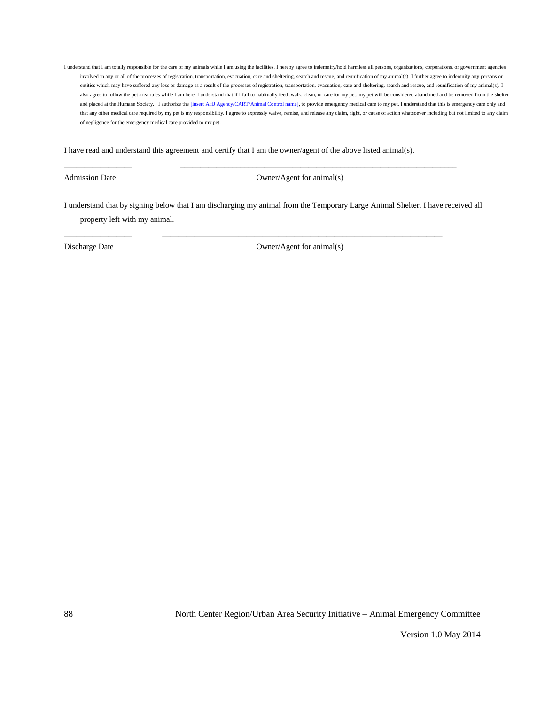I understand that I am totally responsible for the care of my animals while I am using the facilities. I hereby agree to indemnify/hold harmless all persons, organizations, corporations, or government agencies involved in any or all of the processes of registration, transportation, evacuation, care and sheltering, search and rescue, and reunification of my animal(s). I further agree to indemnify any persons or entities which may have suffered any loss or damage as a result of the processes of registration, transportation, evacuation, care and sheltering, search and rescue, and reunification of my animal(s). I also agree to follow the pet area rules while I am here. I understand that if I fail to habitually feed ,walk, clean, or care for my pet, my pet will be considered abandoned and be removed from the shelter and placed at the Humane Society. I authorize the [insert AHJ Agency/CART/Animal Control name], to provide emergency medical care to my pet. I understand that this is emergency care only and that any other medical care required by my pet is my responsibility. I agree to expressly waive, remise, and release any claim, right, or cause of action whatsoever including but not limited to any claim of negligence for the emergency medical care provided to my pet.

I have read and understand this agreement and certify that I am the owner/agent of the above listed animal(s).

Admission Date Owner/Agent for animal(s)

I understand that by signing below that I am discharging my animal from the Temporary Large Animal Shelter. I have received all property left with my animal.

\_\_\_\_\_\_\_\_\_\_\_\_\_\_\_\_\_ \_\_\_\_\_\_\_\_\_\_\_\_\_\_\_\_\_\_\_\_\_\_\_\_\_\_\_\_\_\_\_\_\_\_\_\_\_\_\_\_\_\_\_\_\_\_\_\_\_\_\_\_\_\_\_\_\_\_\_\_\_\_\_\_\_\_\_\_\_

\_\_\_\_\_\_\_\_\_\_\_\_\_\_\_\_\_ \_\_\_\_\_\_\_\_\_\_\_\_\_\_\_\_\_\_\_\_\_\_\_\_\_\_\_\_\_\_\_\_\_\_\_\_\_\_\_\_\_\_\_\_\_\_\_\_\_\_\_\_\_\_\_\_\_\_\_\_\_\_\_\_\_\_\_\_\_\_

Discharge Date Owner/Agent for animal(s)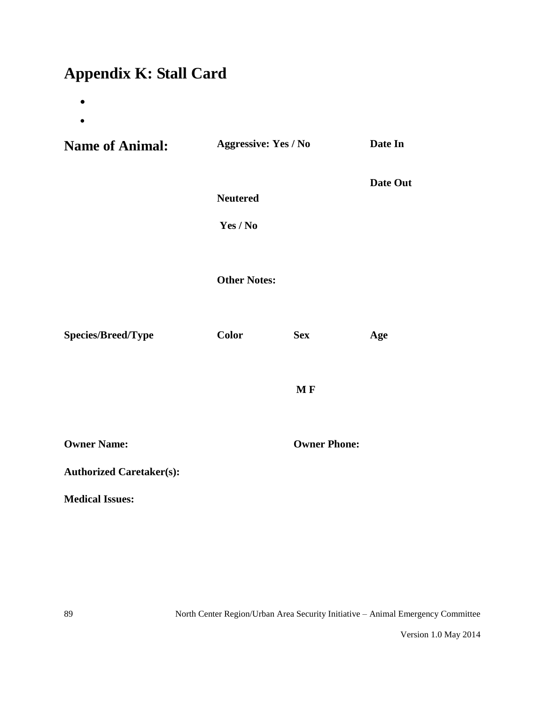# **Appendix K: Stall Card**

 $\bullet$ 

| <b>Name of Animal:</b>          | <b>Aggressive: Yes / No</b> | Date In             |          |
|---------------------------------|-----------------------------|---------------------|----------|
|                                 | <b>Neutered</b><br>Yes / No |                     | Date Out |
|                                 | <b>Other Notes:</b>         |                     |          |
| Species/Breed/Type              | <b>Color</b>                | <b>Sex</b>          | Age      |
|                                 |                             | MF                  |          |
| <b>Owner Name:</b>              |                             | <b>Owner Phone:</b> |          |
| <b>Authorized Caretaker(s):</b> |                             |                     |          |
| <b>Medical Issues:</b>          |                             |                     |          |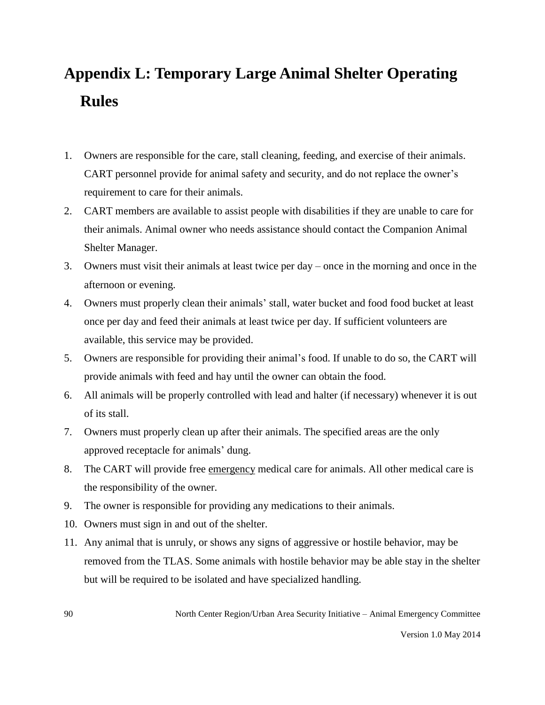# **Appendix L: Temporary Large Animal Shelter Operating Rules**

- 1. Owners are responsible for the care, stall cleaning, feeding, and exercise of their animals. CART personnel provide for animal safety and security, and do not replace the owner's requirement to care for their animals.
- 2. CART members are available to assist people with disabilities if they are unable to care for their animals. Animal owner who needs assistance should contact the Companion Animal Shelter Manager.
- 3. Owners must visit their animals at least twice per day once in the morning and once in the afternoon or evening.
- 4. Owners must properly clean their animals' stall, water bucket and food food bucket at least once per day and feed their animals at least twice per day. If sufficient volunteers are available, this service may be provided.
- 5. Owners are responsible for providing their animal's food. If unable to do so, the CART will provide animals with feed and hay until the owner can obtain the food.
- 6. All animals will be properly controlled with lead and halter (if necessary) whenever it is out of its stall.
- 7. Owners must properly clean up after their animals. The specified areas are the only approved receptacle for animals' dung.
- 8. The CART will provide free emergency medical care for animals. All other medical care is the responsibility of the owner.
- 9. The owner is responsible for providing any medications to their animals.
- 10. Owners must sign in and out of the shelter.
- 11. Any animal that is unruly, or shows any signs of aggressive or hostile behavior, may be removed from the TLAS. Some animals with hostile behavior may be able stay in the shelter but will be required to be isolated and have specialized handling.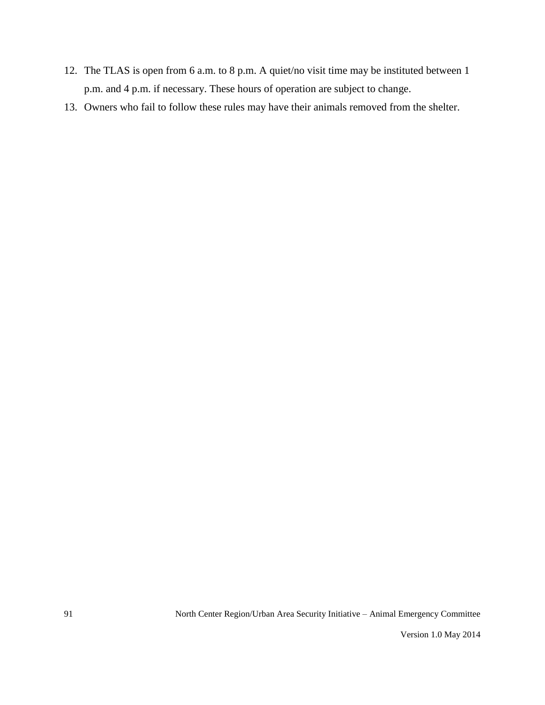- 12. The TLAS is open from 6 a.m. to 8 p.m. A quiet/no visit time may be instituted between 1 p.m. and 4 p.m. if necessary. These hours of operation are subject to change.
- 13. Owners who fail to follow these rules may have their animals removed from the shelter.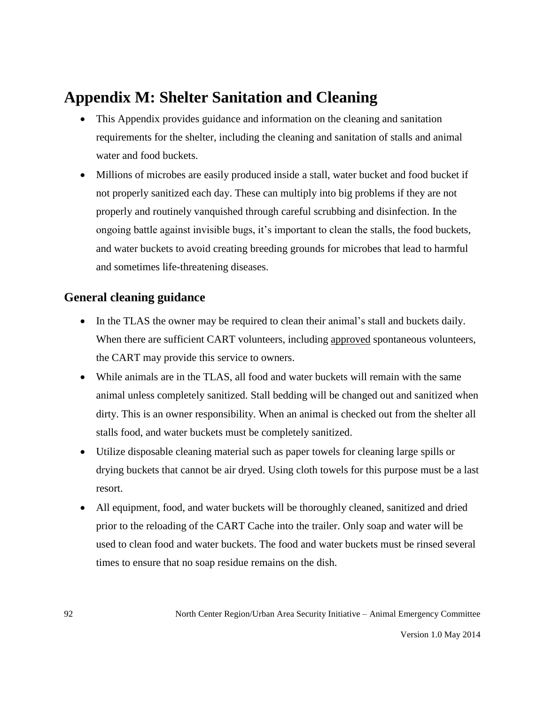## **Appendix M: Shelter Sanitation and Cleaning**

- This Appendix provides guidance and information on the cleaning and sanitation requirements for the shelter, including the cleaning and sanitation of stalls and animal water and food buckets.
- Millions of microbes are easily produced inside a stall, water bucket and food bucket if not properly sanitized each day. These can multiply into big problems if they are not properly and routinely vanquished through careful scrubbing and disinfection. In the ongoing battle against invisible bugs, it's important to clean the stalls, the food buckets, and water buckets to avoid creating breeding grounds for microbes that lead to harmful and sometimes life-threatening diseases.

## **General cleaning guidance**

- In the TLAS the owner may be required to clean their animal's stall and buckets daily. When there are sufficient CART volunteers, including approved spontaneous volunteers, the CART may provide this service to owners.
- While animals are in the TLAS, all food and water buckets will remain with the same animal unless completely sanitized. Stall bedding will be changed out and sanitized when dirty. This is an owner responsibility. When an animal is checked out from the shelter all stalls food, and water buckets must be completely sanitized.
- Utilize disposable cleaning material such as paper towels for cleaning large spills or drying buckets that cannot be air dryed. Using cloth towels for this purpose must be a last resort.
- All equipment, food, and water buckets will be thoroughly cleaned, sanitized and dried prior to the reloading of the CART Cache into the trailer. Only soap and water will be used to clean food and water buckets. The food and water buckets must be rinsed several times to ensure that no soap residue remains on the dish.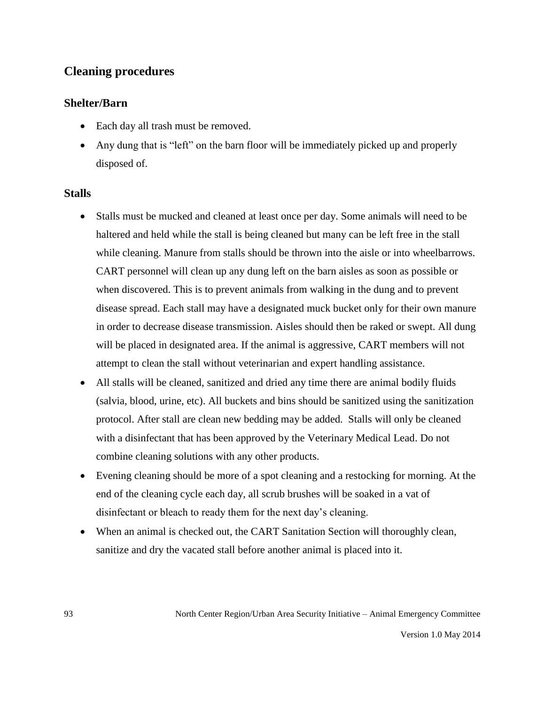## **Cleaning procedures**

## **Shelter/Barn**

- Each day all trash must be removed.
- Any dung that is "left" on the barn floor will be immediately picked up and properly disposed of.

### **Stalls**

- Stalls must be mucked and cleaned at least once per day. Some animals will need to be haltered and held while the stall is being cleaned but many can be left free in the stall while cleaning. Manure from stalls should be thrown into the aisle or into wheelbarrows. CART personnel will clean up any dung left on the barn aisles as soon as possible or when discovered. This is to prevent animals from walking in the dung and to prevent disease spread. Each stall may have a designated muck bucket only for their own manure in order to decrease disease transmission. Aisles should then be raked or swept. All dung will be placed in designated area. If the animal is aggressive, CART members will not attempt to clean the stall without veterinarian and expert handling assistance.
- All stalls will be cleaned, sanitized and dried any time there are animal bodily fluids (salvia, blood, urine, etc). All buckets and bins should be sanitized using the sanitization protocol. After stall are clean new bedding may be added. Stalls will only be cleaned with a disinfectant that has been approved by the Veterinary Medical Lead. Do not combine cleaning solutions with any other products.
- Evening cleaning should be more of a spot cleaning and a restocking for morning. At the end of the cleaning cycle each day, all scrub brushes will be soaked in a vat of disinfectant or bleach to ready them for the next day's cleaning.
- When an animal is checked out, the CART Sanitation Section will thoroughly clean, sanitize and dry the vacated stall before another animal is placed into it.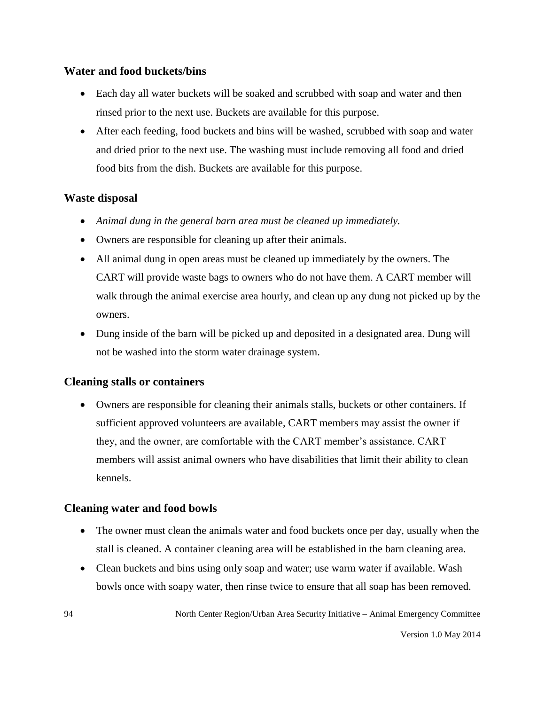#### **Water and food buckets/bins**

- Each day all water buckets will be soaked and scrubbed with soap and water and then rinsed prior to the next use. Buckets are available for this purpose.
- After each feeding, food buckets and bins will be washed, scrubbed with soap and water and dried prior to the next use. The washing must include removing all food and dried food bits from the dish. Buckets are available for this purpose.

#### **Waste disposal**

- *Animal dung in the general barn area must be cleaned up immediately.*
- Owners are responsible for cleaning up after their animals.
- All animal dung in open areas must be cleaned up immediately by the owners. The CART will provide waste bags to owners who do not have them. A CART member will walk through the animal exercise area hourly, and clean up any dung not picked up by the owners.
- Dung inside of the barn will be picked up and deposited in a designated area. Dung will not be washed into the storm water drainage system.

#### **Cleaning stalls or containers**

 Owners are responsible for cleaning their animals stalls, buckets or other containers. If sufficient approved volunteers are available, CART members may assist the owner if they, and the owner, are comfortable with the CART member's assistance. CART members will assist animal owners who have disabilities that limit their ability to clean kennels.

#### **Cleaning water and food bowls**

- The owner must clean the animals water and food buckets once per day, usually when the stall is cleaned. A container cleaning area will be established in the barn cleaning area.
- Clean buckets and bins using only soap and water; use warm water if available. Wash bowls once with soapy water, then rinse twice to ensure that all soap has been removed.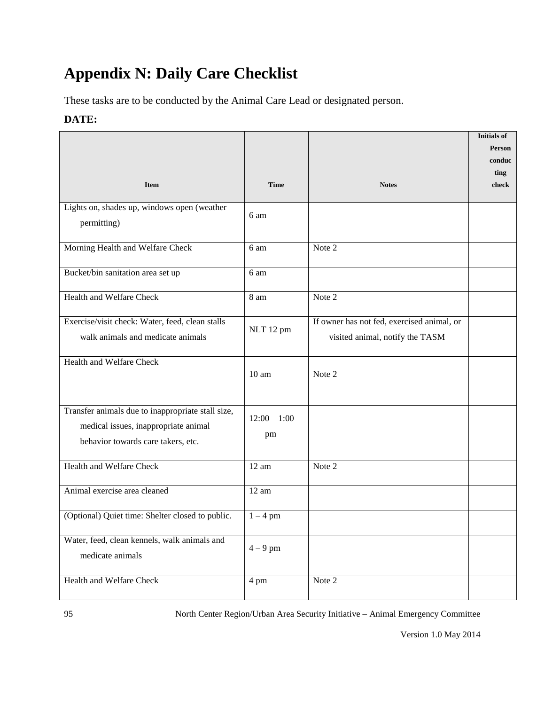# **Appendix N: Daily Care Checklist**

These tasks are to be conducted by the Animal Care Lead or designated person.

### **DATE:**

|                                                   |                  |                                            | <b>Initials of</b><br>Person |
|---------------------------------------------------|------------------|--------------------------------------------|------------------------------|
|                                                   |                  |                                            | conduc<br>ting               |
| <b>Item</b>                                       | <b>Time</b>      | <b>Notes</b>                               | check                        |
| Lights on, shades up, windows open (weather       |                  |                                            |                              |
| permitting)                                       | 6 am             |                                            |                              |
|                                                   |                  |                                            |                              |
| Morning Health and Welfare Check                  | 6 am             | Note 2                                     |                              |
| Bucket/bin sanitation area set up                 | 6 am             |                                            |                              |
|                                                   |                  |                                            |                              |
| <b>Health and Welfare Check</b>                   | 8 am             | Note 2                                     |                              |
| Exercise/visit check: Water, feed, clean stalls   |                  | If owner has not fed, exercised animal, or |                              |
| walk animals and medicate animals                 | NLT 12 pm        | visited animal, notify the TASM            |                              |
| Health and Welfare Check                          |                  |                                            |                              |
|                                                   | 10 <sub>am</sub> | Note 2                                     |                              |
|                                                   |                  |                                            |                              |
| Transfer animals due to inappropriate stall size, |                  |                                            |                              |
| medical issues, inappropriate animal              | $12:00 - 1:00$   |                                            |                              |
| behavior towards care takers, etc.                | pm               |                                            |                              |
|                                                   |                  |                                            |                              |
| Health and Welfare Check                          | 12 am            | Note 2                                     |                              |
| Animal exercise area cleaned                      | 12 am            |                                            |                              |
| (Optional) Quiet time: Shelter closed to public.  |                  |                                            |                              |
|                                                   | $1 - 4$ pm       |                                            |                              |
| Water, feed, clean kennels, walk animals and      | $4-9$ pm         |                                            |                              |
| medicate animals                                  |                  |                                            |                              |
| Health and Welfare Check                          | 4 pm             | Note 2                                     |                              |
|                                                   |                  |                                            |                              |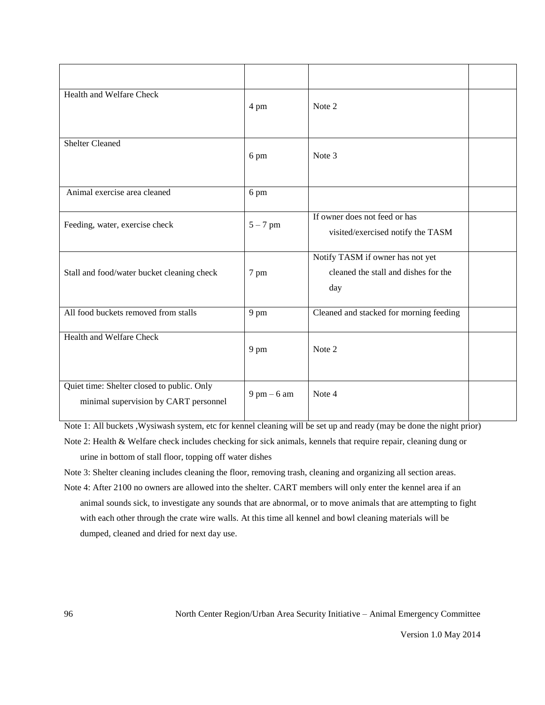| <b>Health and Welfare Check</b>                                                     | 4 pm           | Note 2                                                                          |  |
|-------------------------------------------------------------------------------------|----------------|---------------------------------------------------------------------------------|--|
| <b>Shelter Cleaned</b>                                                              | 6 pm           | Note 3                                                                          |  |
| Animal exercise area cleaned                                                        | 6 pm           |                                                                                 |  |
| Feeding, water, exercise check                                                      | $5 - 7$ pm     | If owner does not feed or has<br>visited/exercised notify the TASM              |  |
| Stall and food/water bucket cleaning check                                          | 7 pm           | Notify TASM if owner has not yet<br>cleaned the stall and dishes for the<br>day |  |
| All food buckets removed from stalls                                                | 9 pm           | Cleaned and stacked for morning feeding                                         |  |
| <b>Health and Welfare Check</b>                                                     | 9 pm           | Note 2                                                                          |  |
| Quiet time: Shelter closed to public. Only<br>minimal supervision by CART personnel | $9$ pm $-6$ am | Note 4                                                                          |  |

Note 1: All buckets ,Wysiwash system, etc for kennel cleaning will be set up and ready (may be done the night prior)

Note 2: Health & Welfare check includes checking for sick animals, kennels that require repair, cleaning dung or urine in bottom of stall floor, topping off water dishes

Note 3: Shelter cleaning includes cleaning the floor, removing trash, cleaning and organizing all section areas.

Note 4: After 2100 no owners are allowed into the shelter. CART members will only enter the kennel area if an animal sounds sick, to investigate any sounds that are abnormal, or to move animals that are attempting to fight with each other through the crate wire walls. At this time all kennel and bowl cleaning materials will be dumped, cleaned and dried for next day use.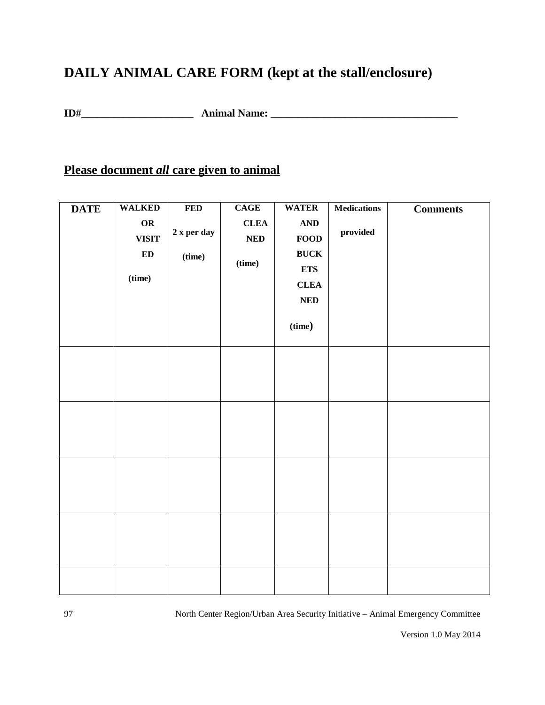## **DAILY ANIMAL CARE FORM (kept at the stall/enclosure)**

**ID#\_\_\_\_\_\_\_\_\_\_\_\_\_\_\_\_\_\_\_\_\_ Animal Name: \_\_\_\_\_\_\_\_\_\_\_\_\_\_\_\_\_\_\_\_\_\_\_\_\_\_\_\_\_\_\_\_\_\_\_**

## **Please document** *all* **care given to animal**

| <b>DATE</b> | <b>WALKED</b><br>OR<br><b>VISIT</b><br>ED<br>(time) | <b>FED</b><br>2 x per day<br>$(\mathbf{time})$ | <b>CAGE</b><br>${\bf CLEA}$<br>$\ensuremath{\mathbf{N}}\ensuremath{\mathbf{E}}\ensuremath{\mathbf{D}}$<br>(time) | <b>WATER</b><br>$\mathbf{AND}$<br>${\bf FOOD}$<br>$\mathbf{B} \mathbf{U} \mathbf{C} \mathbf{K}$<br><b>ETS</b><br>${\bf CLEA}$<br>$\ensuremath{\mathbf{N}}\ensuremath{\mathbf{E}}\ensuremath{\mathbf{D}}$<br>(time) | <b>Medications</b><br>provided | $Comments$ |
|-------------|-----------------------------------------------------|------------------------------------------------|------------------------------------------------------------------------------------------------------------------|--------------------------------------------------------------------------------------------------------------------------------------------------------------------------------------------------------------------|--------------------------------|------------|
|             |                                                     |                                                |                                                                                                                  |                                                                                                                                                                                                                    |                                |            |
|             |                                                     |                                                |                                                                                                                  |                                                                                                                                                                                                                    |                                |            |
|             |                                                     |                                                |                                                                                                                  |                                                                                                                                                                                                                    |                                |            |
|             |                                                     |                                                |                                                                                                                  |                                                                                                                                                                                                                    |                                |            |
|             |                                                     |                                                |                                                                                                                  |                                                                                                                                                                                                                    |                                |            |

North Center Region/Urban Area Security Initiative – Animal Emergency Committee

Version 1.0 May 2014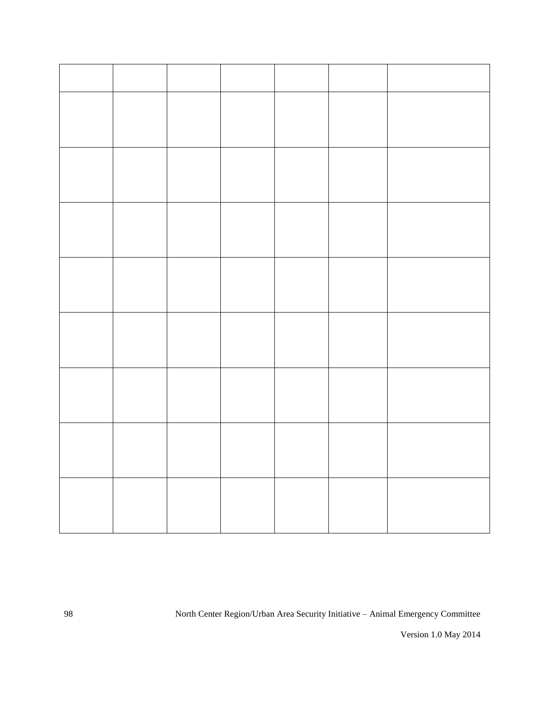North Center Region/Urban Area Security Initiative – Animal Emergency Committee

Version 1.0 May 2014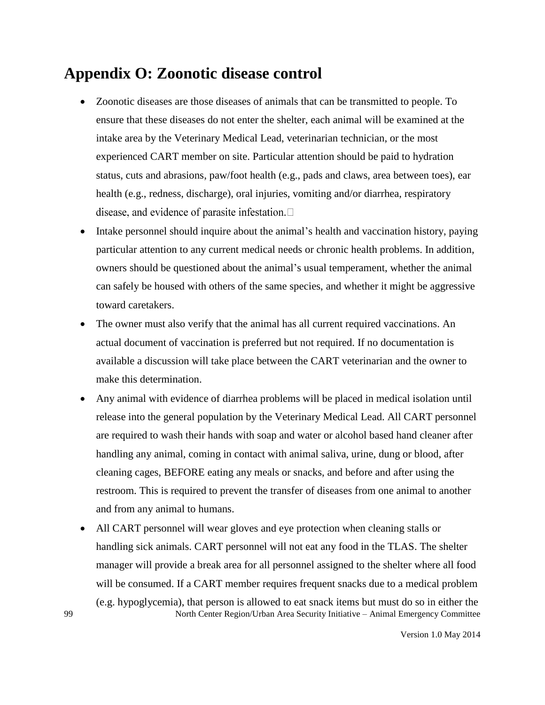## **Appendix O: Zoonotic disease control**

- Zoonotic diseases are those diseases of animals that can be transmitted to people. To ensure that these diseases do not enter the shelter, each animal will be examined at the intake area by the Veterinary Medical Lead, veterinarian technician, or the most experienced CART member on site. Particular attention should be paid to hydration status, cuts and abrasions, paw/foot health (e.g., pads and claws, area between toes), ear health (e.g., redness, discharge), oral injuries, vomiting and/or diarrhea, respiratory disease, and evidence of parasite infestation.  $\Box$
- Intake personnel should inquire about the animal's health and vaccination history, paying particular attention to any current medical needs or chronic health problems. In addition, owners should be questioned about the animal's usual temperament, whether the animal can safely be housed with others of the same species, and whether it might be aggressive toward caretakers.
- The owner must also verify that the animal has all current required vaccinations. An actual document of vaccination is preferred but not required. If no documentation is available a discussion will take place between the CART veterinarian and the owner to make this determination.
- Any animal with evidence of diarrhea problems will be placed in medical isolation until release into the general population by the Veterinary Medical Lead. All CART personnel are required to wash their hands with soap and water or alcohol based hand cleaner after handling any animal, coming in contact with animal saliva, urine, dung or blood, after cleaning cages, BEFORE eating any meals or snacks, and before and after using the restroom. This is required to prevent the transfer of diseases from one animal to another and from any animal to humans.
- North Center Region/Urban Area Security Initiative Animal Emergency Committee All CART personnel will wear gloves and eye protection when cleaning stalls or handling sick animals. CART personnel will not eat any food in the TLAS. The shelter manager will provide a break area for all personnel assigned to the shelter where all food will be consumed. If a CART member requires frequent snacks due to a medical problem (e.g. hypoglycemia), that person is allowed to eat snack items but must do so in either the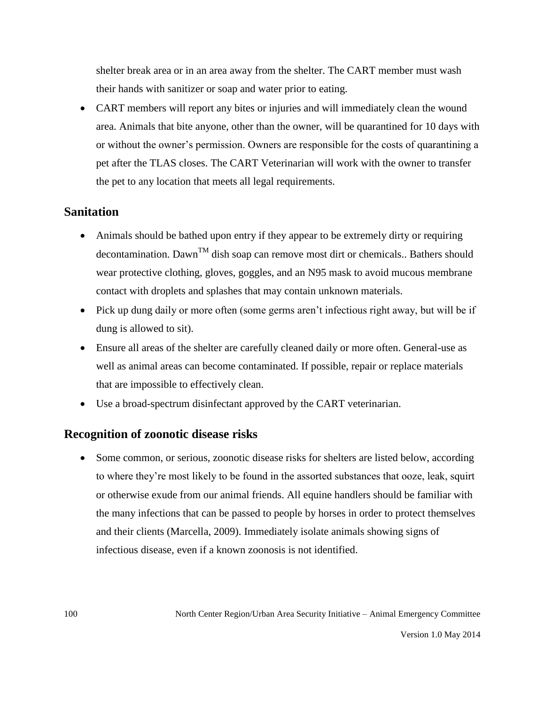shelter break area or in an area away from the shelter. The CART member must wash their hands with sanitizer or soap and water prior to eating.

 CART members will report any bites or injuries and will immediately clean the wound area. Animals that bite anyone, other than the owner, will be quarantined for 10 days with or without the owner's permission. Owners are responsible for the costs of quarantining a pet after the TLAS closes. The CART Veterinarian will work with the owner to transfer the pet to any location that meets all legal requirements.

## **Sanitation**

- Animals should be bathed upon entry if they appear to be extremely dirty or requiring decontamination. Dawn<sup>TM</sup> dish soap can remove most dirt or chemicals.. Bathers should wear protective clothing, gloves, goggles, and an N95 mask to avoid mucous membrane contact with droplets and splashes that may contain unknown materials.
- Pick up dung daily or more often (some germs aren't infectious right away, but will be if dung is allowed to sit).
- Ensure all areas of the shelter are carefully cleaned daily or more often. General-use as well as animal areas can become contaminated. If possible, repair or replace materials that are impossible to effectively clean.
- Use a broad-spectrum disinfectant approved by the CART veterinarian.

### **Recognition of zoonotic disease risks**

 Some common, or serious, zoonotic disease risks for shelters are listed below, according to where they're most likely to be found in the assorted substances that ooze, leak, squirt or otherwise exude from our animal friends. All equine handlers should be familiar with the many infections that can be passed to people by horses in order to protect themselves and their clients (Marcella, 2009). Immediately isolate animals showing signs of infectious disease, even if a known zoonosis is not identified.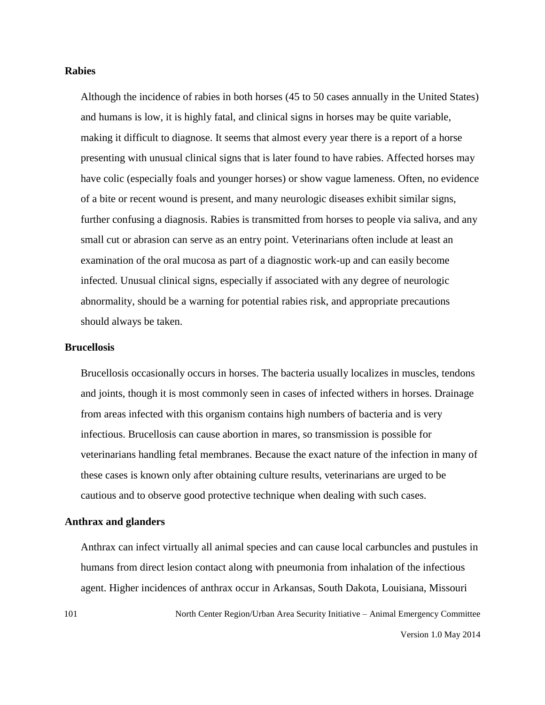#### **Rabies**

Although the incidence of rabies in both horses (45 to 50 cases annually in the United States) and humans is low, it is highly fatal, and clinical signs in horses may be quite variable, making it difficult to diagnose. It seems that almost every year there is a report of a horse presenting with unusual clinical signs that is later found to have rabies. Affected horses may have colic (especially foals and younger horses) or show vague lameness. Often, no evidence of a bite or recent wound is present, and many neurologic diseases exhibit similar signs, further confusing a diagnosis. Rabies is transmitted from horses to people via saliva, and any small cut or abrasion can serve as an entry point. Veterinarians often include at least an examination of the oral mucosa as part of a diagnostic work-up and can easily become infected. Unusual clinical signs, especially if associated with any degree of neurologic abnormality, should be a warning for potential rabies risk, and appropriate precautions should always be taken.

#### **Brucellosis**

Brucellosis occasionally occurs in horses. The bacteria usually localizes in muscles, tendons and joints, though it is most commonly seen in cases of infected withers in horses. Drainage from areas infected with this organism contains high numbers of bacteria and is very infectious. Brucellosis can cause abortion in mares, so transmission is possible for veterinarians handling fetal membranes. Because the exact nature of the infection in many of these cases is known only after obtaining culture results, veterinarians are urged to be cautious and to observe good protective technique when dealing with such cases.

#### **Anthrax and glanders**

101

Anthrax can infect virtually all animal species and can cause local carbuncles and pustules in humans from direct lesion contact along with pneumonia from inhalation of the infectious agent. Higher incidences of anthrax occur in Arkansas, South Dakota, Louisiana, Missouri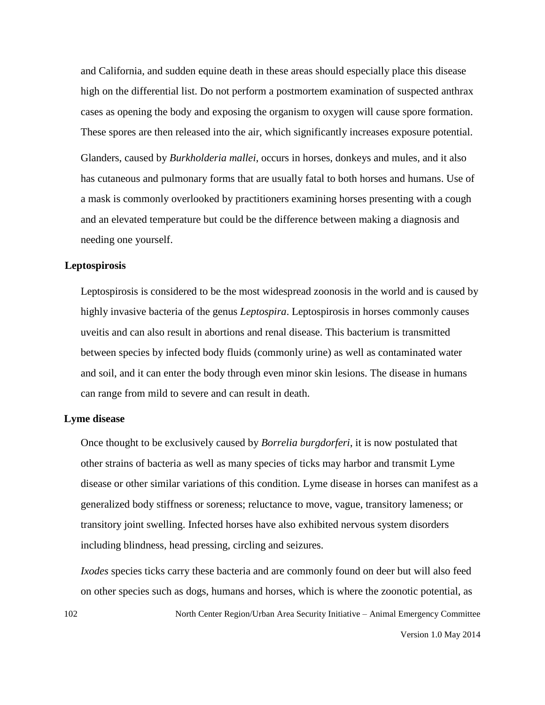and California, and sudden equine death in these areas should especially place this disease high on the differential list. Do not perform a postmortem examination of suspected anthrax cases as opening the body and exposing the organism to oxygen will cause spore formation. These spores are then released into the air, which significantly increases exposure potential.

Glanders, caused by *Burkholderia mallei*, occurs in horses, donkeys and mules, and it also has cutaneous and pulmonary forms that are usually fatal to both horses and humans. Use of a mask is commonly overlooked by practitioners examining horses presenting with a cough and an elevated temperature but could be the difference between making a diagnosis and needing one yourself.

#### **Leptospirosis**

Leptospirosis is considered to be the most widespread zoonosis in the world and is caused by highly invasive bacteria of the genus *Leptospira*. Leptospirosis in horses commonly causes uveitis and can also result in abortions and renal disease. This bacterium is transmitted between species by infected body fluids (commonly urine) as well as contaminated water and soil, and it can enter the body through even minor skin lesions. The disease in humans can range from mild to severe and can result in death.

#### **Lyme disease**

Once thought to be exclusively caused by *Borrelia burgdorferi*, it is now postulated that other strains of bacteria as well as many species of ticks may harbor and transmit Lyme disease or other similar variations of this condition. Lyme disease in horses can manifest as a generalized body stiffness or soreness; reluctance to move, vague, transitory lameness; or transitory joint swelling. Infected horses have also exhibited nervous system disorders including blindness, head pressing, circling and seizures.

*Ixodes* species ticks carry these bacteria and are commonly found on deer but will also feed on other species such as dogs, humans and horses, which is where the zoonotic potential, as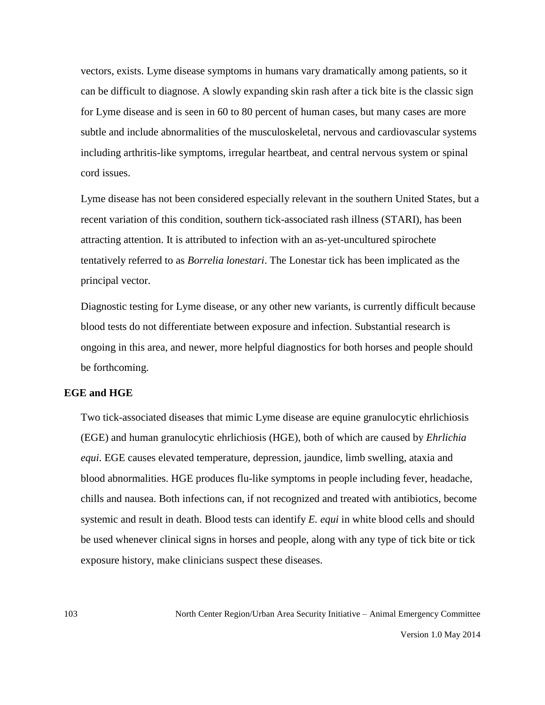vectors, exists. Lyme disease symptoms in humans vary dramatically among patients, so it can be difficult to diagnose. A slowly expanding skin rash after a tick bite is the classic sign for Lyme disease and is seen in 60 to 80 percent of human cases, but many cases are more subtle and include abnormalities of the musculoskeletal, nervous and cardiovascular systems including arthritis-like symptoms, irregular heartbeat, and central nervous system or spinal cord issues.

Lyme disease has not been considered especially relevant in the southern United States, but a recent variation of this condition, southern tick-associated rash illness (STARI), has been attracting attention. It is attributed to infection with an as-yet-uncultured spirochete tentatively referred to as *Borrelia lonestari*. The Lonestar tick has been implicated as the principal vector.

Diagnostic testing for Lyme disease, or any other new variants, is currently difficult because blood tests do not differentiate between exposure and infection. Substantial research is ongoing in this area, and newer, more helpful diagnostics for both horses and people should be forthcoming.

#### **EGE and HGE**

Two tick-associated diseases that mimic Lyme disease are equine granulocytic ehrlichiosis (EGE) and human granulocytic ehrlichiosis (HGE), both of which are caused by *Ehrlichia equi*. EGE causes elevated temperature, depression, jaundice, limb swelling, ataxia and blood abnormalities. HGE produces flu-like symptoms in people including fever, headache, chills and nausea. Both infections can, if not recognized and treated with antibiotics, become systemic and result in death. Blood tests can identify *E. equi* in white blood cells and should be used whenever clinical signs in horses and people, along with any type of tick bite or tick exposure history, make clinicians suspect these diseases.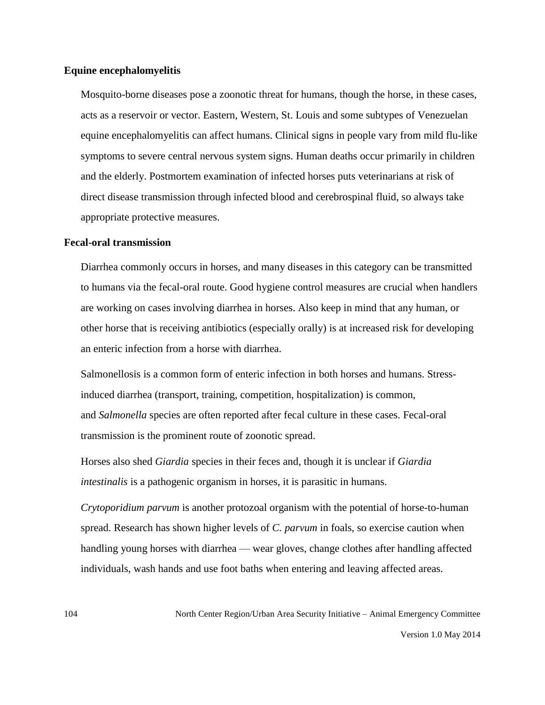#### **Equine encephalomyelitis**

Mosquito-borne diseases pose a zoonotic threat for humans, though the horse, in these cases, acts as a reservoir or vector. Eastern, Western, St. Louis and some subtypes of Venezuelan equine encephalomyelitis can affect humans. Clinical signs in people vary from mild flu-like symptoms to severe central nervous system signs. Human deaths occur primarily in children and the elderly. Postmortem examination of infected horses puts veterinarians at risk of direct disease transmission through infected blood and cerebrospinal fluid, so always take appropriate protective measures.

#### **Fecal-oral transmission**

Diarrhea commonly occurs in horses, and many diseases in this category can be transmitted to humans via the fecal-oral route. Good hygiene control measures are crucial when handlers are working on cases involving diarrhea in horses. Also keep in mind that any human, or other horse that is receiving antibiotics (especially orally) is at increased risk for developing an enteric infection from a horse with diarrhea.

Salmonellosis is a common form of enteric infection in both horses and humans. Stressinduced diarrhea (transport, training, competition, hospitalization) is common, and *Salmonella* species are often reported after fecal culture in these cases. Fecal-oral transmission is the prominent route of zoonotic spread.

Horses also shed *Giardia* species in their feces and, though it is unclear if *Giardia intestinalis* is a pathogenic organism in horses, it is parasitic in humans.

*Crytoporidium parvum* is another protozoal organism with the potential of horse-to-human spread. Research has shown higher levels of *C. parvum* in foals, so exercise caution when handling young horses with diarrhea — wear gloves, change clothes after handling affected individuals, wash hands and use foot baths when entering and leaving affected areas.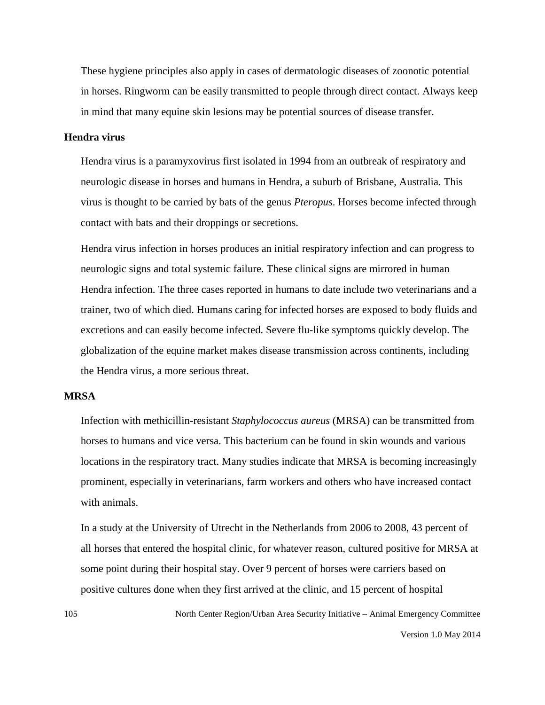These hygiene principles also apply in cases of dermatologic diseases of zoonotic potential in horses. Ringworm can be easily transmitted to people through direct contact. Always keep in mind that many equine skin lesions may be potential sources of disease transfer.

#### **Hendra virus**

Hendra virus is a paramyxovirus first isolated in 1994 from an outbreak of respiratory and neurologic disease in horses and humans in Hendra, a suburb of Brisbane, Australia. This virus is thought to be carried by bats of the genus *Pteropus*. Horses become infected through contact with bats and their droppings or secretions.

Hendra virus infection in horses produces an initial respiratory infection and can progress to neurologic signs and total systemic failure. These clinical signs are mirrored in human Hendra infection. The three cases reported in humans to date include two veterinarians and a trainer, two of which died. Humans caring for infected horses are exposed to body fluids and excretions and can easily become infected. Severe flu-like symptoms quickly develop. The globalization of the equine market makes disease transmission across continents, including the Hendra virus, a more serious threat.

#### **MRSA**

Infection with methicillin-resistant *Staphylococcus aureus* (MRSA) can be transmitted from horses to humans and vice versa. This bacterium can be found in skin wounds and various locations in the respiratory tract. Many studies indicate that MRSA is becoming increasingly prominent, especially in veterinarians, farm workers and others who have increased contact with animals.

In a study at the University of Utrecht in the Netherlands from 2006 to 2008, 43 percent of all horses that entered the hospital clinic, for whatever reason, cultured positive for MRSA at some point during their hospital stay. Over 9 percent of horses were carriers based on positive cultures done when they first arrived at the clinic, and 15 percent of hospital

> North Center Region/Urban Area Security Initiative – Animal Emergency Committee Version 1.0 May 2014

105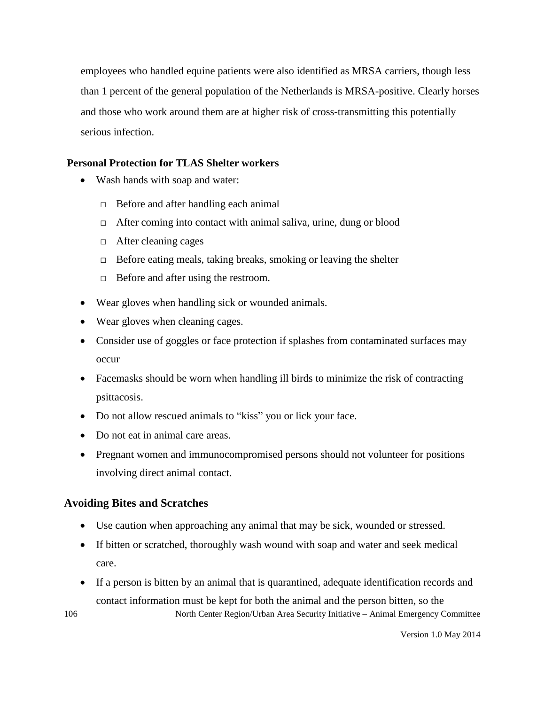employees who handled equine patients were also identified as MRSA carriers, though less than 1 percent of the general population of the Netherlands is MRSA-positive. Clearly horses and those who work around them are at higher risk of cross-transmitting this potentially serious infection.

#### **Personal Protection for TLAS Shelter workers**

- Wash hands with soap and water:
	- □ Before and after handling each animal
	- $\Box$  After coming into contact with animal saliva, urine, dung or blood
	- □ After cleaning cages
	- $\Box$  Before eating meals, taking breaks, smoking or leaving the shelter
	- □ Before and after using the restroom.
- Wear gloves when handling sick or wounded animals.
- Wear gloves when cleaning cages.
- Consider use of goggles or face protection if splashes from contaminated surfaces may occur
- Facemasks should be worn when handling ill birds to minimize the risk of contracting psittacosis.
- Do not allow rescued animals to "kiss" you or lick your face.
- Do not eat in animal care areas.
- Pregnant women and immunocompromised persons should not volunteer for positions involving direct animal contact.

#### **Avoiding Bites and Scratches**

- Use caution when approaching any animal that may be sick, wounded or stressed.
- If bitten or scratched, thoroughly wash wound with soap and water and seek medical care.
- If a person is bitten by an animal that is quarantined, adequate identification records and contact information must be kept for both the animal and the person bitten, so the

North Center Region/Urban Area Security Initiative – Animal Emergency Committee

106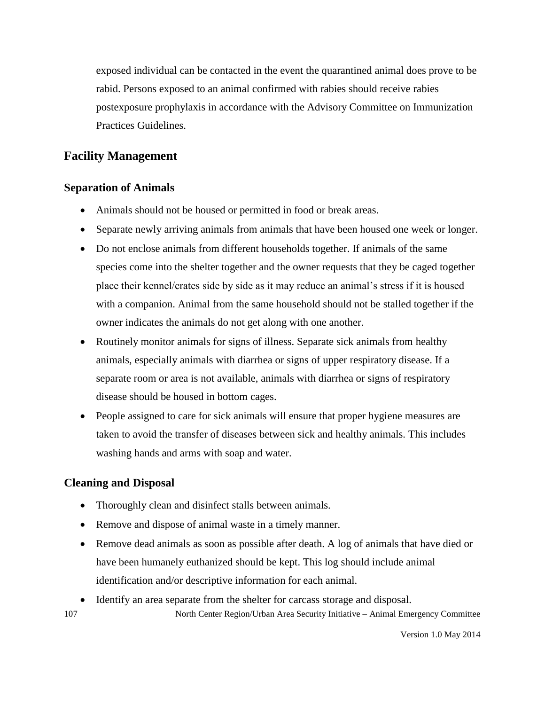exposed individual can be contacted in the event the quarantined animal does prove to be rabid. Persons exposed to an animal confirmed with rabies should receive rabies postexposure prophylaxis in accordance with the Advisory Committee on Immunization Practices Guidelines.

## **Facility Management**

### **Separation of Animals**

- Animals should not be housed or permitted in food or break areas.
- Separate newly arriving animals from animals that have been housed one week or longer.
- Do not enclose animals from different households together. If animals of the same species come into the shelter together and the owner requests that they be caged together place their kennel/crates side by side as it may reduce an animal's stress if it is housed with a companion. Animal from the same household should not be stalled together if the owner indicates the animals do not get along with one another.
- Routinely monitor animals for signs of illness. Separate sick animals from healthy animals, especially animals with diarrhea or signs of upper respiratory disease. If a separate room or area is not available, animals with diarrhea or signs of respiratory disease should be housed in bottom cages.
- People assigned to care for sick animals will ensure that proper hygiene measures are taken to avoid the transfer of diseases between sick and healthy animals. This includes washing hands and arms with soap and water.

### **Cleaning and Disposal**

- Thoroughly clean and disinfect stalls between animals.
- Remove and dispose of animal waste in a timely manner.
- Remove dead animals as soon as possible after death. A log of animals that have died or have been humanely euthanized should be kept. This log should include animal identification and/or descriptive information for each animal.
- Identify an area separate from the shelter for carcass storage and disposal.

North Center Region/Urban Area Security Initiative – Animal Emergency Committee

Version 1.0 May 2014

107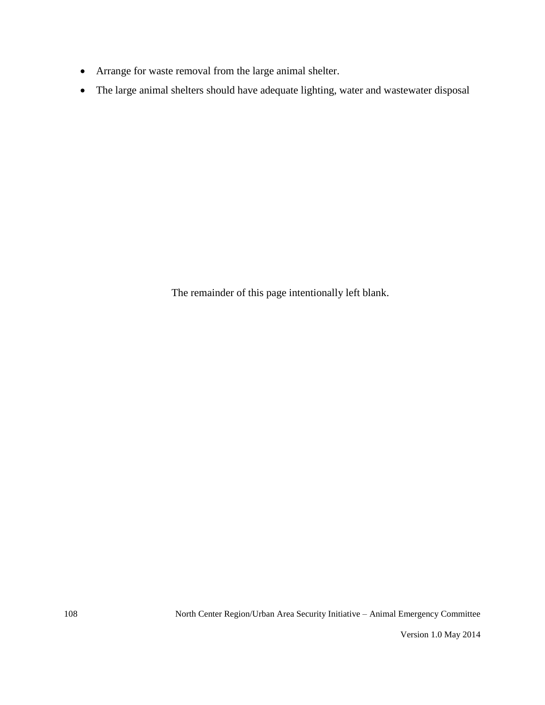- Arrange for waste removal from the large animal shelter.
- The large animal shelters should have adequate lighting, water and wastewater disposal

The remainder of this page intentionally left blank.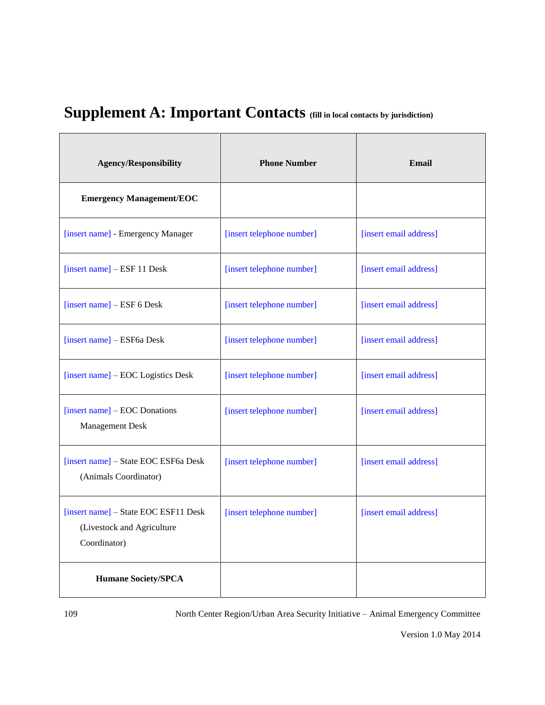## **Supplement A: Important Contacts (fill in local contacts by jurisdiction)**

| <b>Agency/Responsibility</b>                                                       | <b>Phone Number</b>       | Email                  |
|------------------------------------------------------------------------------------|---------------------------|------------------------|
| <b>Emergency Management/EOC</b>                                                    |                           |                        |
| [insert name] - Emergency Manager                                                  | [insert telephone number] | [insert email address] |
| $[insert name] - ESF 11 Desk$                                                      | [insert telephone number] | [insert email address] |
| [insert name] $-$ ESF 6 Desk                                                       | [insert telephone number] | [insert email address] |
| [insert name] - ESF6a Desk                                                         | [insert telephone number] | [insert email address] |
| [insert name] – EOC Logistics Desk                                                 | [insert telephone number] | [insert email address] |
| [insert name] – EOC Donations<br>Management Desk                                   | [insert telephone number] | [insert email address] |
| [insert name] - State EOC ESF6a Desk<br>(Animals Coordinator)                      | [insert telephone number] | [insert email address] |
| [insert name] - State EOC ESF11 Desk<br>(Livestock and Agriculture<br>Coordinator) | [insert telephone number] | [insert email address] |
| <b>Humane Society/SPCA</b>                                                         |                           |                        |

North Center Region/Urban Area Security Initiative – Animal Emergency Committee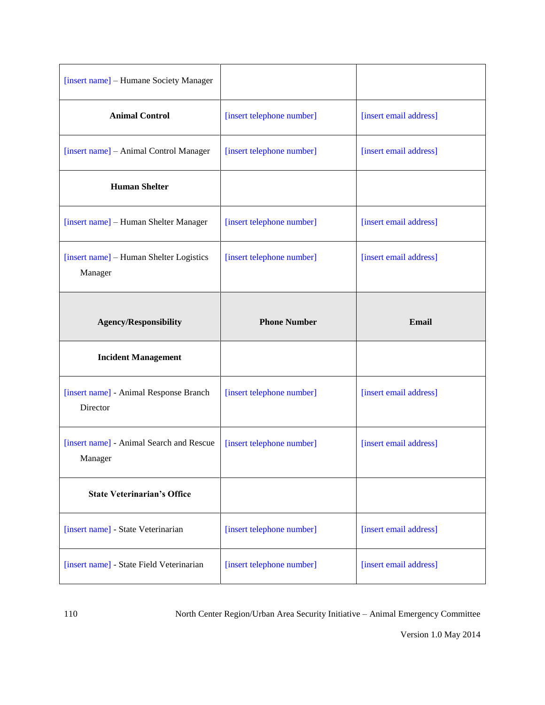| [insert name] - Humane Society Manager              |                           |                        |
|-----------------------------------------------------|---------------------------|------------------------|
| <b>Animal Control</b>                               | [insert telephone number] | [insert email address] |
| [insert name] - Animal Control Manager              | [insert telephone number] | [insert email address] |
| <b>Human Shelter</b>                                |                           |                        |
| [insert name] - Human Shelter Manager               | [insert telephone number] | [insert email address] |
| [insert name] - Human Shelter Logistics<br>Manager  | [insert telephone number] | [insert email address] |
| <b>Agency/Responsibility</b>                        | <b>Phone Number</b>       | Email                  |
|                                                     |                           |                        |
| <b>Incident Management</b>                          |                           |                        |
| [insert name] - Animal Response Branch<br>Director  | [insert telephone number] | [insert email address] |
| [insert name] - Animal Search and Rescue<br>Manager | [insert telephone number] | [insert email address] |
| <b>State Veterinarian's Office</b>                  |                           |                        |
| [insert name] - State Veterinarian                  | [insert telephone number] | [insert email address] |

North Center Region/Urban Area Security Initiative – Animal Emergency Committee